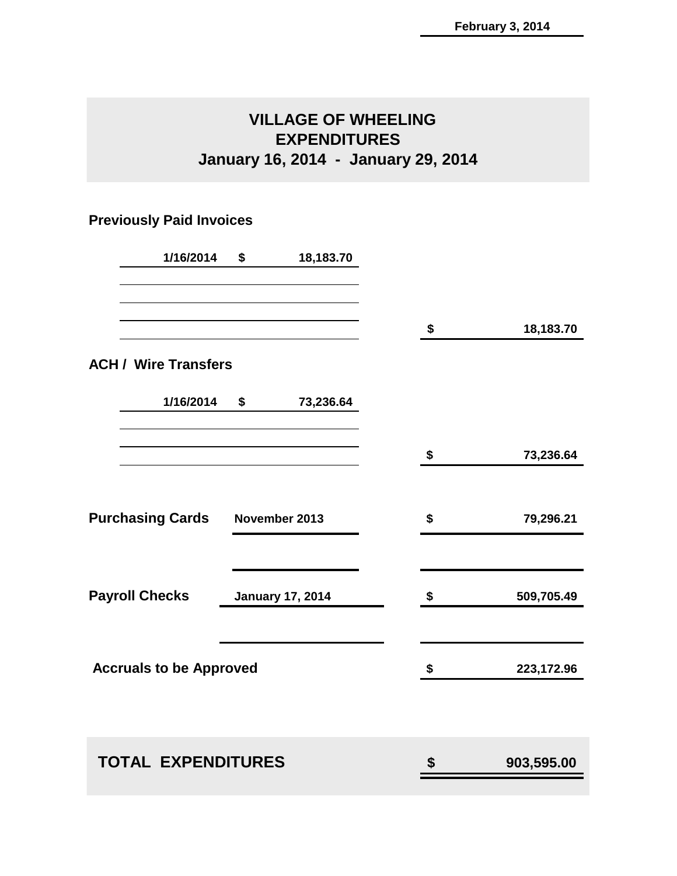### **VILLAGE OF WHEELING EXPENDITURES January 16, 2014 - January 29, 2014**

### **Previously Paid Invoices**

| 1/16/2014                                | \$ | 18,183.70               |                  |
|------------------------------------------|----|-------------------------|------------------|
|                                          |    |                         | \$<br>18,183.70  |
| <b>ACH / Wire Transfers</b>              |    |                         |                  |
| 1/16/2014                                | \$ | 73,236.64               |                  |
|                                          |    |                         | \$<br>73,236.64  |
| <b>Purchasing Cards</b><br>November 2013 |    | \$<br>79,296.21         |                  |
| <b>Payroll Checks</b>                    |    | <b>January 17, 2014</b> | \$<br>509,705.49 |
| <b>Accruals to be Approved</b>           |    |                         | \$<br>223,172.96 |
| <b>TOTAL EXPENDITURES</b>                |    |                         | \$<br>903,595.00 |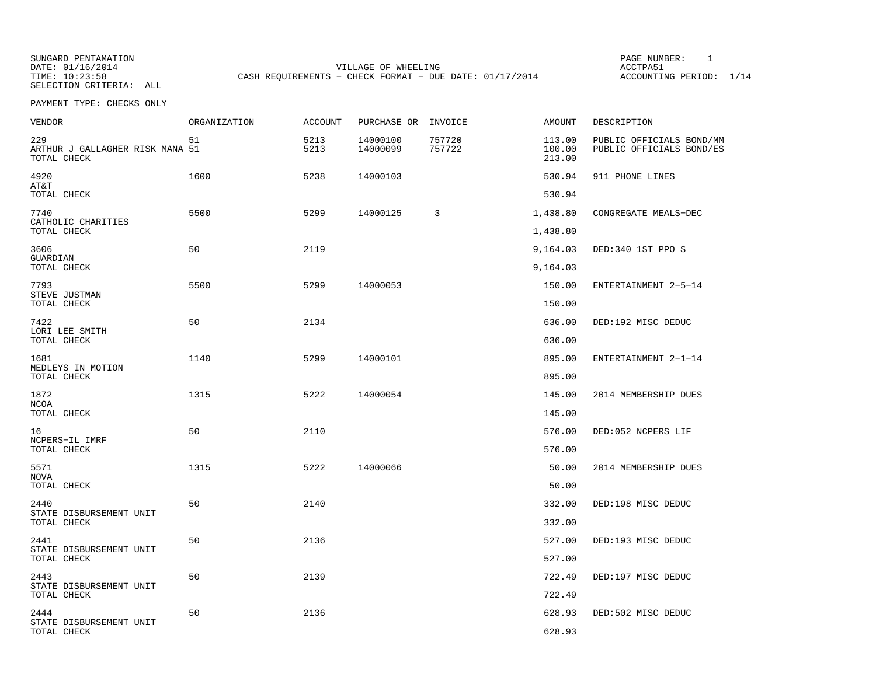SUNGARD PENTAMATION<br>DATE: 01/16/2014 SELECTION CRITERIA: ALL

VILLAGE OF WHEELING **ACCTPA51** TIME:  $10:23:58$  CASH REQUIREMENTS - CHECK FORMAT - DUE DATE: 01/17/2014 ACCOUNTING PERIOD: 1/14

PAGE NUMBER: 1

| VENDOR                                                | ORGANIZATION | <b>ACCOUNT</b> | PURCHASE OR          | INVOICE          | AMOUNT                     | DESCRIPTION                                          |
|-------------------------------------------------------|--------------|----------------|----------------------|------------------|----------------------------|------------------------------------------------------|
| 229<br>ARTHUR J GALLAGHER RISK MANA 51<br>TOTAL CHECK | 51           | 5213<br>5213   | 14000100<br>14000099 | 757720<br>757722 | 113.00<br>100.00<br>213.00 | PUBLIC OFFICIALS BOND/MM<br>PUBLIC OFFICIALS BOND/ES |
| 4920<br>AT&T                                          | 1600         | 5238           | 14000103             |                  | 530.94                     | 911 PHONE LINES                                      |
| TOTAL CHECK                                           |              |                |                      |                  | 530.94                     |                                                      |
| 7740<br>CATHOLIC CHARITIES                            | 5500         | 5299           | 14000125             | 3                | 1,438.80                   | CONGREGATE MEALS-DEC                                 |
| TOTAL CHECK                                           |              |                |                      |                  | 1,438.80                   |                                                      |
| 3606<br>GUARDIAN                                      | 50           | 2119           |                      |                  | 9,164.03                   | DED:340 1ST PPO S                                    |
| TOTAL CHECK                                           |              |                |                      |                  | 9,164.03                   |                                                      |
| 7793                                                  | 5500         | 5299           | 14000053             |                  | 150.00                     | ENTERTAINMENT 2-5-14                                 |
| STEVE JUSTMAN<br>TOTAL CHECK                          |              |                |                      |                  | 150.00                     |                                                      |
| 7422                                                  | 50           | 2134           |                      |                  | 636.00                     | DED:192 MISC DEDUC                                   |
| LORI LEE SMITH<br>TOTAL CHECK                         |              |                |                      |                  | 636.00                     |                                                      |
| 1681                                                  | 1140         | 5299           | 14000101             |                  | 895.00                     | ENTERTAINMENT 2-1-14                                 |
| MEDLEYS IN MOTION<br>TOTAL CHECK                      |              |                |                      |                  | 895.00                     |                                                      |
| 1872                                                  | 1315         | 5222           | 14000054             |                  | 145.00                     | 2014 MEMBERSHIP DUES                                 |
| <b>NCOA</b><br>TOTAL CHECK                            |              |                |                      |                  | 145.00                     |                                                      |
| 16                                                    | 50           | 2110           |                      |                  | 576.00                     | DED:052 NCPERS LIF                                   |
| NCPERS-IL IMRF<br>TOTAL CHECK                         |              |                |                      |                  | 576.00                     |                                                      |
| 5571                                                  | 1315         | 5222           | 14000066             |                  | 50.00                      | 2014 MEMBERSHIP DUES                                 |
| NOVA<br>TOTAL CHECK                                   |              |                |                      |                  | 50.00                      |                                                      |
| 2440                                                  | 50           | 2140           |                      |                  | 332.00                     | DED:198 MISC DEDUC                                   |
| STATE DISBURSEMENT UNIT<br>TOTAL CHECK                |              |                |                      |                  | 332.00                     |                                                      |
| 2441                                                  | 50           | 2136           |                      |                  | 527.00                     | DED:193 MISC DEDUC                                   |
| STATE DISBURSEMENT UNIT<br>TOTAL CHECK                |              |                |                      |                  | 527.00                     |                                                      |
| 2443                                                  | 50           | 2139           |                      |                  | 722.49                     | DED:197 MISC DEDUC                                   |
| STATE DISBURSEMENT UNIT<br>TOTAL CHECK                |              |                |                      |                  | 722.49                     |                                                      |
| 2444                                                  | 50           | 2136           |                      |                  | 628.93                     | DED:502 MISC DEDUC                                   |
| STATE DISBURSEMENT UNIT<br>TOTAL CHECK                |              |                |                      |                  | 628.93                     |                                                      |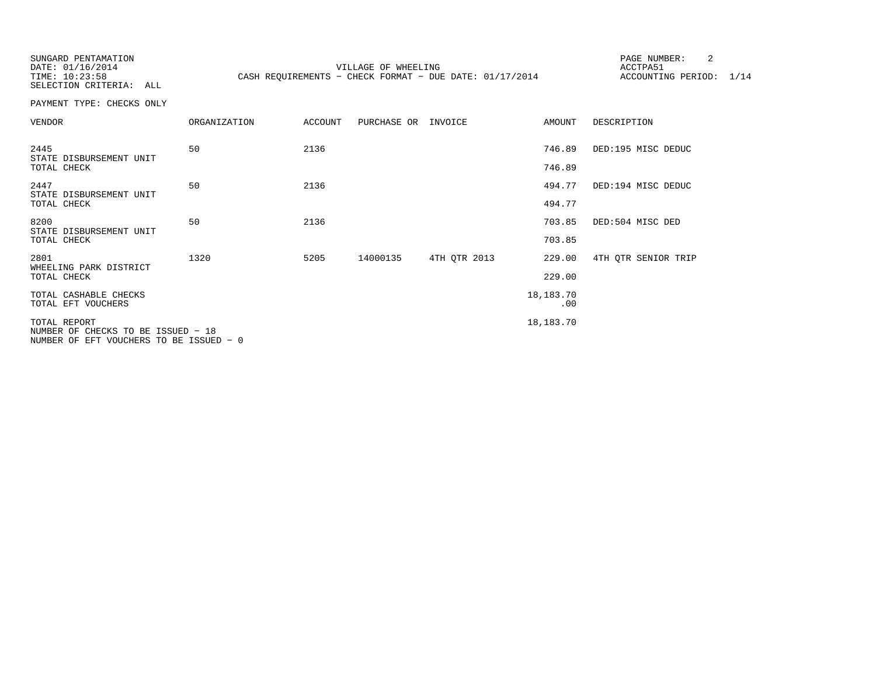SUNGARD PENTAMATION

DATE: 01/16/2014 VILLAGE OF WHEELING ACCTPA51 TIME: 10:23:58 CASH REQUIREMENTS - CHECK FORMAT - DUE DATE: 01/17/2014 ACCOUNTING PERIOD: 1/14

PAGE NUMBER: 2

SELECTION CRITERIA: ALL PAYMENT TYPE: CHECKS ONLY

| VENDOR                                                                                        | ORGANIZATION | <b>ACCOUNT</b> | PURCHASE OR | INVOICE      | AMOUNT           | DESCRIPTION         |
|-----------------------------------------------------------------------------------------------|--------------|----------------|-------------|--------------|------------------|---------------------|
| 2445<br>STATE DISBURSEMENT UNIT                                                               | 50           | 2136           |             |              | 746.89           | DED:195 MISC DEDUC  |
| TOTAL CHECK                                                                                   |              |                |             |              | 746.89           |                     |
| 2447<br>STATE DISBURSEMENT UNIT                                                               | 50           | 2136           |             |              | 494.77           | DED:194 MISC DEDUC  |
| TOTAL CHECK                                                                                   |              |                |             |              | 494.77           |                     |
| 8200<br>STATE DISBURSEMENT UNIT                                                               | 50           | 2136           |             |              | 703.85           | DED:504 MISC DED    |
| TOTAL CHECK                                                                                   |              |                |             |              | 703.85           |                     |
| 2801<br>WHEELING PARK DISTRICT                                                                | 1320         | 5205           | 14000135    | 4TH OTR 2013 | 229.00           | 4TH OTR SENIOR TRIP |
| TOTAL CHECK                                                                                   |              |                |             |              | 229.00           |                     |
| TOTAL CASHABLE CHECKS<br>TOTAL EFT VOUCHERS                                                   |              |                |             |              | 18,183.70<br>.00 |                     |
| TOTAL REPORT<br>NUMBER OF CHECKS TO BE ISSUED - 18<br>NUMBER OF EFT VOUCHERS TO BE ISSUED - 0 |              |                |             |              | 18,183.70        |                     |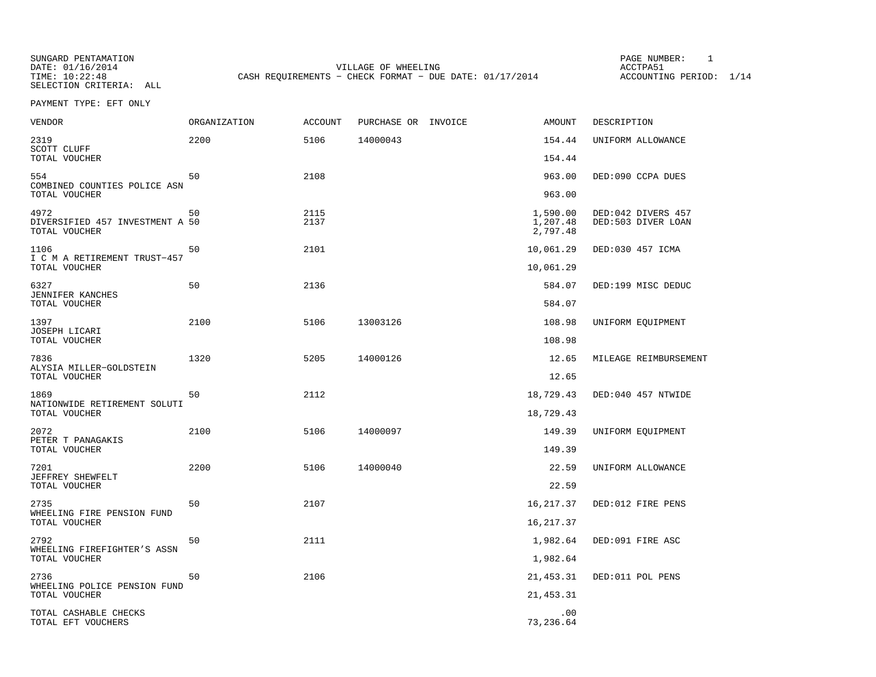SUNGARD PENTAMATION<br>DATE: 01/16/2014 SELECTION CRITERIA: ALL

DATE: 01/16/2014 VILLAGE OF WHEELING ACCTPA51 CASH REQUIREMENTS - CHECK FORMAT - DUE DATE: 01/17/2014 ACCOUNTING PERIOD: 1/14

PAGE NUMBER: 1

PAYMENT TYPE: EFT ONLY

| VENDOR                                                   | ORGANIZATION | <b>ACCOUNT</b> | PURCHASE OR INVOICE | AMOUNT                           | DESCRIPTION                              |
|----------------------------------------------------------|--------------|----------------|---------------------|----------------------------------|------------------------------------------|
| 2319<br>SCOTT CLUFF                                      | 2200         | 5106           | 14000043            | 154.44                           | UNIFORM ALLOWANCE                        |
| TOTAL VOUCHER                                            |              |                |                     | 154.44                           |                                          |
| 554<br>COMBINED COUNTIES POLICE ASN                      | 50           | 2108           |                     | 963.00                           | DED:090 CCPA DUES                        |
| TOTAL VOUCHER                                            |              |                |                     | 963.00                           |                                          |
| 4972<br>DIVERSIFIED 457 INVESTMENT A 50<br>TOTAL VOUCHER | 50           | 2115<br>2137   |                     | 1,590.00<br>1,207.48<br>2,797.48 | DED:042 DIVERS 457<br>DED:503 DIVER LOAN |
| 1106<br>I C M A RETIREMENT TRUST-457<br>TOTAL VOUCHER    | 50           | 2101           |                     | 10,061.29<br>10,061.29           | DED:030 457 ICMA                         |
|                                                          |              |                |                     |                                  |                                          |
| 6327<br>JENNIFER KANCHES<br>TOTAL VOUCHER                | 50           | 2136           |                     | 584.07<br>584.07                 | DED:199 MISC DEDUC                       |
|                                                          |              |                |                     |                                  |                                          |
| 1397<br>JOSEPH LICARI                                    | 2100         | 5106           | 13003126            | 108.98                           | UNIFORM EQUIPMENT                        |
| TOTAL VOUCHER                                            |              |                |                     | 108.98                           |                                          |
| 7836<br>ALYSIA MILLER-GOLDSTEIN                          | 1320         | 5205           | 14000126            | 12.65                            | MILEAGE REIMBURSEMENT                    |
| TOTAL VOUCHER                                            |              |                |                     | 12.65                            |                                          |
| 1869<br>NATIONWIDE RETIREMENT SOLUTI<br>TOTAL VOUCHER    | 50           | 2112           |                     | 18,729.43<br>18,729.43           | DED:040 457 NTWIDE                       |
|                                                          |              |                |                     |                                  |                                          |
| 2072<br>PETER T PANAGAKIS                                | 2100         | 5106           | 14000097            | 149.39                           | UNIFORM EQUIPMENT                        |
| TOTAL VOUCHER                                            |              |                |                     | 149.39                           |                                          |
| 7201<br>JEFFREY SHEWFELT                                 | 2200         | 5106           | 14000040            | 22.59                            | UNIFORM ALLOWANCE                        |
| TOTAL VOUCHER                                            |              |                |                     | 22.59                            |                                          |
| 2735<br>WHEELING FIRE PENSION FUND                       | 50           | 2107           |                     | 16,217.37                        | DED:012 FIRE PENS                        |
| TOTAL VOUCHER                                            |              |                |                     | 16, 217.37                       |                                          |
| 2792                                                     | 50           | 2111           |                     | 1,982.64                         | DED:091 FIRE ASC                         |
| WHEELING FIREFIGHTER'S ASSN<br>TOTAL VOUCHER             |              |                |                     | 1,982.64                         |                                          |
| 2736                                                     | 50           | 2106           |                     | 21, 453.31                       | DED:011 POL PENS                         |
| WHEELING POLICE PENSION FUND<br>TOTAL VOUCHER            |              |                |                     | 21, 453.31                       |                                          |
| TOTAL CASHABLE CHECKS<br>TOTAL EFT VOUCHERS              |              |                |                     | .00<br>73,236.64                 |                                          |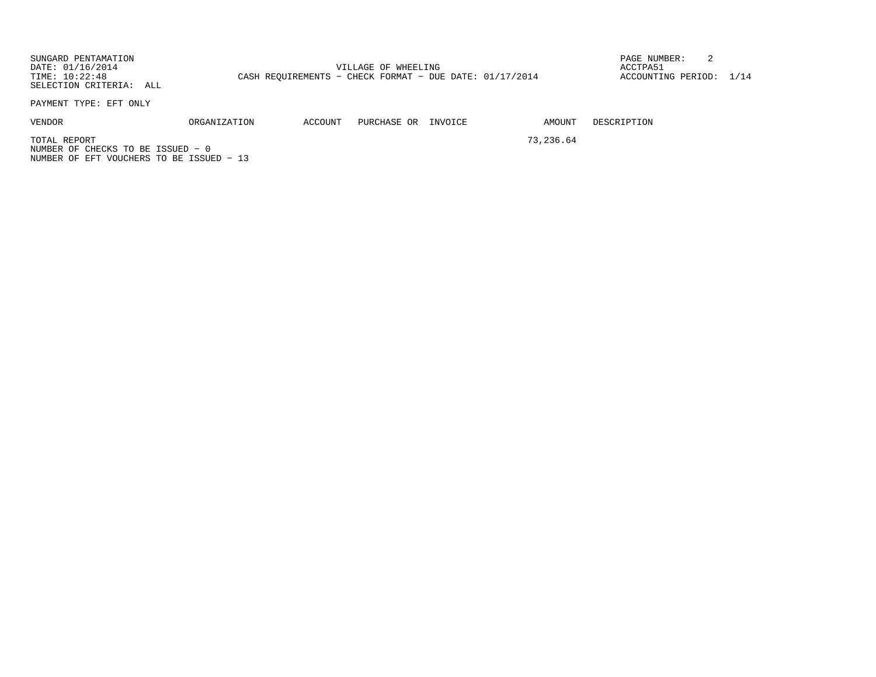SUNGARD PENTAMATION PAGE NUMBER: 2DATE:  $01/16/2014$  ACCTPA51 TIME: 10:22:48 CASH REQUIREMENTS - CHECK FORMAT - DUE DATE: 01/17/2014 ACCOUNTING PERIOD: 1/14 SELECTION CRITERIA: ALL PAYMENT TYPE: EFT ONLY

VENDOR ORGANIZATION ACCOUNT PURCHASE OR INVOICE AMOUNT DESCRIPTION

TOTAL REPORT 73, 236.64 NUMBER OF CHECKS TO BE ISSUED − 0NUMBER OF EFT VOUCHERS TO BE ISSUED − 13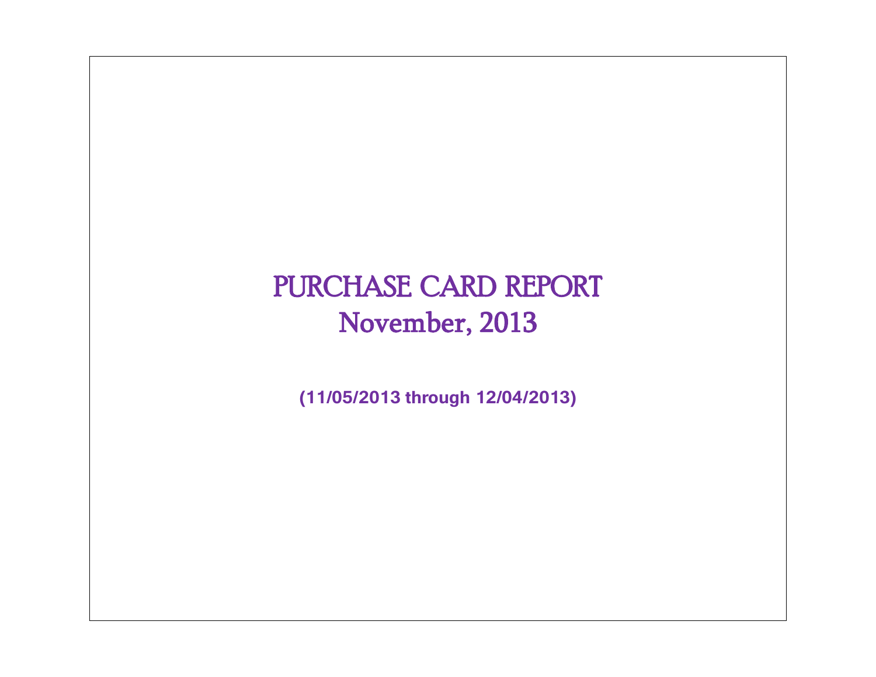# PURCHASE CARD REPORT November, 2013

**(11/05/2013 through 12/04/2013)**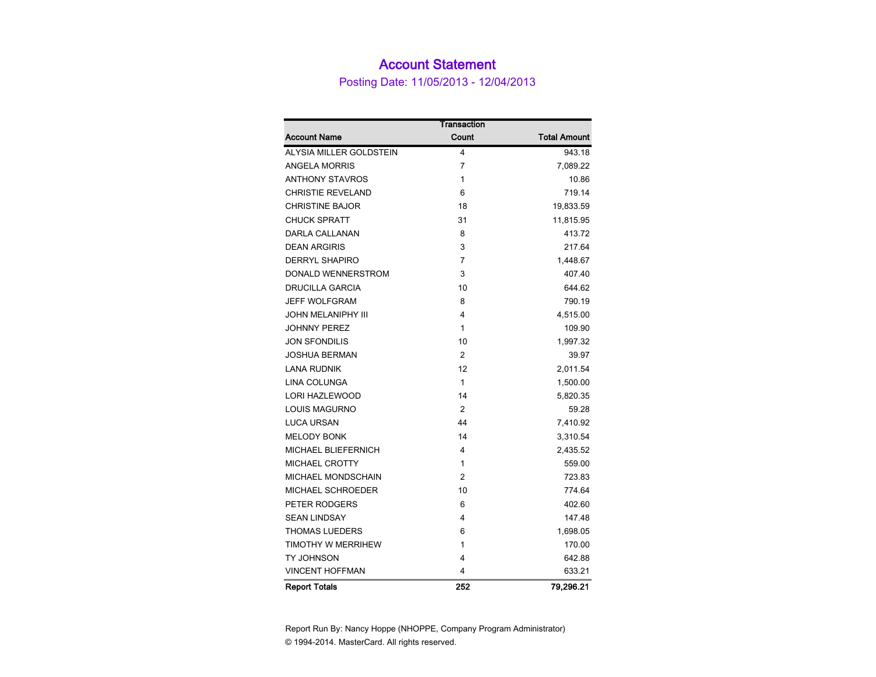### Account Statement

Posting Date: 11/05/2013 - 12/04/2013

|                            | Transaction    |                     |
|----------------------------|----------------|---------------------|
| <b>Account Name</b>        | Count          | <b>Total Amount</b> |
| ALYSIA MILLER GOLDSTEIN    | 4              | 943.18              |
| <b>ANGELA MORRIS</b>       | 7              | 7,089.22            |
| <b>ANTHONY STAVROS</b>     | $\mathbf{1}$   | 10.86               |
| <b>CHRISTIE REVELAND</b>   | 6              | 719.14              |
| <b>CHRISTINE BAJOR</b>     | 18             | 19,833.59           |
| <b>CHUCK SPRATT</b>        | 31             | 11,815.95           |
| DARLA CALLANAN             | 8              | 413.72              |
| <b>DEAN ARGIRIS</b>        | 3              | 217.64              |
| <b>DERRYL SHAPIRO</b>      | $\overline{7}$ | 1,448.67            |
| DONALD WENNERSTROM         | 3              | 407.40              |
| <b>DRUCILLA GARCIA</b>     | 10             | 644.62              |
| <b>JEFF WOLFGRAM</b>       | 8              | 790.19              |
| <b>JOHN MELANIPHY III</b>  | 4              | 4,515.00            |
| <b>JOHNNY PEREZ</b>        | $\mathbf{1}$   | 109.90              |
| <b>JON SFONDILIS</b>       | 10             | 1,997.32            |
| <b>JOSHUA BERMAN</b>       | $\overline{2}$ | 39.97               |
| <b>LANA RUDNIK</b>         | 12             | 2,011.54            |
| <b>LINA COLUNGA</b>        | $\mathbf{1}$   | 1,500.00            |
| <b>LORI HAZLEWOOD</b>      | 14             | 5,820.35            |
| <b>LOUIS MAGURNO</b>       | $\overline{2}$ | 59.28               |
| <b>LUCA URSAN</b>          | 44             | 7,410.92            |
| <b>MELODY BONK</b>         | 14             | 3,310.54            |
| <b>MICHAEL BLIEFERNICH</b> | 4              | 2,435.52            |
| <b>MICHAEL CROTTY</b>      | $\mathbf{1}$   | 559.00              |
| MICHAEL MONDSCHAIN         | $\overline{2}$ | 723.83              |
| MICHAEL SCHROEDER          | 10             | 774.64              |
| PETER RODGERS              | 6              | 402.60              |
| <b>SEAN LINDSAY</b>        | 4              | 147.48              |
| <b>THOMAS LUEDERS</b>      | 6              | 1,698.05            |
| TIMOTHY W MERRIHEW         | 1              | 170.00              |
| TY JOHNSON                 | 4              | 642.88              |
| <b>VINCENT HOFFMAN</b>     | 4              | 633.21              |
| <b>Report Totals</b>       | 252            | 79,296.21           |

Report Run By: Nancy Hoppe (NHOPPE, Company Program Administrator) © 1994-2014. MasterCard. All rights reserved.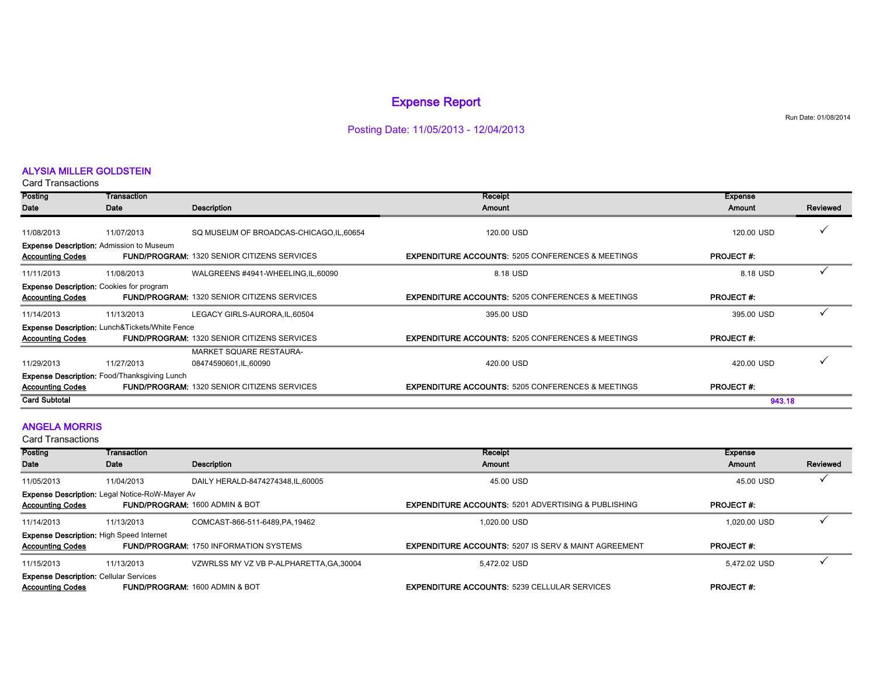#### Expense Report

Posting Date: 11/05/2013 - 12/04/2013

#### ALYSIA MILLER GOLDSTEIN

Card Transactions

| Posting                                                                    | Transaction                                         |                                                        | Receipt                                                      | <b>Expense</b>   |          |
|----------------------------------------------------------------------------|-----------------------------------------------------|--------------------------------------------------------|--------------------------------------------------------------|------------------|----------|
| Date                                                                       | Date                                                | Description                                            | Amount                                                       | <b>Amount</b>    | Reviewed |
| 11/08/2013                                                                 | 11/07/2013                                          | SQ MUSEUM OF BROADCAS-CHICAGO, IL, 60654               | 120.00 USD                                                   | 120.00 USD       |          |
| <b>Expense Description: Admission to Museum</b><br><b>Accounting Codes</b> |                                                     | <b>FUND/PROGRAM: 1320 SENIOR CITIZENS SERVICES</b>     | <b>EXPENDITURE ACCOUNTS: 5205 CONFERENCES &amp; MEETINGS</b> | <b>PROJECT#:</b> |          |
| 11/11/2013                                                                 | 11/08/2013                                          | WALGREENS #4941-WHEELING, IL, 60090                    | 8.18 USD                                                     | 8.18 USD         |          |
| <b>Expense Description: Cookies for program</b><br><b>Accounting Codes</b> |                                                     | <b>FUND/PROGRAM: 1320 SENIOR CITIZENS SERVICES</b>     | <b>EXPENDITURE ACCOUNTS: 5205 CONFERENCES &amp; MEETINGS</b> | <b>PROJECT#:</b> |          |
| 11/14/2013                                                                 | 11/13/2013                                          | LEGACY GIRLS-AURORA, IL, 60504                         | 395.00 USD                                                   | 395.00 USD       |          |
| <b>Accounting Codes</b>                                                    | Expense Description: Lunch&Tickets/White Fence      | <b>FUND/PROGRAM: 1320 SENIOR CITIZENS SERVICES</b>     | <b>EXPENDITURE ACCOUNTS: 5205 CONFERENCES &amp; MEETINGS</b> | <b>PROJECT#:</b> |          |
| 11/29/2013                                                                 | 11/27/2013                                          | <b>MARKET SQUARE RESTAURA-</b><br>08474590601,IL,60090 | 420.00 USD                                                   | 420.00 USD       |          |
| <b>Accounting Codes</b>                                                    | <b>Expense Description: Food/Thanksgiving Lunch</b> | <b>FUND/PROGRAM: 1320 SENIOR CITIZENS SERVICES</b>     | <b>EXPENDITURE ACCOUNTS: 5205 CONFERENCES &amp; MEETINGS</b> | <b>PROJECT#:</b> |          |
| <b>Card Subtotal</b>                                                       |                                                     |                                                        |                                                              | 943.18           |          |

#### ANGELA MORRIS

Card Transactions

| Posting                                                                                                                                                                                          | Transaction                                           |                                               | Receipt                                                         | <b>Expense</b>    |          |
|--------------------------------------------------------------------------------------------------------------------------------------------------------------------------------------------------|-------------------------------------------------------|-----------------------------------------------|-----------------------------------------------------------------|-------------------|----------|
| Date                                                                                                                                                                                             | Date                                                  | <b>Description</b>                            | Amount                                                          | Amount            | Reviewed |
| 11/05/2013                                                                                                                                                                                       | 11/04/2013                                            | DAILY HERALD-8474274348.IL.60005              | 45.00 USD                                                       | 45.00 USD         |          |
| <b>Accounting Codes</b>                                                                                                                                                                          | <b>Expense Description: Legal Notice-RoW-Mayer Av</b> | <b>FUND/PROGRAM: 1600 ADMIN &amp; BOT</b>     | <b>EXPENDITURE ACCOUNTS: 5201 ADVERTISING &amp; PUBLISHING</b>  | <b>PROJECT #:</b> |          |
| 11/14/2013                                                                                                                                                                                       | 11/13/2013                                            | COMCAST-866-511-6489.PA.19462                 | 1.020.00 USD                                                    | 1.020.00 USD      |          |
| <b>Expense Description: High Speed Internet</b><br><b>Accounting Codes</b>                                                                                                                       |                                                       | <b>FUND/PROGRAM: 1750 INFORMATION SYSTEMS</b> | <b>EXPENDITURE ACCOUNTS: 5207 IS SERV &amp; MAINT AGREEMENT</b> | <b>PROJECT#:</b>  |          |
| 11/15/2013                                                                                                                                                                                       | 11/13/2013                                            | VZWRLSS MY VZ VB P-ALPHARETTA.GA.30004        | 5.472.02 USD                                                    | 5.472.02 USD      |          |
| <b>Expense Description: Cellular Services</b><br><b>Accounting Codes</b><br><b>EXPENDITURE ACCOUNTS: 5239 CELLULAR SERVICES</b><br><b>PROJECT#:</b><br><b>FUND/PROGRAM: 1600 ADMIN &amp; BOT</b> |                                                       |                                               |                                                                 |                   |          |

Run Date: 01/08/2014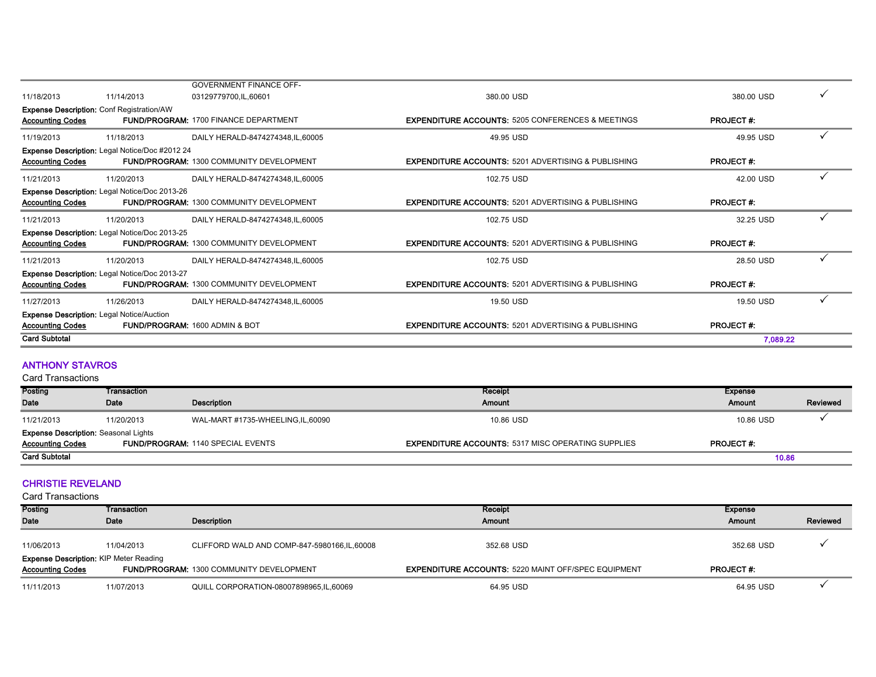|                         |                                                      |                                                 |                                                                | 7.089.22         |  |
|-------------------------|------------------------------------------------------|-------------------------------------------------|----------------------------------------------------------------|------------------|--|
| <b>Card Subtotal</b>    |                                                      |                                                 |                                                                |                  |  |
| <b>Accounting Codes</b> | <b>Expense Description: Legal Notice/Auction</b>     | <b>FUND/PROGRAM: 1600 ADMIN &amp; BOT</b>       | <b>EXPENDITURE ACCOUNTS: 5201 ADVERTISING &amp; PUBLISHING</b> | <b>PROJECT#:</b> |  |
| 11/27/2013              | 11/26/2013                                           | DAILY HERALD-8474274348, IL, 60005              | 19.50 USD                                                      | 19.50 USD        |  |
| <b>Accounting Codes</b> | Expense Description: Legal Notice/Doc 2013-27        | <b>FUND/PROGRAM: 1300 COMMUNITY DEVELOPMENT</b> | <b>EXPENDITURE ACCOUNTS: 5201 ADVERTISING &amp; PUBLISHING</b> | <b>PROJECT#:</b> |  |
| 11/21/2013              | 11/20/2013                                           | DAILY HERALD-8474274348, IL, 60005              | 102.75 USD                                                     | 28.50 USD        |  |
| <b>Accounting Codes</b> | <b>Expense Description: Legal Notice/Doc 2013-25</b> | <b>FUND/PROGRAM: 1300 COMMUNITY DEVELOPMENT</b> | <b>EXPENDITURE ACCOUNTS: 5201 ADVERTISING &amp; PUBLISHING</b> | <b>PROJECT#:</b> |  |
| 11/21/2013              | 11/20/2013                                           | DAILY HERALD-8474274348, IL, 60005              | 102.75 USD                                                     | 32.25 USD        |  |
| <b>Accounting Codes</b> | Expense Description: Legal Notice/Doc 2013-26        | <b>FUND/PROGRAM: 1300 COMMUNITY DEVELOPMENT</b> | <b>EXPENDITURE ACCOUNTS: 5201 ADVERTISING &amp; PUBLISHING</b> | <b>PROJECT#:</b> |  |
| 11/21/2013              | 11/20/2013                                           | DAILY HERALD-8474274348, IL, 60005              | 102.75 USD                                                     | 42.00 USD        |  |
| <b>Accounting Codes</b> | Expense Description: Legal Notice/Doc #2012 24       | FUND/PROGRAM: 1300 COMMUNITY DEVELOPMENT        | <b>EXPENDITURE ACCOUNTS: 5201 ADVERTISING &amp; PUBLISHING</b> | <b>PROJECT#:</b> |  |
| 11/19/2013              | 11/18/2013                                           | DAILY HERALD-8474274348.IL.60005                | 49.95 USD                                                      | 49.95 USD        |  |
| <b>Accounting Codes</b> | <b>Expense Description: Conf Registration/AW</b>     | <b>FUND/PROGRAM: 1700 FINANCE DEPARTMENT</b>    | <b>EXPENDITURE ACCOUNTS: 5205 CONFERENCES &amp; MEETINGS</b>   | <b>PROJECT#:</b> |  |
| 11/18/2013              | 11/14/2013                                           | 03129779700,IL,60601                            | 380.00 USD                                                     | 380.00 USD       |  |
|                         |                                                      | <b>GOVERNMENT FINANCE OFF-</b>                  |                                                                |                  |  |

#### ANTHONY STAVROS

Card Transactions

| Posting                                     | Transaction |                                          | Receipt                                                   | Expense          |          |
|---------------------------------------------|-------------|------------------------------------------|-----------------------------------------------------------|------------------|----------|
| Date                                        | Date        | Description                              | Amount                                                    | Amount           | Reviewed |
| 11/21/2013                                  | 11/20/2013  | WAL-MART #1735-WHEELING,IL,60090         | 10.86 USD                                                 | 10.86 USD        |          |
| <b>Expense Description: Seasonal Lights</b> |             |                                          |                                                           |                  |          |
| <b>Accounting Codes</b>                     |             | <b>FUND/PROGRAM: 1140 SPECIAL EVENTS</b> | <b>EXPENDITURE ACCOUNTS: 5317 MISC OPERATING SUPPLIES</b> | <b>PROJECT#:</b> |          |
| <b>Card Subtotal</b>                        |             |                                          |                                                           | 10.86            |          |

#### CHRISTIE REVELAND

| Posting                                       | Transaction |                                                 | Receipt                                                    | Expense          |          |
|-----------------------------------------------|-------------|-------------------------------------------------|------------------------------------------------------------|------------------|----------|
| Date                                          | Date        | Description                                     | Amount                                                     | Amount           | Reviewed |
|                                               |             |                                                 |                                                            |                  |          |
| 11/06/2013                                    | 11/04/2013  | CLIFFORD WALD AND COMP-847-5980166, IL, 60008   | 352.68 USD                                                 | 352.68 USD       |          |
| <b>Expense Description: KIP Meter Reading</b> |             |                                                 |                                                            |                  |          |
| <b>Accounting Codes</b>                       |             | <b>FUND/PROGRAM: 1300 COMMUNITY DEVELOPMENT</b> | <b>EXPENDITURE ACCOUNTS: 5220 MAINT OFF/SPEC EQUIPMENT</b> | <b>PROJECT#:</b> |          |
| 11/11/2013                                    | 11/07/2013  | QUILL CORPORATION-08007898965,IL,60069          | 64.95 USD                                                  | 64.95 USD        |          |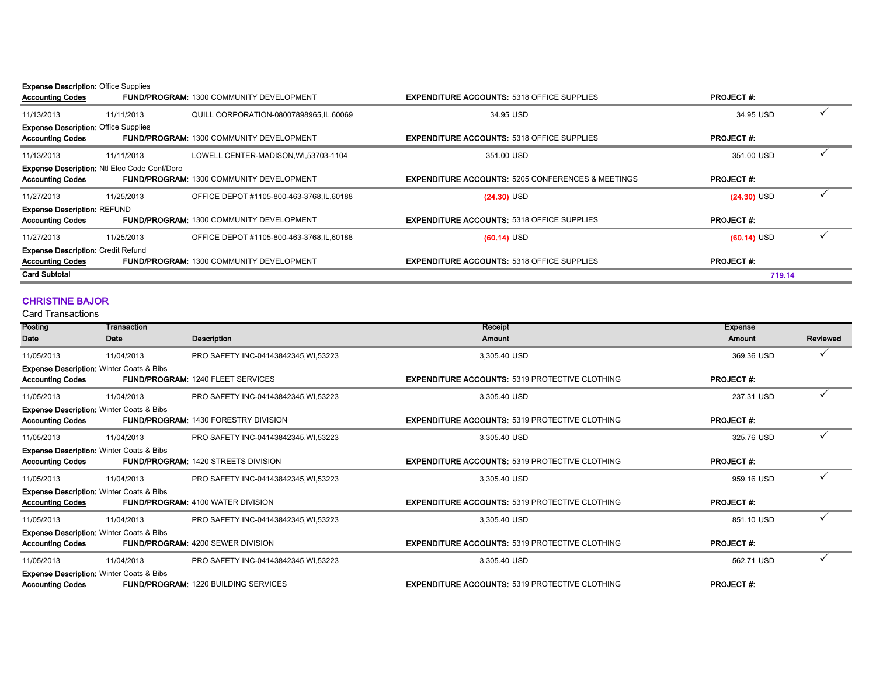#### **Expense Description: Office Supplies**

| <b>Accounting Codes</b>                     |                                                     | <b>FUND/PROGRAM: 1300 COMMUNITY DEVELOPMENT</b> | <b>EXPENDITURE ACCOUNTS: 5318 OFFICE SUPPLIES</b>            | <b>PROJECT#:</b> |  |
|---------------------------------------------|-----------------------------------------------------|-------------------------------------------------|--------------------------------------------------------------|------------------|--|
| 11/13/2013                                  | 11/11/2013                                          | QUILL CORPORATION-08007898965, IL, 60069        | 34.95 USD                                                    | 34.95 USD        |  |
| <b>Expense Description: Office Supplies</b> |                                                     |                                                 |                                                              |                  |  |
| <b>Accounting Codes</b>                     |                                                     | <b>FUND/PROGRAM: 1300 COMMUNITY DEVELOPMENT</b> | <b>EXPENDITURE ACCOUNTS: 5318 OFFICE SUPPLIES</b>            | <b>PROJECT#:</b> |  |
| 11/13/2013                                  | 11/11/2013                                          | LOWELL CENTER-MADISON, WI, 53703-1104           | 351.00 USD                                                   | 351.00 USD       |  |
|                                             | <b>Expense Description: Ntl Elec Code Conf/Doro</b> |                                                 |                                                              |                  |  |
| <b>Accounting Codes</b>                     |                                                     | <b>FUND/PROGRAM: 1300 COMMUNITY DEVELOPMENT</b> | <b>EXPENDITURE ACCOUNTS: 5205 CONFERENCES &amp; MEETINGS</b> | <b>PROJECT#:</b> |  |
| 11/27/2013                                  | 11/25/2013                                          | OFFICE DEPOT #1105-800-463-3768, IL, 60188      | $(24.30)$ USD                                                | $(24.30)$ USD    |  |
| <b>Expense Description: REFUND</b>          |                                                     |                                                 |                                                              |                  |  |
| <b>Accounting Codes</b>                     |                                                     | <b>FUND/PROGRAM: 1300 COMMUNITY DEVELOPMENT</b> | <b>EXPENDITURE ACCOUNTS: 5318 OFFICE SUPPLIES</b>            | <b>PROJECT#:</b> |  |
| 11/27/2013                                  | 11/25/2013                                          | OFFICE DEPOT #1105-800-463-3768, IL, 60188      | $(60.14)$ USD                                                | $(60.14)$ USD    |  |
| <b>Expense Description: Credit Refund</b>   |                                                     |                                                 |                                                              |                  |  |
| <b>Accounting Codes</b>                     |                                                     | <b>FUND/PROGRAM: 1300 COMMUNITY DEVELOPMENT</b> | <b>EXPENDITURE ACCOUNTS: 5318 OFFICE SUPPLIES</b>            | <b>PROJECT#:</b> |  |
| <b>Card Subtotal</b>                        |                                                     |                                                 |                                                              | 719.14           |  |
|                                             |                                                     |                                                 |                                                              |                  |  |

#### CHRISTINE BAJOR

| Posting                 | Transaction                                         |                                             | Receipt                                               | <b>Expense</b>   |          |
|-------------------------|-----------------------------------------------------|---------------------------------------------|-------------------------------------------------------|------------------|----------|
| Date                    | Date                                                | Description                                 | <b>Amount</b>                                         | Amount           | Reviewed |
| 11/05/2013              | 11/04/2013                                          | PRO SAFETY INC-04143842345, WI, 53223       | 3,305.40 USD                                          | 369.36 USD       |          |
|                         | <b>Expense Description: Winter Coats &amp; Bibs</b> |                                             |                                                       |                  |          |
| <b>Accounting Codes</b> |                                                     | <b>FUND/PROGRAM: 1240 FLEET SERVICES</b>    | <b>EXPENDITURE ACCOUNTS: 5319 PROTECTIVE CLOTHING</b> | <b>PROJECT#:</b> |          |
| 11/05/2013              | 11/04/2013                                          | PRO SAFETY INC-04143842345, WI, 53223       | 3,305.40 USD                                          | 237.31 USD       |          |
|                         | <b>Expense Description: Winter Coats &amp; Bibs</b> |                                             |                                                       |                  |          |
| <b>Accounting Codes</b> |                                                     | <b>FUND/PROGRAM: 1430 FORESTRY DIVISION</b> | <b>EXPENDITURE ACCOUNTS: 5319 PROTECTIVE CLOTHING</b> | <b>PROJECT#:</b> |          |
| 11/05/2013              | 11/04/2013                                          | PRO SAFETY INC-04143842345, WI, 53223       | 3.305.40 USD                                          | 325.76 USD       |          |
|                         | <b>Expense Description: Winter Coats &amp; Bibs</b> |                                             |                                                       |                  |          |
| <b>Accounting Codes</b> |                                                     | <b>FUND/PROGRAM: 1420 STREETS DIVISION</b>  | <b>EXPENDITURE ACCOUNTS: 5319 PROTECTIVE CLOTHING</b> | <b>PROJECT#:</b> |          |
| 11/05/2013              | 11/04/2013                                          | PRO SAFETY INC-04143842345.WI.53223         | 3.305.40 USD                                          | 959.16 USD       |          |
|                         | <b>Expense Description: Winter Coats &amp; Bibs</b> |                                             |                                                       |                  |          |
| <b>Accounting Codes</b> |                                                     | <b>FUND/PROGRAM: 4100 WATER DIVISION</b>    | <b>EXPENDITURE ACCOUNTS: 5319 PROTECTIVE CLOTHING</b> | <b>PROJECT#:</b> |          |
| 11/05/2013              | 11/04/2013                                          | PRO SAFETY INC-04143842345.WI.53223         | 3.305.40 USD                                          | 851.10 USD       |          |
|                         | <b>Expense Description: Winter Coats &amp; Bibs</b> |                                             |                                                       |                  |          |
| <b>Accounting Codes</b> |                                                     | <b>FUND/PROGRAM: 4200 SEWER DIVISION</b>    | <b>EXPENDITURE ACCOUNTS: 5319 PROTECTIVE CLOTHING</b> | <b>PROJECT#:</b> |          |
| 11/05/2013              | 11/04/2013                                          | PRO SAFETY INC-04143842345, WI, 53223       | 3,305.40 USD                                          | 562.71 USD       | ✓        |
|                         | <b>Expense Description: Winter Coats &amp; Bibs</b> |                                             |                                                       |                  |          |
| <b>Accounting Codes</b> |                                                     | <b>FUND/PROGRAM: 1220 BUILDING SERVICES</b> | <b>EXPENDITURE ACCOUNTS: 5319 PROTECTIVE CLOTHING</b> | <b>PROJECT#:</b> |          |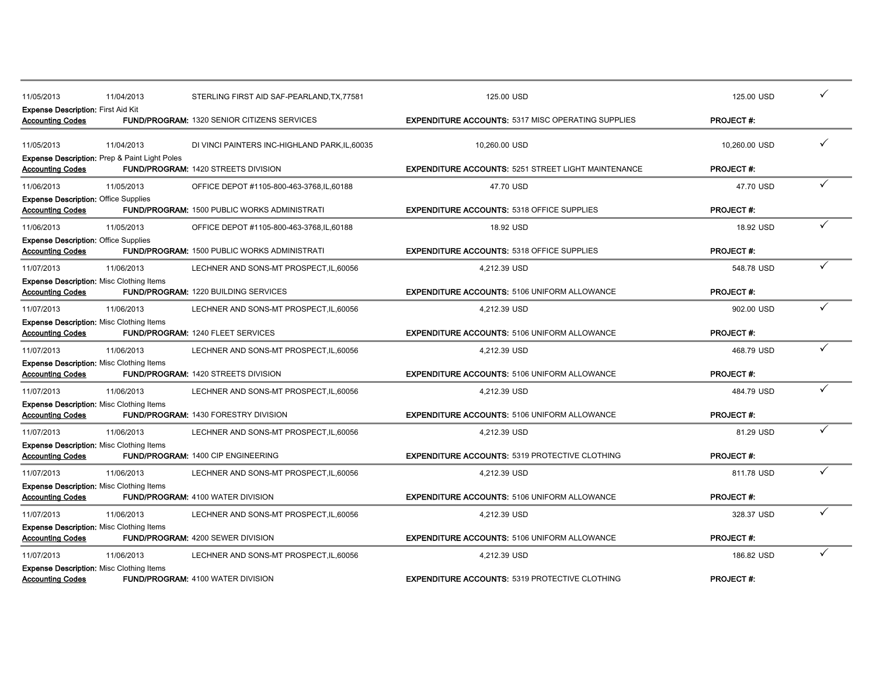| 11/05/2013                                                             | 11/04/2013                                               | STERLING FIRST AID SAF-PEARLAND, TX, 77581          | 125.00 USD                                                 | 125.00 USD       |  |
|------------------------------------------------------------------------|----------------------------------------------------------|-----------------------------------------------------|------------------------------------------------------------|------------------|--|
| <b>Expense Description: First Aid Kit</b><br><b>Accounting Codes</b>   |                                                          | <b>FUND/PROGRAM: 1320 SENIOR CITIZENS SERVICES</b>  | <b>EXPENDITURE ACCOUNTS: 5317 MISC OPERATING SUPPLIES</b>  | <b>PROJECT#:</b> |  |
| 11/05/2013                                                             | 11/04/2013                                               | DI VINCI PAINTERS INC-HIGHLAND PARK, IL, 60035      | 10,260.00 USD                                              | 10,260.00 USD    |  |
| <b>Accounting Codes</b>                                                | <b>Expense Description: Prep &amp; Paint Light Poles</b> | <b>FUND/PROGRAM: 1420 STREETS DIVISION</b>          | <b>EXPENDITURE ACCOUNTS: 5251 STREET LIGHT MAINTENANCE</b> | <b>PROJECT#:</b> |  |
| 11/06/2013                                                             | 11/05/2013                                               | OFFICE DEPOT #1105-800-463-3768, IL, 60188          | 47.70 USD                                                  | 47.70 USD        |  |
| <b>Expense Description: Office Supplies</b><br><b>Accounting Codes</b> |                                                          | <b>FUND/PROGRAM: 1500 PUBLIC WORKS ADMINISTRATI</b> | <b>EXPENDITURE ACCOUNTS: 5318 OFFICE SUPPLIES</b>          | <b>PROJECT#:</b> |  |
| 11/06/2013                                                             | 11/05/2013                                               | OFFICE DEPOT #1105-800-463-3768, IL, 60188          | 18.92 USD                                                  | 18.92 USD        |  |
| <b>Expense Description: Office Supplies</b><br><b>Accounting Codes</b> |                                                          | <b>FUND/PROGRAM: 1500 PUBLIC WORKS ADMINISTRATI</b> | <b>EXPENDITURE ACCOUNTS: 5318 OFFICE SUPPLIES</b>          | <b>PROJECT#:</b> |  |
| 11/07/2013                                                             | 11/06/2013                                               | LECHNER AND SONS-MT PROSPECT, IL, 60056             | 4.212.39 USD                                               | 548.78 USD       |  |
| <b>Accounting Codes</b>                                                | <b>Expense Description: Misc Clothing Items</b>          | <b>FUND/PROGRAM: 1220 BUILDING SERVICES</b>         | <b>EXPENDITURE ACCOUNTS: 5106 UNIFORM ALLOWANCE</b>        | <b>PROJECT#:</b> |  |
| 11/07/2013                                                             | 11/06/2013                                               | LECHNER AND SONS-MT PROSPECT, IL, 60056             | 4,212.39 USD                                               | 902.00 USD       |  |
| <b>Accounting Codes</b>                                                | <b>Expense Description: Misc Clothing Items</b>          | FUND/PROGRAM: 1240 FLEET SERVICES                   | <b>EXPENDITURE ACCOUNTS: 5106 UNIFORM ALLOWANCE</b>        | <b>PROJECT#:</b> |  |
| 11/07/2013                                                             | 11/06/2013                                               | LECHNER AND SONS-MT PROSPECT, IL, 60056             | 4,212.39 USD                                               | 468.79 USD       |  |
| <b>Accounting Codes</b>                                                | <b>Expense Description: Misc Clothing Items</b>          | <b>FUND/PROGRAM: 1420 STREETS DIVISION</b>          | <b>EXPENDITURE ACCOUNTS: 5106 UNIFORM ALLOWANCE</b>        | <b>PROJECT#:</b> |  |
| 11/07/2013                                                             | 11/06/2013                                               | LECHNER AND SONS-MT PROSPECT, IL, 60056             | 4,212.39 USD                                               | 484.79 USD       |  |
| <b>Accounting Codes</b>                                                | <b>Expense Description: Misc Clothing Items</b>          | FUND/PROGRAM: 1430 FORESTRY DIVISION                | <b>EXPENDITURE ACCOUNTS: 5106 UNIFORM ALLOWANCE</b>        | <b>PROJECT#:</b> |  |
| 11/07/2013                                                             | 11/06/2013                                               | LECHNER AND SONS-MT PROSPECT, IL, 60056             | 4,212.39 USD                                               | 81.29 USD        |  |
| <b>Accounting Codes</b>                                                | <b>Expense Description: Misc Clothing Items</b>          | <b>FUND/PROGRAM: 1400 CIP ENGINEERING</b>           | <b>EXPENDITURE ACCOUNTS: 5319 PROTECTIVE CLOTHING</b>      | <b>PROJECT#:</b> |  |
| 11/07/2013                                                             | 11/06/2013                                               | LECHNER AND SONS-MT PROSPECT, IL, 60056             | 4,212.39 USD                                               | 811.78 USD       |  |
| <b>Accounting Codes</b>                                                | Expense Description: Misc Clothing Items                 | FUND/PROGRAM: 4100 WATER DIVISION                   | <b>EXPENDITURE ACCOUNTS: 5106 UNIFORM ALLOWANCE</b>        | <b>PROJECT#:</b> |  |
| 11/07/2013                                                             | 11/06/2013                                               | LECHNER AND SONS-MT PROSPECT, IL, 60056             | 4,212.39 USD                                               | 328.37 USD       |  |
| <b>Accounting Codes</b>                                                | <b>Expense Description: Misc Clothing Items</b>          | FUND/PROGRAM: 4200 SEWER DIVISION                   | <b>EXPENDITURE ACCOUNTS: 5106 UNIFORM ALLOWANCE</b>        | <b>PROJECT#:</b> |  |
| 11/07/2013                                                             | 11/06/2013                                               | LECHNER AND SONS-MT PROSPECT, IL, 60056             | 4.212.39 USD                                               | 186.82 USD       |  |
| <b>Accounting Codes</b>                                                | <b>Expense Description: Misc Clothing Items</b>          | <b>FUND/PROGRAM: 4100 WATER DIVISION</b>            | <b>EXPENDITURE ACCOUNTS: 5319 PROTECTIVE CLOTHING</b>      | <b>PROJECT#:</b> |  |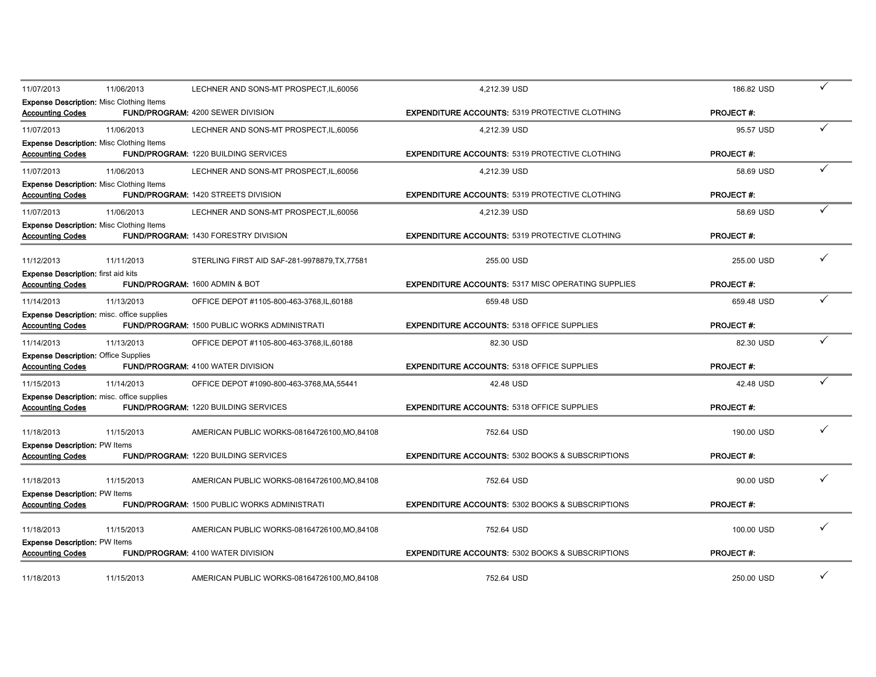| 11/07/2013                                                             | 11/06/2013                                        | LECHNER AND SONS-MT PROSPECT, IL, 60056             | 4,212.39 USD                                                | 186.82 USD       | ✓ |
|------------------------------------------------------------------------|---------------------------------------------------|-----------------------------------------------------|-------------------------------------------------------------|------------------|---|
| <b>Accounting Codes</b>                                                | <b>Expense Description: Misc Clothing Items</b>   | FUND/PROGRAM: 4200 SEWER DIVISION                   | <b>EXPENDITURE ACCOUNTS: 5319 PROTECTIVE CLOTHING</b>       | <b>PROJECT#:</b> |   |
| 11/07/2013                                                             | 11/06/2013                                        | LECHNER AND SONS-MT PROSPECT, IL, 60056             | 4,212.39 USD                                                | 95.57 USD        | ✓ |
| <b>Accounting Codes</b>                                                | <b>Expense Description: Misc Clothing Items</b>   | <b>FUND/PROGRAM: 1220 BUILDING SERVICES</b>         | <b>EXPENDITURE ACCOUNTS: 5319 PROTECTIVE CLOTHING</b>       | <b>PROJECT#:</b> |   |
| 11/07/2013                                                             | 11/06/2013                                        | LECHNER AND SONS-MT PROSPECT, IL, 60056             | 4.212.39 USD                                                | 58.69 USD        |   |
| <b>Accounting Codes</b>                                                | <b>Expense Description: Misc Clothing Items</b>   | <b>FUND/PROGRAM: 1420 STREETS DIVISION</b>          | <b>EXPENDITURE ACCOUNTS: 5319 PROTECTIVE CLOTHING</b>       | <b>PROJECT#:</b> |   |
| 11/07/2013                                                             | 11/06/2013                                        | LECHNER AND SONS-MT PROSPECT, IL, 60056             | 4,212.39 USD                                                | 58.69 USD        |   |
| <b>Accounting Codes</b>                                                | <b>Expense Description: Misc Clothing Items</b>   | <b>FUND/PROGRAM: 1430 FORESTRY DIVISION</b>         | <b>EXPENDITURE ACCOUNTS: 5319 PROTECTIVE CLOTHING</b>       | <b>PROJECT#:</b> |   |
| 11/12/2013                                                             | 11/11/2013                                        | STERLING FIRST AID SAF-281-9978879, TX, 77581       | 255.00 USD                                                  | 255.00 USD       |   |
| <b>Expense Description:</b> first aid kits<br><b>Accounting Codes</b>  |                                                   | <b>FUND/PROGRAM: 1600 ADMIN &amp; BOT</b>           | <b>EXPENDITURE ACCOUNTS: 5317 MISC OPERATING SUPPLIES</b>   | <b>PROJECT#:</b> |   |
| 11/14/2013                                                             | 11/13/2013                                        | OFFICE DEPOT #1105-800-463-3768, IL, 60188          | 659.48 USD                                                  | 659.48 USD       | ✓ |
| <b>Accounting Codes</b>                                                | <b>Expense Description:</b> misc. office supplies | FUND/PROGRAM: 1500 PUBLIC WORKS ADMINISTRATI        | <b>EXPENDITURE ACCOUNTS: 5318 OFFICE SUPPLIES</b>           | <b>PROJECT#:</b> |   |
| 11/14/2013                                                             | 11/13/2013                                        | OFFICE DEPOT #1105-800-463-3768, IL, 60188          | 82.30 USD                                                   | 82.30 USD        |   |
| <b>Expense Description: Office Supplies</b><br><b>Accounting Codes</b> |                                                   | <b>FUND/PROGRAM: 4100 WATER DIVISION</b>            | <b>EXPENDITURE ACCOUNTS: 5318 OFFICE SUPPLIES</b>           | <b>PROJECT#:</b> |   |
| 11/15/2013                                                             | 11/14/2013                                        | OFFICE DEPOT #1090-800-463-3768, MA, 55441          | 42.48 USD                                                   | 42.48 USD        |   |
| <b>Accounting Codes</b>                                                | <b>Expense Description: misc. office supplies</b> | <b>FUND/PROGRAM: 1220 BUILDING SERVICES</b>         | <b>EXPENDITURE ACCOUNTS: 5318 OFFICE SUPPLIES</b>           | <b>PROJECT#:</b> |   |
| 11/18/2013                                                             | 11/15/2013                                        | AMERICAN PUBLIC WORKS-08164726100, MO, 84108        | 752.64 USD                                                  | 190.00 USD       | ✓ |
| <b>Expense Description: PW Items</b><br><b>Accounting Codes</b>        |                                                   | <b>FUND/PROGRAM: 1220 BUILDING SERVICES</b>         | <b>EXPENDITURE ACCOUNTS: 5302 BOOKS &amp; SUBSCRIPTIONS</b> | <b>PROJECT#:</b> |   |
| 11/18/2013                                                             | 11/15/2013                                        | AMERICAN PUBLIC WORKS-08164726100, MO.84108         | 752.64 USD                                                  | 90.00 USD        |   |
| <b>Expense Description: PW Items</b><br><b>Accounting Codes</b>        |                                                   | <b>FUND/PROGRAM: 1500 PUBLIC WORKS ADMINISTRATI</b> | <b>EXPENDITURE ACCOUNTS: 5302 BOOKS &amp; SUBSCRIPTIONS</b> | <b>PROJECT#:</b> |   |
| 11/18/2013                                                             | 11/15/2013                                        | AMERICAN PUBLIC WORKS-08164726100, MO.84108         | 752.64 USD                                                  | 100.00 USD       | ✓ |
| <b>Expense Description: PW Items</b><br><b>Accounting Codes</b>        |                                                   | <b>FUND/PROGRAM: 4100 WATER DIVISION</b>            | <b>EXPENDITURE ACCOUNTS: 5302 BOOKS &amp; SUBSCRIPTIONS</b> | <b>PROJECT#:</b> |   |
|                                                                        |                                                   |                                                     |                                                             |                  |   |
| 11/18/2013                                                             | 11/15/2013                                        | AMERICAN PUBLIC WORKS-08164726100.MO.84108          | 752.64 USD                                                  | 250.00 USD       | ✓ |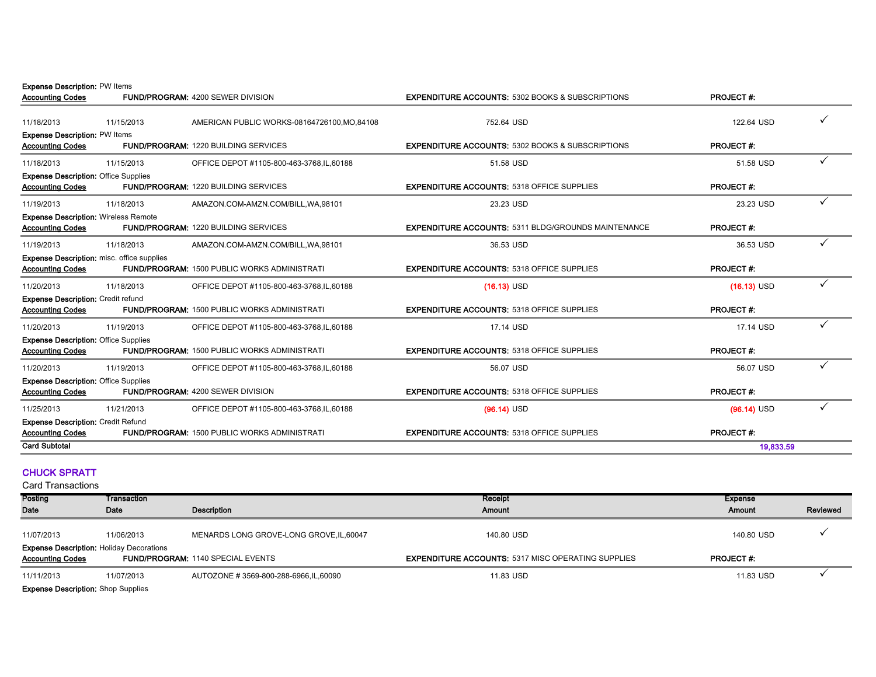Expense Description: PW Items

| <b>Accounting Codes</b>                                                |                                                   | <b>FUND/PROGRAM: 4200 SEWER DIVISION</b>            | <b>EXPENDITURE ACCOUNTS: 5302 BOOKS &amp; SUBSCRIPTIONS</b> | <b>PROJECT#:</b> |  |
|------------------------------------------------------------------------|---------------------------------------------------|-----------------------------------------------------|-------------------------------------------------------------|------------------|--|
| 11/18/2013                                                             | 11/15/2013                                        | AMERICAN PUBLIC WORKS-08164726100, MO.84108         | 752.64 USD                                                  | 122.64 USD       |  |
| <b>Expense Description: PW Items</b><br><b>Accounting Codes</b>        |                                                   | <b>FUND/PROGRAM: 1220 BUILDING SERVICES</b>         | <b>EXPENDITURE ACCOUNTS: 5302 BOOKS &amp; SUBSCRIPTIONS</b> | <b>PROJECT#:</b> |  |
| 11/18/2013                                                             | 11/15/2013                                        | OFFICE DEPOT #1105-800-463-3768, IL, 60188          | 51.58 USD                                                   | 51.58 USD        |  |
| <b>Expense Description: Office Supplies</b><br><b>Accounting Codes</b> |                                                   | <b>FUND/PROGRAM: 1220 BUILDING SERVICES</b>         | <b>EXPENDITURE ACCOUNTS: 5318 OFFICE SUPPLIES</b>           | <b>PROJECT#:</b> |  |
| 11/19/2013                                                             | 11/18/2013                                        | AMAZON.COM-AMZN.COM/BILL, WA, 98101                 | 23.23 USD                                                   | 23.23 USD        |  |
| <b>Expense Description: Wireless Remote</b><br><b>Accounting Codes</b> |                                                   | <b>FUND/PROGRAM: 1220 BUILDING SERVICES</b>         | <b>EXPENDITURE ACCOUNTS: 5311 BLDG/GROUNDS MAINTENANCE</b>  | <b>PROJECT#:</b> |  |
| 11/19/2013                                                             | 11/18/2013                                        | AMAZON.COM-AMZN.COM/BILL, WA, 98101                 | 36.53 USD                                                   | 36.53 USD        |  |
| <b>Accounting Codes</b>                                                | <b>Expense Description:</b> misc. office supplies | <b>FUND/PROGRAM: 1500 PUBLIC WORKS ADMINISTRATI</b> | <b>EXPENDITURE ACCOUNTS: 5318 OFFICE SUPPLIES</b>           | <b>PROJECT#:</b> |  |
| 11/20/2013                                                             | 11/18/2013                                        | OFFICE DEPOT #1105-800-463-3768, IL, 60188          | $(16.13)$ USD                                               | $(16.13)$ USD    |  |
| <b>Expense Description: Credit refund</b><br><b>Accounting Codes</b>   |                                                   | <b>FUND/PROGRAM: 1500 PUBLIC WORKS ADMINISTRATI</b> | <b>EXPENDITURE ACCOUNTS: 5318 OFFICE SUPPLIES</b>           | <b>PROJECT#:</b> |  |
| 11/20/2013                                                             | 11/19/2013                                        | OFFICE DEPOT #1105-800-463-3768, IL, 60188          | 17.14 USD                                                   | 17.14 USD        |  |
| <b>Expense Description: Office Supplies</b><br><b>Accounting Codes</b> |                                                   | FUND/PROGRAM: 1500 PUBLIC WORKS ADMINISTRATI        | <b>EXPENDITURE ACCOUNTS: 5318 OFFICE SUPPLIES</b>           | <b>PROJECT#:</b> |  |
| 11/20/2013                                                             | 11/19/2013                                        | OFFICE DEPOT #1105-800-463-3768,IL,60188            | 56.07 USD                                                   | 56.07 USD        |  |
| <b>Expense Description: Office Supplies</b><br><b>Accounting Codes</b> |                                                   | <b>FUND/PROGRAM: 4200 SEWER DIVISION</b>            | <b>EXPENDITURE ACCOUNTS: 5318 OFFICE SUPPLIES</b>           | <b>PROJECT#:</b> |  |
| 11/25/2013                                                             | 11/21/2013                                        | OFFICE DEPOT #1105-800-463-3768, IL, 60188          | $(96.14)$ USD                                               | $(96.14)$ USD    |  |
| <b>Expense Description: Credit Refund</b><br><b>Accounting Codes</b>   |                                                   | <b>FUND/PROGRAM: 1500 PUBLIC WORKS ADMINISTRATI</b> | <b>EXPENDITURE ACCOUNTS: 5318 OFFICE SUPPLIES</b>           | <b>PROJECT#:</b> |  |
| <b>Card Subtotal</b>                                                   |                                                   |                                                     |                                                             | 19.833.59        |  |
|                                                                        |                                                   |                                                     |                                                             |                  |  |

#### CHUCK SPRATT

| Posting                                   | Transaction                                     |                                          | Receipt                                                   | Expense          |          |  |  |  |
|-------------------------------------------|-------------------------------------------------|------------------------------------------|-----------------------------------------------------------|------------------|----------|--|--|--|
| Date                                      | Date                                            | Description                              | Amount                                                    | Amount           | Reviewed |  |  |  |
| 11/07/2013                                | 11/06/2013                                      | MENARDS LONG GROVE-LONG GROVE, IL, 60047 | 140.80 USD                                                | 140.80 USD       |          |  |  |  |
| <b>Accounting Codes</b>                   | <b>Expense Description: Holiday Decorations</b> | <b>FUND/PROGRAM: 1140 SPECIAL EVENTS</b> | <b>EXPENDITURE ACCOUNTS: 5317 MISC OPERATING SUPPLIES</b> | <b>PROJECT#:</b> |          |  |  |  |
| 11/11/2013                                | 11/07/2013                                      | AUTOZONE # 3569-800-288-6966, IL, 60090  | 11.83 USD                                                 | 11.83 USD        |          |  |  |  |
| <b>Expense Description:</b> Shop Supplies |                                                 |                                          |                                                           |                  |          |  |  |  |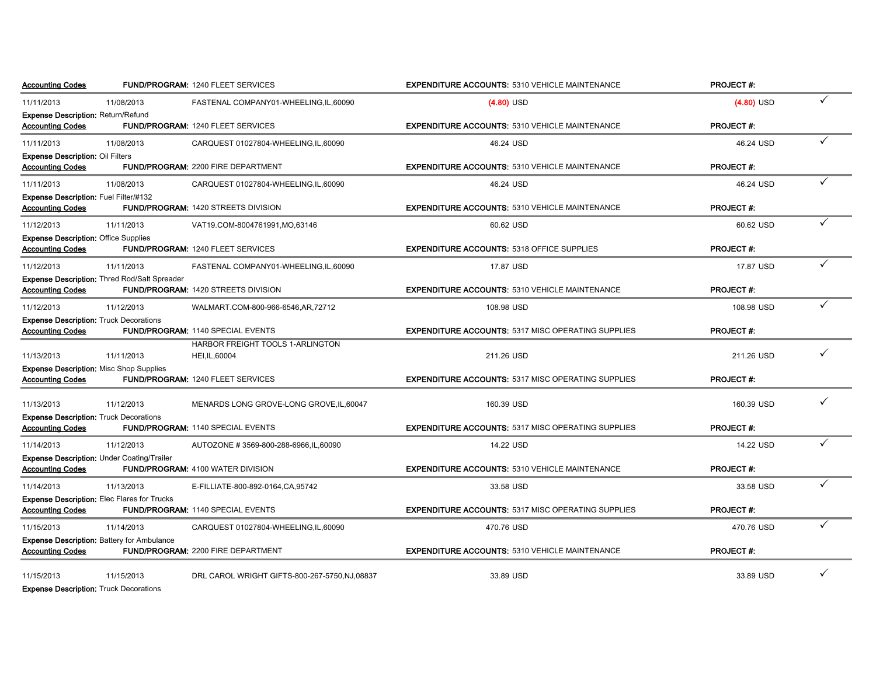| <b>Accounting Codes</b>                                     |                                                    | <b>FUND/PROGRAM: 1240 FLEET SERVICES</b>       | <b>EXPENDITURE ACCOUNTS: 5310 VEHICLE MAINTENANCE</b>     | <b>PROJECT#:</b> |              |
|-------------------------------------------------------------|----------------------------------------------------|------------------------------------------------|-----------------------------------------------------------|------------------|--------------|
| 11/11/2013                                                  | 11/08/2013                                         | FASTENAL COMPANY01-WHEELING,IL,60090           | $(4.80)$ USD                                              | $(4.80)$ USD     | $\checkmark$ |
| Expense Description: Return/Refund                          |                                                    |                                                |                                                           |                  |              |
| <b>Accounting Codes</b>                                     |                                                    | FUND/PROGRAM: 1240 FLEET SERVICES              | <b>EXPENDITURE ACCOUNTS: 5310 VEHICLE MAINTENANCE</b>     | <b>PROJECT#:</b> |              |
| 11/11/2013                                                  | 11/08/2013                                         | CARQUEST 01027804-WHEELING.IL.60090            | 46.24 USD                                                 | 46.24 USD        | $\checkmark$ |
| <b>Expense Description: Oil Filters</b>                     |                                                    |                                                |                                                           |                  |              |
| <b>Accounting Codes</b>                                     |                                                    | <b>FUND/PROGRAM: 2200 FIRE DEPARTMENT</b>      | <b>EXPENDITURE ACCOUNTS: 5310 VEHICLE MAINTENANCE</b>     | <b>PROJECT#:</b> |              |
| 11/11/2013                                                  | 11/08/2013                                         | CARQUEST 01027804-WHEELING,IL,60090            | 46.24 USD                                                 | 46.24 USD        | ✓            |
| Expense Description: Fuel Filter/#132                       |                                                    |                                                |                                                           |                  |              |
| <b>Accounting Codes</b>                                     |                                                    | FUND/PROGRAM: 1420 STREETS DIVISION            | <b>EXPENDITURE ACCOUNTS: 5310 VEHICLE MAINTENANCE</b>     | <b>PROJECT#:</b> |              |
| 11/12/2013                                                  | 11/11/2013                                         | VAT19.COM-8004761991,MO,63146                  | 60.62 USD                                                 | 60.62 USD        | ✓            |
| <b>Expense Description: Office Supplies</b>                 |                                                    |                                                |                                                           |                  |              |
| <b>Accounting Codes</b>                                     |                                                    | FUND/PROGRAM: 1240 FLEET SERVICES              | <b>EXPENDITURE ACCOUNTS: 5318 OFFICE SUPPLIES</b>         | <b>PROJECT#:</b> |              |
| 11/12/2013                                                  | 11/11/2013                                         | FASTENAL COMPANY01-WHEELING,IL,60090           | 17.87 USD                                                 | 17.87 USD        | ✓            |
|                                                             | Expense Description: Thred Rod/Salt Spreader       |                                                |                                                           |                  |              |
| <b>Accounting Codes</b>                                     |                                                    | <b>FUND/PROGRAM: 1420 STREETS DIVISION</b>     | <b>EXPENDITURE ACCOUNTS: 5310 VEHICLE MAINTENANCE</b>     | <b>PROJECT#:</b> |              |
| 11/12/2013                                                  | 11/12/2013                                         | WALMART.COM-800-966-6546,AR,72712              | 108.98 USD                                                | 108.98 USD       | ✓            |
| <b>Expense Description: Truck Decorations</b>               |                                                    |                                                |                                                           |                  |              |
| <b>Accounting Codes</b>                                     |                                                    | <b>FUND/PROGRAM: 1140 SPECIAL EVENTS</b>       | <b>EXPENDITURE ACCOUNTS: 5317 MISC OPERATING SUPPLIES</b> | <b>PROJECT#:</b> |              |
|                                                             |                                                    | HARBOR FREIGHT TOOLS 1-ARLINGTON               |                                                           |                  |              |
| 11/13/2013                                                  | 11/11/2013                                         | HEI, IL, 60004                                 | 211.26 USD                                                | 211.26 USD       | ✓            |
| <b>Expense Description: Misc Shop Supplies</b>              |                                                    |                                                |                                                           |                  |              |
| <b>Accounting Codes</b>                                     |                                                    | <b>FUND/PROGRAM: 1240 FLEET SERVICES</b>       | <b>EXPENDITURE ACCOUNTS: 5317 MISC OPERATING SUPPLIES</b> | <b>PROJECT#:</b> |              |
| 11/13/2013                                                  | 11/12/2013                                         | MENARDS LONG GROVE-LONG GROVE, IL, 60047       | 160.39 USD                                                | 160.39 USD       | ✓            |
| <b>Expense Description: Truck Decorations</b>               |                                                    |                                                |                                                           |                  |              |
| <b>Accounting Codes</b>                                     |                                                    | FUND/PROGRAM: 1140 SPECIAL EVENTS              | <b>EXPENDITURE ACCOUNTS: 5317 MISC OPERATING SUPPLIES</b> | <b>PROJECT#:</b> |              |
| 11/14/2013                                                  | 11/12/2013                                         | AUTOZONE #3569-800-288-6966, IL, 60090         | 14.22 USD                                                 | 14.22 USD        | ✓            |
|                                                             | <b>Expense Description: Under Coating/Trailer</b>  |                                                |                                                           |                  |              |
| <b>Accounting Codes</b>                                     |                                                    | <b>FUND/PROGRAM: 4100 WATER DIVISION</b>       | <b>EXPENDITURE ACCOUNTS: 5310 VEHICLE MAINTENANCE</b>     | <b>PROJECT#:</b> |              |
| 11/14/2013                                                  | 11/13/2013                                         | E-FILLIATE-800-892-0164, CA, 95742             | 33.58 USD                                                 | 33.58 USD        |              |
|                                                             | <b>Expense Description: Elec Flares for Trucks</b> |                                                |                                                           |                  |              |
| <b>Accounting Codes</b>                                     |                                                    | FUND/PROGRAM: 1140 SPECIAL EVENTS              | <b>EXPENDITURE ACCOUNTS: 5317 MISC OPERATING SUPPLIES</b> | <b>PROJECT#:</b> |              |
| 11/15/2013                                                  | 11/14/2013                                         | CARQUEST 01027804-WHEELING, IL, 60090          | 470.76 USD                                                | 470.76 USD       | ✓            |
|                                                             | <b>Expense Description: Battery for Ambulance</b>  |                                                |                                                           |                  |              |
| <b>Accounting Codes</b>                                     |                                                    | <b>FUND/PROGRAM: 2200 FIRE DEPARTMENT</b>      | <b>EXPENDITURE ACCOUNTS: 5310 VEHICLE MAINTENANCE</b>     | <b>PROJECT#:</b> |              |
|                                                             |                                                    |                                                |                                                           |                  |              |
| 11/15/2013<br><b>Expense Description: Truck Decorations</b> | 11/15/2013                                         | DRL CAROL WRIGHT GIFTS-800-267-5750, NJ, 08837 | 33.89 USD                                                 | 33.89 USD        |              |
|                                                             |                                                    |                                                |                                                           |                  |              |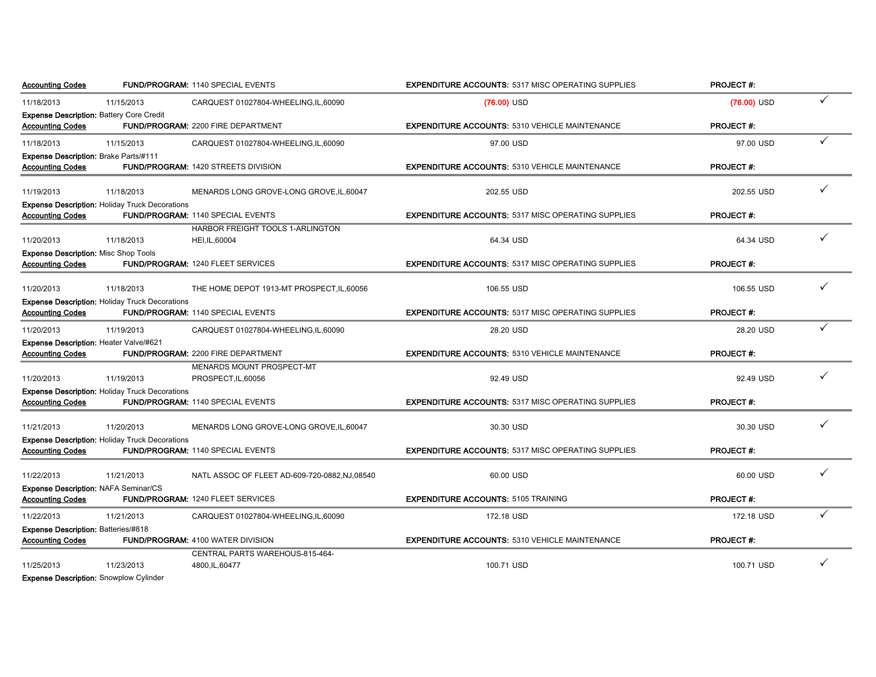| <b>Accounting Codes</b>                         |                                                       | <b>FUND/PROGRAM: 1140 SPECIAL EVENTS</b>       | <b>EXPENDITURE ACCOUNTS: 5317 MISC OPERATING SUPPLIES</b> | <b>PROJECT#:</b> |   |
|-------------------------------------------------|-------------------------------------------------------|------------------------------------------------|-----------------------------------------------------------|------------------|---|
| 11/18/2013                                      | 11/15/2013                                            | CARQUEST 01027804-WHEELING,IL,60090            | $(76.00)$ USD                                             | $(76.00)$ USD    | ✓ |
| <b>Expense Description: Battery Core Credit</b> |                                                       |                                                |                                                           |                  |   |
| <b>Accounting Codes</b>                         |                                                       | <b>FUND/PROGRAM: 2200 FIRE DEPARTMENT</b>      | <b>EXPENDITURE ACCOUNTS: 5310 VEHICLE MAINTENANCE</b>     | <b>PROJECT#:</b> |   |
| 11/18/2013                                      | 11/15/2013                                            | CARQUEST 01027804-WHEELING, IL, 60090          | 97.00 USD                                                 | 97.00 USD        | ✓ |
| <b>Expense Description: Brake Parts/#111</b>    |                                                       |                                                |                                                           |                  |   |
| <b>Accounting Codes</b>                         |                                                       | <b>FUND/PROGRAM: 1420 STREETS DIVISION</b>     | <b>EXPENDITURE ACCOUNTS: 5310 VEHICLE MAINTENANCE</b>     | <b>PROJECT#:</b> |   |
| 11/19/2013                                      | 11/18/2013                                            | MENARDS LONG GROVE-LONG GROVE, IL, 60047       | 202.55 USD                                                | 202.55 USD       | ✓ |
|                                                 | <b>Expense Description: Holiday Truck Decorations</b> |                                                |                                                           |                  |   |
| <b>Accounting Codes</b>                         |                                                       | FUND/PROGRAM: 1140 SPECIAL EVENTS              | <b>EXPENDITURE ACCOUNTS: 5317 MISC OPERATING SUPPLIES</b> | <b>PROJECT#:</b> |   |
|                                                 |                                                       | HARBOR FREIGHT TOOLS 1-ARLINGTON               |                                                           |                  |   |
| 11/20/2013                                      | 11/18/2013                                            | HEI, IL, 60004                                 | 64.34 USD                                                 | 64.34 USD        |   |
| Expense Description: Misc Shop Tools            |                                                       |                                                |                                                           |                  |   |
| <b>Accounting Codes</b>                         |                                                       | <b>FUND/PROGRAM: 1240 FLEET SERVICES</b>       | <b>EXPENDITURE ACCOUNTS: 5317 MISC OPERATING SUPPLIES</b> | <b>PROJECT#:</b> |   |
|                                                 |                                                       |                                                |                                                           |                  |   |
| 11/20/2013                                      | 11/18/2013                                            | THE HOME DEPOT 1913-MT PROSPECT, IL, 60056     | 106.55 USD                                                | 106.55 USD       |   |
|                                                 | <b>Expense Description: Holiday Truck Decorations</b> |                                                |                                                           |                  |   |
| <b>Accounting Codes</b>                         |                                                       | FUND/PROGRAM: 1140 SPECIAL EVENTS              | <b>EXPENDITURE ACCOUNTS: 5317 MISC OPERATING SUPPLIES</b> | <b>PROJECT#:</b> |   |
| 11/20/2013                                      | 11/19/2013                                            | CARQUEST 01027804-WHEELING,IL,60090            | 28.20 USD                                                 | 28.20 USD        | ✓ |
| <b>Expense Description: Heater Valve/#621</b>   |                                                       |                                                |                                                           |                  |   |
| <b>Accounting Codes</b>                         |                                                       | <b>FUND/PROGRAM: 2200 FIRE DEPARTMENT</b>      | <b>EXPENDITURE ACCOUNTS: 5310 VEHICLE MAINTENANCE</b>     | <b>PROJECT#:</b> |   |
|                                                 |                                                       | MENARDS MOUNT PROSPECT-MT                      |                                                           |                  |   |
| 11/20/2013                                      | 11/19/2013                                            | PROSPECT, IL, 60056                            | 92.49 USD                                                 | 92.49 USD        |   |
|                                                 | <b>Expense Description: Holiday Truck Decorations</b> |                                                |                                                           |                  |   |
| <b>Accounting Codes</b>                         |                                                       | <b>FUND/PROGRAM: 1140 SPECIAL EVENTS</b>       | <b>EXPENDITURE ACCOUNTS: 5317 MISC OPERATING SUPPLIES</b> | <b>PROJECT#:</b> |   |
| 11/21/2013                                      | 11/20/2013                                            | MENARDS LONG GROVE-LONG GROVE, IL, 60047       | 30.30 USD                                                 | 30.30 USD        |   |
|                                                 | <b>Expense Description: Holiday Truck Decorations</b> |                                                |                                                           |                  |   |
| <b>Accounting Codes</b>                         |                                                       | FUND/PROGRAM: 1140 SPECIAL EVENTS              | <b>EXPENDITURE ACCOUNTS: 5317 MISC OPERATING SUPPLIES</b> | <b>PROJECT#:</b> |   |
|                                                 |                                                       |                                                |                                                           |                  |   |
| 11/22/2013                                      | 11/21/2013                                            | NATL ASSOC OF FLEET AD-609-720-0882, NJ, 08540 | 60.00 USD                                                 | 60.00 USD        |   |
| Expense Description: NAFA Seminar/CS            |                                                       |                                                |                                                           |                  |   |
| <b>Accounting Codes</b>                         |                                                       | <b>FUND/PROGRAM: 1240 FLEET SERVICES</b>       | <b>EXPENDITURE ACCOUNTS: 5105 TRAINING</b>                | <b>PROJECT#:</b> |   |
| 11/22/2013                                      | 11/21/2013                                            | CARQUEST 01027804-WHEELING, IL, 60090          | 172.18 USD                                                | 172.18 USD       |   |
| Expense Description: Batteries/#818             |                                                       |                                                |                                                           |                  |   |
| <b>Accounting Codes</b>                         |                                                       | <b>FUND/PROGRAM: 4100 WATER DIVISION</b>       | <b>EXPENDITURE ACCOUNTS: 5310 VEHICLE MAINTENANCE</b>     | <b>PROJECT#:</b> |   |
|                                                 |                                                       | CENTRAL PARTS WAREHOUS-815-464-                |                                                           |                  |   |
| 11/25/2013                                      | 11/23/2013                                            | 4800, IL, 60477                                | 100.71 USD                                                | 100.71 USD       |   |
| <b>Expense Description: Snowplow Cylinder</b>   |                                                       |                                                |                                                           |                  |   |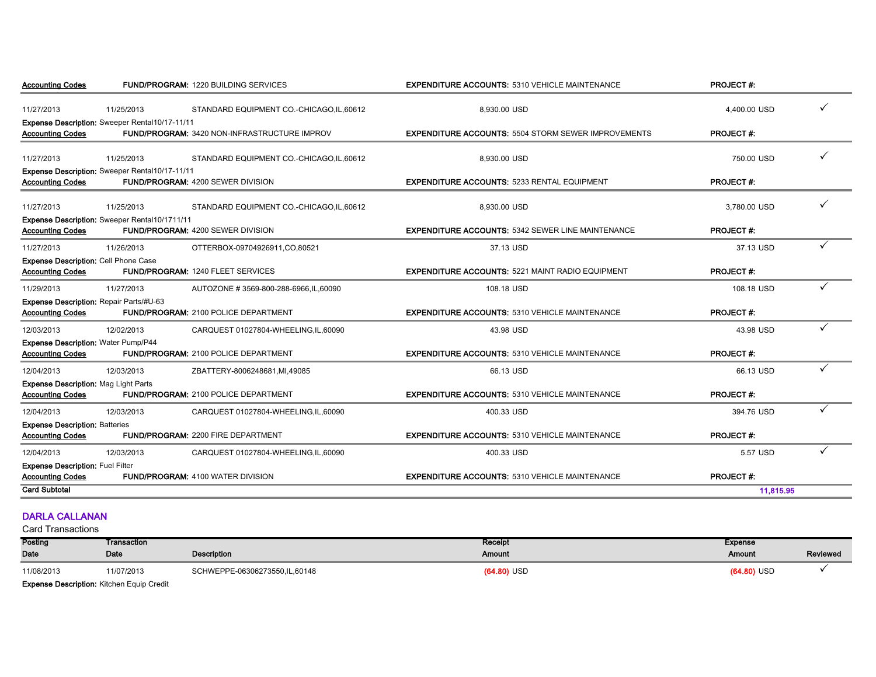| <b>Accounting Codes</b>                                                   | <b>FUND/PROGRAM: 1220 BUILDING SERVICES</b>         | <b>EXPENDITURE ACCOUNTS: 5310 VEHICLE MAINTENANCE</b>      | <b>PROJECT#:</b> |              |
|---------------------------------------------------------------------------|-----------------------------------------------------|------------------------------------------------------------|------------------|--------------|
| 11/27/2013<br>11/25/2013                                                  | STANDARD EQUIPMENT CO.-CHICAGO,IL,60612             | 8,930.00 USD                                               | 4,400.00 USD     | $\checkmark$ |
| Expense Description: Sweeper Rental10/17-11/11<br><b>Accounting Codes</b> | <b>FUND/PROGRAM: 3420 NON-INFRASTRUCTURE IMPROV</b> | <b>EXPENDITURE ACCOUNTS: 5504 STORM SEWER IMPROVEMENTS</b> | <b>PROJECT#:</b> |              |
| 11/27/2013<br>11/25/2013                                                  | STANDARD EQUIPMENT CO.-CHICAGO, IL, 60612           | 8,930.00 USD                                               | 750.00 USD       |              |
| Expense Description: Sweeper Rental10/17-11/11<br><b>Accounting Codes</b> | <b>FUND/PROGRAM: 4200 SEWER DIVISION</b>            | <b>EXPENDITURE ACCOUNTS: 5233 RENTAL EQUIPMENT</b>         | <b>PROJECT#:</b> |              |
| 11/27/2013<br>11/25/2013                                                  | STANDARD EQUIPMENT CO.-CHICAGO, IL, 60612           | 8.930.00 USD                                               | 3.780.00 USD     |              |
| Expense Description: Sweeper Rental10/1711/11<br><b>Accounting Codes</b>  | FUND/PROGRAM: 4200 SEWER DIVISION                   | <b>EXPENDITURE ACCOUNTS: 5342 SEWER LINE MAINTENANCE</b>   | <b>PROJECT#:</b> |              |
| 11/27/2013<br>11/26/2013                                                  | OTTERBOX-09704926911,CO,80521                       | 37.13 USD                                                  | 37.13 USD        | ✓            |
| <b>Expense Description: Cell Phone Case</b><br><b>Accounting Codes</b>    | <b>FUND/PROGRAM: 1240 FLEET SERVICES</b>            | <b>EXPENDITURE ACCOUNTS: 5221 MAINT RADIO EQUIPMENT</b>    | <b>PROJECT#:</b> |              |
| 11/29/2013<br>11/27/2013                                                  | AUTOZONE #3569-800-288-6966, IL, 60090              | 108.18 USD                                                 | 108.18 USD       |              |
| Expense Description: Repair Parts/#U-63<br><b>Accounting Codes</b>        | <b>FUND/PROGRAM: 2100 POLICE DEPARTMENT</b>         | <b>EXPENDITURE ACCOUNTS: 5310 VEHICLE MAINTENANCE</b>      | <b>PROJECT#:</b> |              |
| 12/03/2013<br>12/02/2013                                                  | CARQUEST 01027804-WHEELING, IL, 60090               | 43.98 USD                                                  | 43.98 USD        | ✓            |
| Expense Description: Water Pump/P44<br><b>Accounting Codes</b>            | FUND/PROGRAM: 2100 POLICE DEPARTMENT                | <b>EXPENDITURE ACCOUNTS: 5310 VEHICLE MAINTENANCE</b>      | PROJECT#:        |              |
| 12/04/2013<br>12/03/2013                                                  | ZBATTERY-8006248681, MI, 49085                      | 66.13 USD                                                  | 66.13 USD        | ✓            |
| <b>Expense Description: Mag Light Parts</b><br><b>Accounting Codes</b>    | FUND/PROGRAM: 2100 POLICE DEPARTMENT                | <b>EXPENDITURE ACCOUNTS: 5310 VEHICLE MAINTENANCE</b>      | <b>PROJECT#:</b> |              |
| 12/04/2013<br>12/03/2013                                                  | CARQUEST 01027804-WHEELING,IL,60090                 | 400.33 USD                                                 | 394.76 USD       |              |
| <b>Expense Description: Batteries</b><br><b>Accounting Codes</b>          | <b>FUND/PROGRAM: 2200 FIRE DEPARTMENT</b>           | <b>EXPENDITURE ACCOUNTS: 5310 VEHICLE MAINTENANCE</b>      | <b>PROJECT#:</b> |              |
| 12/04/2013<br>12/03/2013                                                  | CARQUEST 01027804-WHEELING,IL,60090                 | 400.33 USD                                                 | 5.57 USD         | ✓            |
| <b>Expense Description: Fuel Filter</b><br><b>Accounting Codes</b>        | FUND/PROGRAM: 4100 WATER DIVISION                   | <b>EXPENDITURE ACCOUNTS: 5310 VEHICLE MAINTENANCE</b>      | <b>PROJECT#:</b> |              |
| <b>Card Subtotal</b>                                                      |                                                     |                                                            | 11,815.95        |              |

#### DARLA CALLANAN

| Posting                                          | Transaction |                               | Receipt       | Expense       |                 |  |  |
|--------------------------------------------------|-------------|-------------------------------|---------------|---------------|-----------------|--|--|
| Date                                             | Date        | Description                   | Amount        | Amount        | <b>Reviewed</b> |  |  |
| 11/08/2013                                       | 11/07/2013  | SCHWEPPE-06306273550,IL,60148 | $(64.80)$ USD | $(64.80)$ USD |                 |  |  |
| <b>Expense Description: Kitchen Equip Credit</b> |             |                               |               |               |                 |  |  |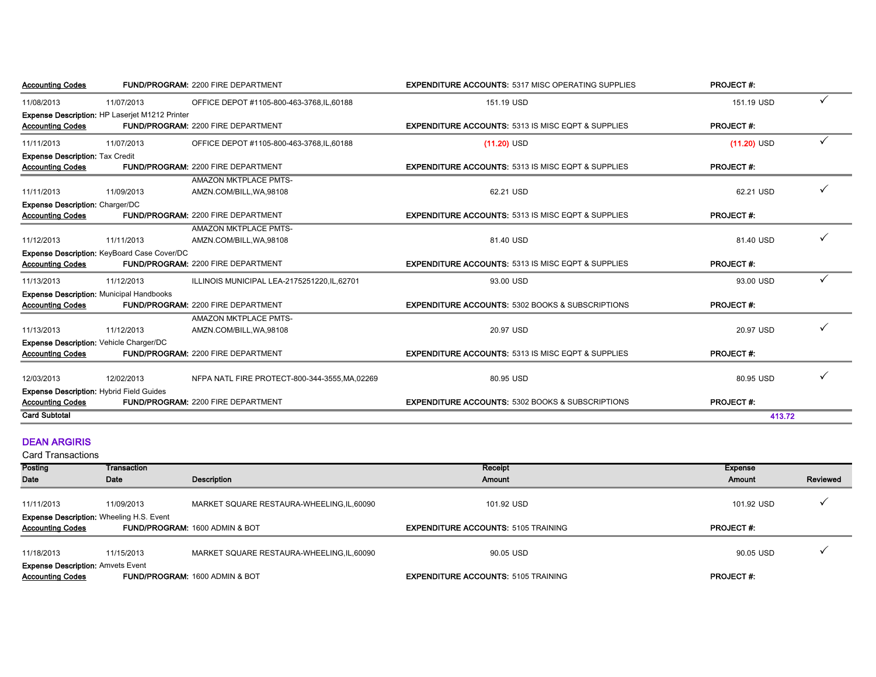| <b>Accounting Codes</b>                |                                                 | <b>FUND/PROGRAM: 2200 FIRE DEPARTMENT</b>      | <b>EXPENDITURE ACCOUNTS: 5317 MISC OPERATING SUPPLIES</b>     | <b>PROJECT#:</b> |              |
|----------------------------------------|-------------------------------------------------|------------------------------------------------|---------------------------------------------------------------|------------------|--------------|
| 11/08/2013                             | 11/07/2013                                      | OFFICE DEPOT #1105-800-463-3768,IL,60188       | 151.19 USD                                                    | 151.19 USD       | ✓            |
|                                        | Expense Description: HP Laserjet M1212 Printer  |                                                |                                                               |                  |              |
| <b>Accounting Codes</b>                |                                                 | <b>FUND/PROGRAM: 2200 FIRE DEPARTMENT</b>      | <b>EXPENDITURE ACCOUNTS: 5313 IS MISC EQPT &amp; SUPPLIES</b> | <b>PROJECT#:</b> |              |
| 11/11/2013                             | 11/07/2013                                      | OFFICE DEPOT #1105-800-463-3768,IL,60188       | $(11.20)$ USD                                                 | $(11.20)$ USD    | ✓            |
| <b>Expense Description: Tax Credit</b> |                                                 |                                                |                                                               |                  |              |
| <b>Accounting Codes</b>                |                                                 | FUND/PROGRAM: 2200 FIRE DEPARTMENT             | <b>EXPENDITURE ACCOUNTS: 5313 IS MISC EQPT &amp; SUPPLIES</b> | <b>PROJECT#:</b> |              |
|                                        |                                                 | AMAZON MKTPLACE PMTS-                          |                                                               |                  |              |
| 11/11/2013                             | 11/09/2013                                      | AMZN.COM/BILL, WA, 98108                       | 62.21 USD                                                     | 62.21 USD        | ✓            |
| <b>Expense Description: Charger/DC</b> |                                                 |                                                |                                                               |                  |              |
| <b>Accounting Codes</b>                |                                                 | FUND/PROGRAM: 2200 FIRE DEPARTMENT             | <b>EXPENDITURE ACCOUNTS: 5313 IS MISC EQPT &amp; SUPPLIES</b> | <b>PROJECT#:</b> |              |
|                                        |                                                 | AMAZON MKTPLACE PMTS-                          |                                                               |                  |              |
| 11/12/2013                             | 11/11/2013                                      | AMZN.COM/BILL, WA, 98108                       | 81.40 USD                                                     | 81.40 USD        |              |
|                                        | Expense Description: KeyBoard Case Cover/DC     |                                                |                                                               |                  |              |
| <b>Accounting Codes</b>                |                                                 | <b>FUND/PROGRAM: 2200 FIRE DEPARTMENT</b>      | <b>EXPENDITURE ACCOUNTS: 5313 IS MISC EQPT &amp; SUPPLIES</b> | <b>PROJECT#:</b> |              |
| 11/13/2013                             | 11/12/2013                                      | ILLINOIS MUNICIPAL LEA-2175251220, IL, 62701   | 93.00 USD                                                     | 93.00 USD        | $\checkmark$ |
|                                        | <b>Expense Description: Municipal Handbooks</b> |                                                |                                                               |                  |              |
| <b>Accounting Codes</b>                |                                                 | FUND/PROGRAM: 2200 FIRE DEPARTMENT             | <b>EXPENDITURE ACCOUNTS: 5302 BOOKS &amp; SUBSCRIPTIONS</b>   | <b>PROJECT#:</b> |              |
|                                        |                                                 | AMAZON MKTPLACE PMTS-                          |                                                               |                  |              |
| 11/13/2013                             | 11/12/2013                                      | AMZN.COM/BILL, WA, 98108                       | 20.97 USD                                                     | 20.97 USD        | ✓            |
|                                        | <b>Expense Description: Vehicle Charger/DC</b>  |                                                |                                                               |                  |              |
| <b>Accounting Codes</b>                |                                                 | <b>FUND/PROGRAM: 2200 FIRE DEPARTMENT</b>      | <b>EXPENDITURE ACCOUNTS: 5313 IS MISC EQPT &amp; SUPPLIES</b> | <b>PROJECT#:</b> |              |
|                                        |                                                 |                                                |                                                               |                  |              |
| 12/03/2013                             | 12/02/2013                                      | NFPA NATL FIRE PROTECT-800-344-3555, MA, 02269 | 80.95 USD                                                     | 80.95 USD        | ✓            |
|                                        | <b>Expense Description: Hybrid Field Guides</b> |                                                |                                                               |                  |              |
| <b>Accounting Codes</b>                |                                                 | <b>FUND/PROGRAM: 2200 FIRE DEPARTMENT</b>      | <b>EXPENDITURE ACCOUNTS: 5302 BOOKS &amp; SUBSCRIPTIONS</b>   | <b>PROJECT#:</b> |              |
| <b>Card Subtotal</b>                   |                                                 |                                                |                                                               | 413.72           |              |
|                                        |                                                 |                                                |                                                               |                  |              |

#### DEAN ARGIRIS

| <b>Posting</b>                                  | Transaction |                                            | Receipt                                    | Expense          |          |
|-------------------------------------------------|-------------|--------------------------------------------|--------------------------------------------|------------------|----------|
| Date                                            | Date        | Description                                | Amount                                     | Amount           | Reviewed |
|                                                 |             |                                            |                                            |                  |          |
| 11/11/2013                                      | 11/09/2013  | MARKET SQUARE RESTAURA-WHEELING, IL, 60090 | 101.92 USD                                 | 101.92 USD       |          |
| <b>Expense Description: Wheeling H.S. Event</b> |             |                                            |                                            |                  |          |
| <b>Accounting Codes</b>                         |             | FUND/PROGRAM: 1600 ADMIN & BOT             | <b>EXPENDITURE ACCOUNTS: 5105 TRAINING</b> | <b>PROJECT#:</b> |          |
|                                                 |             |                                            |                                            |                  |          |
| 11/18/2013                                      | 11/15/2013  | MARKET SQUARE RESTAURA-WHEELING, IL, 60090 | 90.05 USD                                  | 90.05 USD        |          |
| <b>Expense Description: Amvets Event</b>        |             |                                            |                                            |                  |          |
| <b>Accounting Codes</b>                         |             | FUND/PROGRAM: 1600 ADMIN & BOT             | <b>EXPENDITURE ACCOUNTS: 5105 TRAINING</b> | <b>PROJECT#:</b> |          |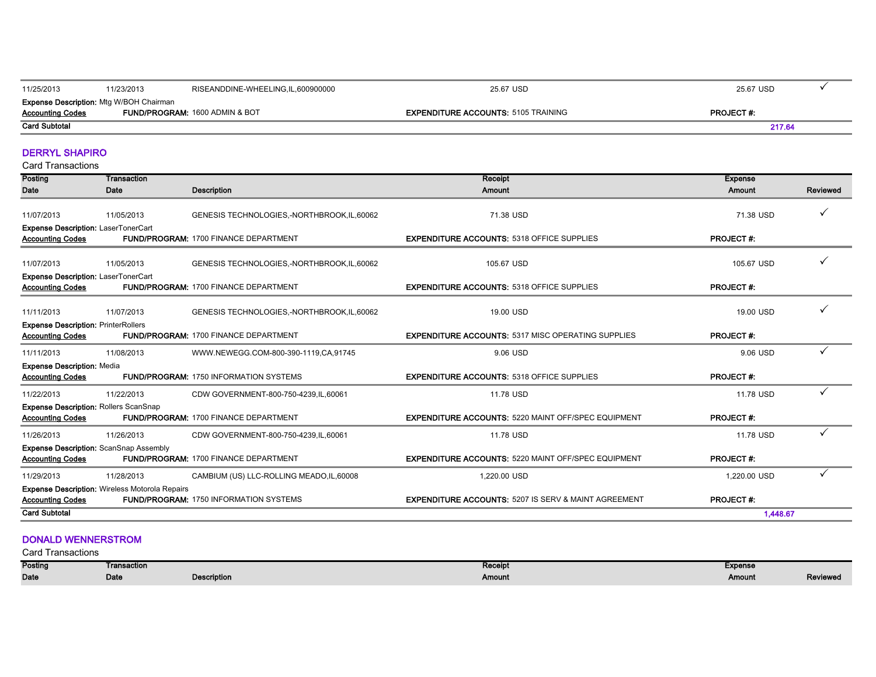| 11/25/2013                                                                | 11/23/2013 | RISEANDDINE-WHEELING.IL.600900000         | 25.67 USD                                  | 25.67 USD        |  |
|---------------------------------------------------------------------------|------------|-------------------------------------------|--------------------------------------------|------------------|--|
| <b>Expense Description: Mtg W/BOH Chairman</b><br><b>Accounting Codes</b> |            | <b>FUND/PROGRAM: 1600 ADMIN &amp; BOT</b> | <b>EXPENDITURE ACCOUNTS: 5105 TRAINING</b> | <b>PROJECT#:</b> |  |
| <b>Card Subtotal</b>                                                      |            |                                           |                                            | 217.64           |  |

÷

٠

#### DERRYL SHAPIRO

Card Transactions

| Posting                                                                 | Transaction                                           |                                               | Receipt                                                         | <b>Expense</b>   |              |
|-------------------------------------------------------------------------|-------------------------------------------------------|-----------------------------------------------|-----------------------------------------------------------------|------------------|--------------|
| <b>Date</b>                                                             | Date                                                  | <b>Description</b>                            | <b>Amount</b>                                                   | Amount           | Reviewed     |
| 11/07/2013                                                              | 11/05/2013                                            | GENESIS TECHNOLOGIES,-NORTHBROOK, IL, 60062   | 71.38 USD                                                       | 71.38 USD        |              |
| Expense Description: LaserTonerCart<br><b>Accounting Codes</b>          |                                                       | <b>FUND/PROGRAM: 1700 FINANCE DEPARTMENT</b>  | <b>EXPENDITURE ACCOUNTS: 5318 OFFICE SUPPLIES</b>               | <b>PROJECT#:</b> |              |
| 11/07/2013                                                              | 11/05/2013                                            | GENESIS TECHNOLOGIES,-NORTHBROOK,IL.60062     | 105.67 USD                                                      | 105.67 USD       |              |
| Expense Description: LaserTonerCart<br><b>Accounting Codes</b>          |                                                       | <b>FUND/PROGRAM: 1700 FINANCE DEPARTMENT</b>  | <b>EXPENDITURE ACCOUNTS: 5318 OFFICE SUPPLIES</b>               | <b>PROJECT#:</b> |              |
| 11/11/2013                                                              | 11/07/2013                                            | GENESIS TECHNOLOGIES,-NORTHBROOK,IL,60062     | 19.00 USD                                                       | 19.00 USD        |              |
| <b>Expense Description: PrinterRollers</b><br><b>Accounting Codes</b>   |                                                       | <b>FUND/PROGRAM: 1700 FINANCE DEPARTMENT</b>  | <b>EXPENDITURE ACCOUNTS: 5317 MISC OPERATING SUPPLIES</b>       | <b>PROJECT#:</b> |              |
| 11/11/2013                                                              | 11/08/2013                                            | WWW.NEWEGG.COM-800-390-1119,CA,91745          | 9.06 USD                                                        | 9.06 USD         | $\checkmark$ |
| <b>Expense Description: Media</b><br><b>Accounting Codes</b>            |                                                       | <b>FUND/PROGRAM: 1750 INFORMATION SYSTEMS</b> | <b>EXPENDITURE ACCOUNTS: 5318 OFFICE SUPPLIES</b>               | <b>PROJECT#:</b> |              |
| 11/22/2013                                                              | 11/22/2013                                            | CDW GOVERNMENT-800-750-4239, IL, 60061        | 11.78 USD                                                       | 11.78 USD        |              |
| <b>Expense Description: Rollers ScanSnap</b><br><b>Accounting Codes</b> |                                                       | <b>FUND/PROGRAM: 1700 FINANCE DEPARTMENT</b>  | <b>EXPENDITURE ACCOUNTS: 5220 MAINT OFF/SPEC EQUIPMENT</b>      | <b>PROJECT#:</b> |              |
| 11/26/2013                                                              | 11/26/2013                                            | CDW GOVERNMENT-800-750-4239, IL, 60061        | 11.78 USD                                                       | 11.78 USD        | ✓            |
| <b>Accounting Codes</b>                                                 | Expense Description: ScanSnap Assembly                | <b>FUND/PROGRAM: 1700 FINANCE DEPARTMENT</b>  | <b>EXPENDITURE ACCOUNTS: 5220 MAINT OFF/SPEC EQUIPMENT</b>      | <b>PROJECT#:</b> |              |
| 11/29/2013                                                              | 11/28/2013                                            | CAMBIUM (US) LLC-ROLLING MEADO, IL, 60008     | 1,220.00 USD                                                    | 1,220.00 USD     | ✓            |
| <b>Accounting Codes</b>                                                 | <b>Expense Description: Wireless Motorola Repairs</b> | <b>FUND/PROGRAM: 1750 INFORMATION SYSTEMS</b> | <b>EXPENDITURE ACCOUNTS: 5207 IS SERV &amp; MAINT AGREEMENT</b> | <b>PROJECT#:</b> |              |
| <b>Card Subtotal</b>                                                    |                                                       |                                               |                                                                 | 1,448.67         |              |

#### DONALD WENNERSTROM

| Posting | Transaction |                                              | <b>Expense</b><br>Receip' |        |          |
|---------|-------------|----------------------------------------------|---------------------------|--------|----------|
| Date    | Date        | scription<br>the contract of the contract of | Amount                    | Amount | keviewed |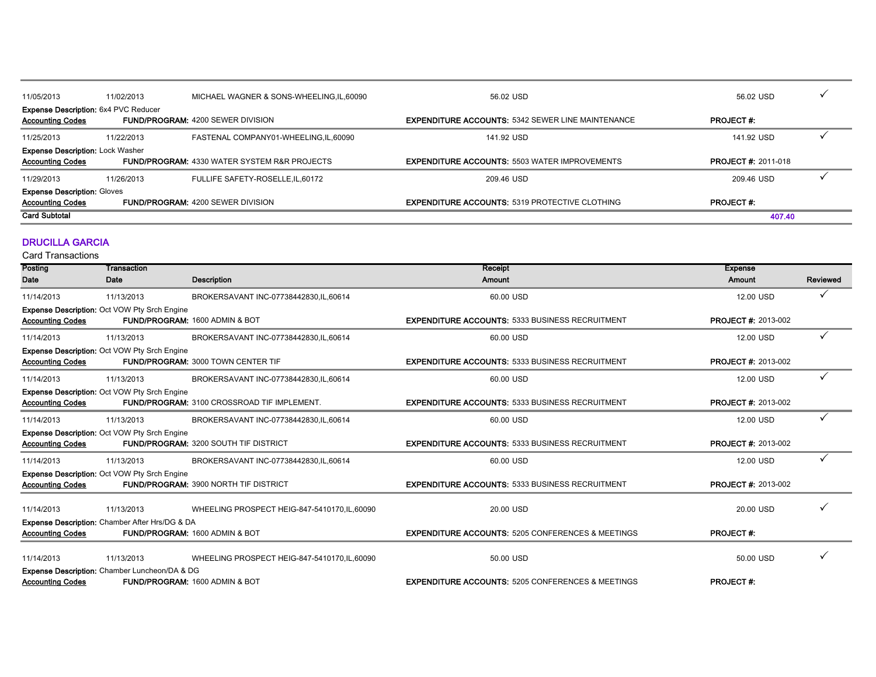| 11/05/2013                                                                                                         | 11/02/2013 | MICHAEL WAGNER & SONS-WHEELING, IL, 60090               | 56.02 USD                                                | 56.02 USD                 |  |
|--------------------------------------------------------------------------------------------------------------------|------------|---------------------------------------------------------|----------------------------------------------------------|---------------------------|--|
| <b>Expense Description: 6x4 PVC Reducer</b><br><b>Accounting Codes</b><br><b>FUND/PROGRAM: 4200 SEWER DIVISION</b> |            |                                                         | <b>EXPENDITURE ACCOUNTS: 5342 SEWER LINE MAINTENANCE</b> | <b>PROJECT#:</b>          |  |
| 11/25/2013                                                                                                         | 11/22/2013 | FASTENAL COMPANY01-WHEELING.IL.60090                    | 141.92 USD                                               | 141.92 USD                |  |
| <b>Expense Description: Lock Washer</b><br><b>Accounting Codes</b>                                                 |            | <b>FUND/PROGRAM: 4330 WATER SYSTEM R&amp;R PROJECTS</b> | <b>EXPENDITURE ACCOUNTS: 5503 WATER IMPROVEMENTS</b>     | <b>PROJECT#: 2011-018</b> |  |
| 11/29/2013                                                                                                         | 11/26/2013 | FULLIFE SAFETY-ROSELLE, IL, 60172                       | 209.46 USD                                               | 209.46 USD                |  |
| <b>Expense Description: Gloves</b><br><b>Accounting Codes</b><br><b>FUND/PROGRAM: 4200 SEWER DIVISION</b>          |            |                                                         | <b>EXPENDITURE ACCOUNTS: 5319 PROTECTIVE CLOTHING</b>    | <b>PROJECT#:</b>          |  |
| <b>Card Subtotal</b>                                                                                               |            |                                                         |                                                          | 407.40                    |  |

#### DRUCILLA GARCIA

| Posting                 | Transaction                                         |                                                    | Receipt                                                      | <b>Expense</b>             |          |
|-------------------------|-----------------------------------------------------|----------------------------------------------------|--------------------------------------------------------------|----------------------------|----------|
| Date                    | Date                                                | <b>Description</b>                                 | Amount                                                       | <b>Amount</b>              | Reviewed |
| 11/14/2013              | 11/13/2013                                          | BROKERSAVANT INC-07738442830.IL.60614              | 60.00 USD                                                    | 12.00 USD                  | ✓        |
|                         | <b>Expense Description: Oct VOW Pty Srch Engine</b> |                                                    |                                                              |                            |          |
| <b>Accounting Codes</b> |                                                     | <b>FUND/PROGRAM: 1600 ADMIN &amp; BOT</b>          | <b>EXPENDITURE ACCOUNTS: 5333 BUSINESS RECRUITMENT</b>       | <b>PROJECT #: 2013-002</b> |          |
| 11/14/2013              | 11/13/2013                                          | BROKERSAVANT INC-07738442830, IL, 60614            | 60.00 USD                                                    | 12.00 USD                  | ✓        |
|                         | <b>Expense Description: Oct VOW Pty Srch Engine</b> |                                                    |                                                              |                            |          |
| <b>Accounting Codes</b> |                                                     | <b>FUND/PROGRAM: 3000 TOWN CENTER TIF</b>          | <b>EXPENDITURE ACCOUNTS: 5333 BUSINESS RECRUITMENT</b>       | <b>PROJECT #: 2013-002</b> |          |
| 11/14/2013              | 11/13/2013                                          | BROKERSAVANT INC-07738442830, IL, 60614            | 60.00 USD                                                    | 12.00 USD                  | ✓        |
|                         | <b>Expense Description: Oct VOW Pty Srch Engine</b> |                                                    |                                                              |                            |          |
| <b>Accounting Codes</b> |                                                     | <b>FUND/PROGRAM: 3100 CROSSROAD TIF IMPLEMENT.</b> | <b>EXPENDITURE ACCOUNTS: 5333 BUSINESS RECRUITMENT</b>       | <b>PROJECT #: 2013-002</b> |          |
| 11/14/2013              | 11/13/2013                                          | BROKERSAVANT INC-07738442830, IL, 60614            | 60.00 USD                                                    | 12.00 USD                  | ✓        |
|                         | <b>Expense Description: Oct VOW Pty Srch Engine</b> |                                                    |                                                              |                            |          |
| <b>Accounting Codes</b> |                                                     | <b>FUND/PROGRAM: 3200 SOUTH TIF DISTRICT</b>       | <b>EXPENDITURE ACCOUNTS: 5333 BUSINESS RECRUITMENT</b>       | <b>PROJECT #: 2013-002</b> |          |
| 11/14/2013              | 11/13/2013                                          | BROKERSAVANT INC-07738442830, IL, 60614            | 60.00 USD                                                    | 12.00 USD                  | ✓        |
|                         | <b>Expense Description: Oct VOW Pty Srch Engine</b> |                                                    |                                                              |                            |          |
| <b>Accounting Codes</b> |                                                     | <b>FUND/PROGRAM: 3900 NORTH TIF DISTRICT</b>       | <b>EXPENDITURE ACCOUNTS: 5333 BUSINESS RECRUITMENT</b>       | <b>PROJECT #: 2013-002</b> |          |
|                         |                                                     |                                                    |                                                              |                            |          |
| 11/14/2013              | 11/13/2013                                          | WHEELING PROSPECT HEIG-847-5410170, IL, 60090      | 20.00 USD                                                    | 20.00 USD                  |          |
|                         | Expense Description: Chamber After Hrs/DG & DA      |                                                    |                                                              |                            |          |
| <b>Accounting Codes</b> |                                                     | <b>FUND/PROGRAM: 1600 ADMIN &amp; BOT</b>          | <b>EXPENDITURE ACCOUNTS: 5205 CONFERENCES &amp; MEETINGS</b> | <b>PROJECT#:</b>           |          |
| 11/14/2013              | 11/13/2013                                          | WHEELING PROSPECT HEIG-847-5410170, IL, 60090      | 50.00 USD                                                    | 50.00 USD                  | ✓        |
|                         | Expense Description: Chamber Luncheon/DA & DG       |                                                    |                                                              |                            |          |
| <b>Accounting Codes</b> |                                                     | <b>FUND/PROGRAM: 1600 ADMIN &amp; BOT</b>          | <b>EXPENDITURE ACCOUNTS: 5205 CONFERENCES &amp; MEETINGS</b> | <b>PROJECT#:</b>           |          |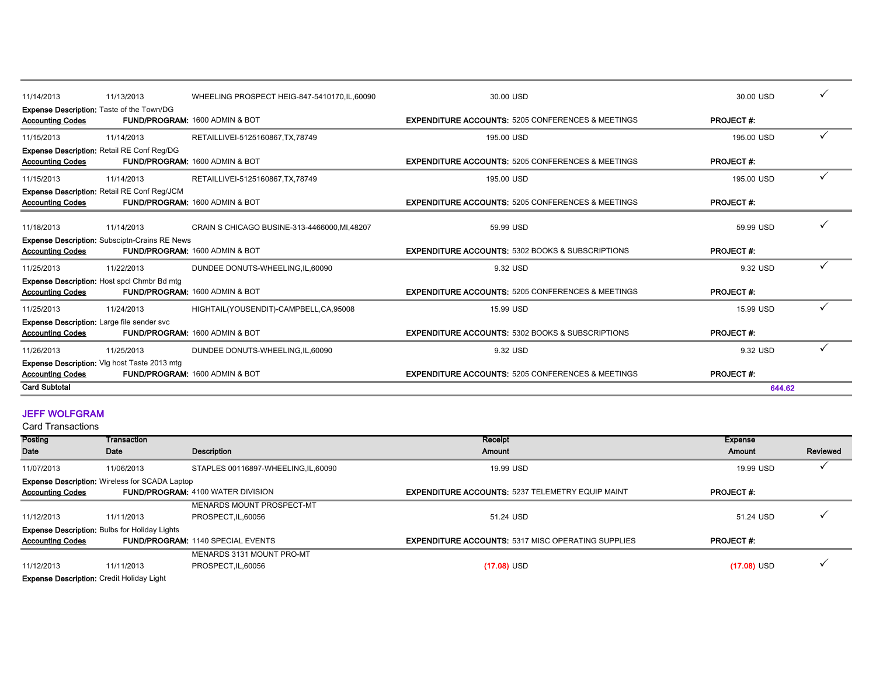| 11/14/2013<br>11/13/2013                                                        | WHEELING PROSPECT HEIG-847-5410170, IL, 60090 | 30.00 USD                                                    | 30.00 USD        |  |
|---------------------------------------------------------------------------------|-----------------------------------------------|--------------------------------------------------------------|------------------|--|
| <b>Expense Description: Taste of the Town/DG</b><br><b>Accounting Codes</b>     | <b>FUND/PROGRAM: 1600 ADMIN &amp; BOT</b>     | <b>EXPENDITURE ACCOUNTS: 5205 CONFERENCES &amp; MEETINGS</b> | <b>PROJECT#:</b> |  |
| 11/15/2013<br>11/14/2013                                                        | RETAILLIVEI-5125160867, TX, 78749             | 195.00 USD                                                   | 195.00 USD       |  |
| <b>Expense Description: Retail RE Conf Reg/DG</b><br><b>Accounting Codes</b>    | <b>FUND/PROGRAM: 1600 ADMIN &amp; BOT</b>     | <b>EXPENDITURE ACCOUNTS: 5205 CONFERENCES &amp; MEETINGS</b> | <b>PROJECT#:</b> |  |
| 11/14/2013<br>11/15/2013                                                        | RETAILLIVEI-5125160867, TX, 78749             | 195.00 USD                                                   | 195.00 USD       |  |
| Expense Description: Retail RE Conf Reg/JCM<br><b>Accounting Codes</b>          | FUND/PROGRAM: 1600 ADMIN & BOT                | <b>EXPENDITURE ACCOUNTS: 5205 CONFERENCES &amp; MEETINGS</b> | <b>PROJECT#:</b> |  |
| 11/18/2013<br>11/14/2013                                                        | CRAIN S CHICAGO BUSINE-313-4466000, MI, 48207 | 59.99 USD                                                    | 59.99 USD        |  |
| <b>Expense Description: Subsciptn-Crains RE News</b><br><b>Accounting Codes</b> | <b>FUND/PROGRAM: 1600 ADMIN &amp; BOT</b>     | <b>EXPENDITURE ACCOUNTS: 5302 BOOKS &amp; SUBSCRIPTIONS</b>  | <b>PROJECT#:</b> |  |
| 11/25/2013<br>11/22/2013                                                        | DUNDEE DONUTS-WHEELING, IL, 60090             | 9.32 USD                                                     | 9.32 USD         |  |
| Expense Description: Host spcl Chmbr Bd mtg<br><b>Accounting Codes</b>          | <b>FUND/PROGRAM: 1600 ADMIN &amp; BOT</b>     | <b>EXPENDITURE ACCOUNTS: 5205 CONFERENCES &amp; MEETINGS</b> | <b>PROJECT#:</b> |  |
| 11/25/2013<br>11/24/2013                                                        | HIGHTAIL(YOUSENDIT)-CAMPBELL,CA,95008         | 15.99 USD                                                    | 15.99 USD        |  |
| <b>Expense Description:</b> Large file sender svc<br><b>Accounting Codes</b>    | <b>FUND/PROGRAM: 1600 ADMIN &amp; BOT</b>     | <b>EXPENDITURE ACCOUNTS: 5302 BOOKS &amp; SUBSCRIPTIONS</b>  | <b>PROJECT#:</b> |  |
| 11/26/2013<br>11/25/2013                                                        | DUNDEE DONUTS-WHEELING, IL, 60090             | 9.32 USD                                                     | 9.32 USD         |  |
| Expense Description: VIg host Taste 2013 mtg<br><b>Accounting Codes</b>         | FUND/PROGRAM: 1600 ADMIN & BOT                | <b>EXPENDITURE ACCOUNTS: 5205 CONFERENCES &amp; MEETINGS</b> | <b>PROJECT#:</b> |  |
| <b>Card Subtotal</b>                                                            |                                               |                                                              | 644.62           |  |

#### JEFF WOLFGRAM

Card Transactions

| Posting                                          | Transaction                                           |                                          | Receipt                                                   | <b>Expense</b>   |          |
|--------------------------------------------------|-------------------------------------------------------|------------------------------------------|-----------------------------------------------------------|------------------|----------|
| Date                                             | Date                                                  | Description                              | Amount                                                    | Amount           | Reviewed |
| 11/07/2013                                       | 11/06/2013                                            | STAPLES 00116897-WHEELING, IL, 60090     | 19.99 USD                                                 | 19.99 USD        |          |
|                                                  | <b>Expense Description:</b> Wireless for SCADA Laptop |                                          |                                                           |                  |          |
| <b>Accounting Codes</b>                          |                                                       | <b>FUND/PROGRAM: 4100 WATER DIVISION</b> | <b>EXPENDITURE ACCOUNTS: 5237 TELEMETRY EQUIP MAINT</b>   | <b>PROJECT#:</b> |          |
|                                                  |                                                       | MENARDS MOUNT PROSPECT-MT                |                                                           |                  |          |
| 11/12/2013                                       | 11/11/2013                                            | PROSPECT.IL.60056                        | 51.24 USD                                                 | 51.24 USD        |          |
|                                                  | <b>Expense Description: Bulbs for Holiday Lights</b>  |                                          |                                                           |                  |          |
| <b>Accounting Codes</b>                          |                                                       | <b>FUND/PROGRAM: 1140 SPECIAL EVENTS</b> | <b>EXPENDITURE ACCOUNTS: 5317 MISC OPERATING SUPPLIES</b> | <b>PROJECT#:</b> |          |
|                                                  |                                                       | MENARDS 3131 MOUNT PRO-MT                |                                                           |                  |          |
| 11/12/2013                                       | 11/11/2013                                            | PROSPECT.IL.60056                        | $(17.08)$ USD                                             | $(17.08)$ USD    |          |
| <b>Evnence Description:</b> Credit Holiday Light |                                                       |                                          |                                                           |                  |          |

**ise Description:** Credit Holiday Light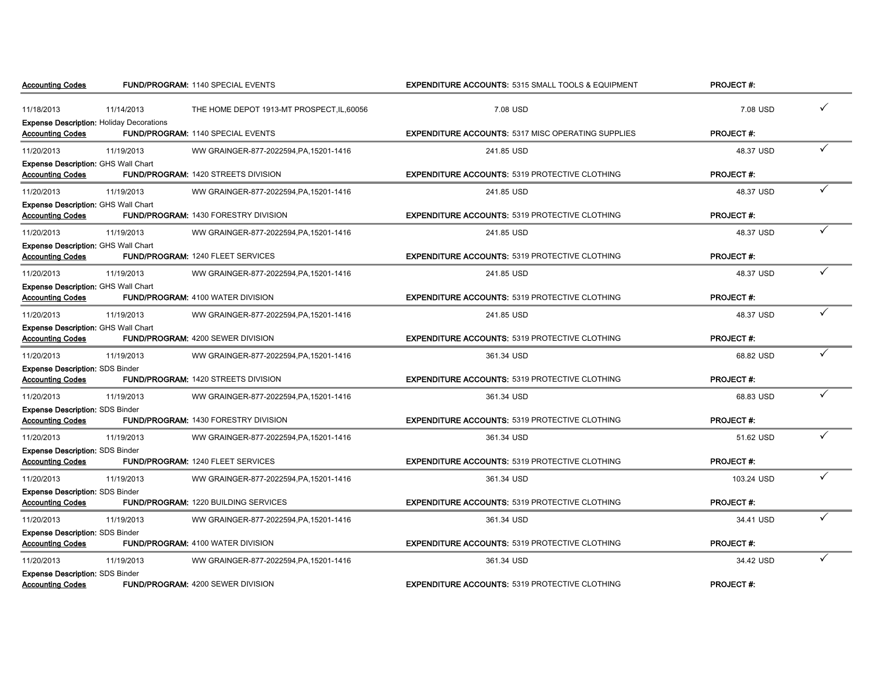| <b>Accounting Codes</b>                                                    |            | <b>FUND/PROGRAM: 1140 SPECIAL EVENTS</b>    | <b>EXPENDITURE ACCOUNTS: 5315 SMALL TOOLS &amp; EQUIPMENT</b> | <b>PROJECT#:</b> |  |
|----------------------------------------------------------------------------|------------|---------------------------------------------|---------------------------------------------------------------|------------------|--|
| 11/18/2013                                                                 | 11/14/2013 | THE HOME DEPOT 1913-MT PROSPECT.IL.60056    | 7.08 USD                                                      | 7.08 USD         |  |
| <b>Expense Description: Holiday Decorations</b><br><b>Accounting Codes</b> |            | FUND/PROGRAM: 1140 SPECIAL EVENTS           | <b>EXPENDITURE ACCOUNTS: 5317 MISC OPERATING SUPPLIES</b>     | <b>PROJECT#:</b> |  |
| 11/20/2013                                                                 | 11/19/2013 | WW GRAINGER-877-2022594, PA, 15201-1416     | 241.85 USD                                                    | 48.37 USD        |  |
| <b>Expense Description: GHS Wall Chart</b><br><b>Accounting Codes</b>      |            | <b>FUND/PROGRAM: 1420 STREETS DIVISION</b>  | <b>EXPENDITURE ACCOUNTS: 5319 PROTECTIVE CLOTHING</b>         | <b>PROJECT#:</b> |  |
| 11/20/2013                                                                 | 11/19/2013 | WW GRAINGER-877-2022594, PA, 15201-1416     | 241.85 USD                                                    | 48.37 USD        |  |
| <b>Expense Description: GHS Wall Chart</b><br><b>Accounting Codes</b>      |            | <b>FUND/PROGRAM: 1430 FORESTRY DIVISION</b> | <b>EXPENDITURE ACCOUNTS: 5319 PROTECTIVE CLOTHING</b>         | <b>PROJECT#:</b> |  |
| 11/20/2013                                                                 | 11/19/2013 | WW GRAINGER-877-2022594, PA, 15201-1416     | 241.85 USD                                                    | 48.37 USD        |  |
| <b>Expense Description: GHS Wall Chart</b><br><b>Accounting Codes</b>      |            | <b>FUND/PROGRAM: 1240 FLEET SERVICES</b>    | <b>EXPENDITURE ACCOUNTS: 5319 PROTECTIVE CLOTHING</b>         | <b>PROJECT#:</b> |  |
| 11/20/2013                                                                 | 11/19/2013 | WW GRAINGER-877-2022594, PA, 15201-1416     | 241.85 USD                                                    | 48.37 USD        |  |
| <b>Expense Description: GHS Wall Chart</b><br><b>Accounting Codes</b>      |            | <b>FUND/PROGRAM: 4100 WATER DIVISION</b>    | <b>EXPENDITURE ACCOUNTS: 5319 PROTECTIVE CLOTHING</b>         | <b>PROJECT#:</b> |  |
| 11/20/2013                                                                 | 11/19/2013 | WW GRAINGER-877-2022594, PA, 15201-1416     | 241.85 USD                                                    | 48.37 USD        |  |
| <b>Expense Description: GHS Wall Chart</b><br><b>Accounting Codes</b>      |            | <b>FUND/PROGRAM: 4200 SEWER DIVISION</b>    | <b>EXPENDITURE ACCOUNTS: 5319 PROTECTIVE CLOTHING</b>         | <b>PROJECT#:</b> |  |
| 11/20/2013                                                                 | 11/19/2013 | WW GRAINGER-877-2022594, PA, 15201-1416     | 361.34 USD                                                    | 68.82 USD        |  |
| <b>Expense Description: SDS Binder</b><br><b>Accounting Codes</b>          |            | <b>FUND/PROGRAM: 1420 STREETS DIVISION</b>  | <b>EXPENDITURE ACCOUNTS: 5319 PROTECTIVE CLOTHING</b>         | <b>PROJECT#:</b> |  |
| 11/20/2013                                                                 | 11/19/2013 | WW GRAINGER-877-2022594, PA, 15201-1416     | 361.34 USD                                                    | 68.83 USD        |  |
| <b>Expense Description: SDS Binder</b><br><b>Accounting Codes</b>          |            | <b>FUND/PROGRAM: 1430 FORESTRY DIVISION</b> | <b>EXPENDITURE ACCOUNTS: 5319 PROTECTIVE CLOTHING</b>         | <b>PROJECT#:</b> |  |
| 11/20/2013                                                                 | 11/19/2013 | WW GRAINGER-877-2022594, PA, 15201-1416     | 361.34 USD                                                    | 51.62 USD        |  |
| <b>Expense Description: SDS Binder</b><br><b>Accounting Codes</b>          |            | FUND/PROGRAM: 1240 FLEET SERVICES           | <b>EXPENDITURE ACCOUNTS: 5319 PROTECTIVE CLOTHING</b>         | <b>PROJECT#:</b> |  |
| 11/20/2013                                                                 | 11/19/2013 | WW GRAINGER-877-2022594, PA, 15201-1416     | 361.34 USD                                                    | 103.24 USD       |  |
| <b>Expense Description: SDS Binder</b><br><b>Accounting Codes</b>          |            | <b>FUND/PROGRAM: 1220 BUILDING SERVICES</b> | <b>EXPENDITURE ACCOUNTS: 5319 PROTECTIVE CLOTHING</b>         | <b>PROJECT#:</b> |  |
| 11/20/2013                                                                 | 11/19/2013 | WW GRAINGER-877-2022594, PA, 15201-1416     | 361.34 USD                                                    | 34.41 USD        |  |
| <b>Expense Description: SDS Binder</b><br><b>Accounting Codes</b>          |            | <b>FUND/PROGRAM: 4100 WATER DIVISION</b>    | <b>EXPENDITURE ACCOUNTS: 5319 PROTECTIVE CLOTHING</b>         | <b>PROJECT#:</b> |  |
| 11/20/2013                                                                 | 11/19/2013 | WW GRAINGER-877-2022594, PA, 15201-1416     | 361.34 USD                                                    | 34.42 USD        |  |
| <b>Expense Description: SDS Binder</b><br><b>Accounting Codes</b>          |            | <b>FUND/PROGRAM: 4200 SEWER DIVISION</b>    | <b>EXPENDITURE ACCOUNTS: 5319 PROTECTIVE CLOTHING</b>         | <b>PROJECT#:</b> |  |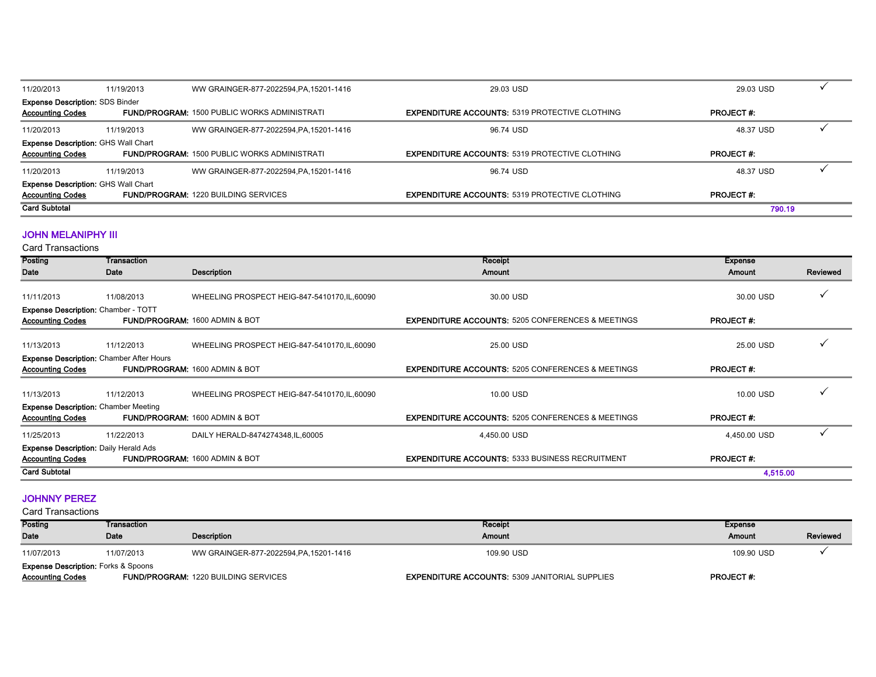| 11/20/2013                                 | 11/19/2013 | WW GRAINGER-877-2022594, PA, 15201-1416             | 29.03 USD                                             | 29.03 USD        |  |
|--------------------------------------------|------------|-----------------------------------------------------|-------------------------------------------------------|------------------|--|
| <b>Expense Description: SDS Binder</b>     |            |                                                     |                                                       |                  |  |
| <b>Accounting Codes</b>                    |            | <b>FUND/PROGRAM: 1500 PUBLIC WORKS ADMINISTRATI</b> | <b>EXPENDITURE ACCOUNTS: 5319 PROTECTIVE CLOTHING</b> | <b>PROJECT#:</b> |  |
| 11/20/2013                                 | 11/19/2013 | WW GRAINGER-877-2022594, PA, 15201-1416             | 96.74 USD                                             | 48.37 USD        |  |
| Expense Description: GHS Wall Chart        |            |                                                     |                                                       |                  |  |
| <b>Accounting Codes</b>                    |            | <b>FUND/PROGRAM: 1500 PUBLIC WORKS ADMINISTRATI</b> | <b>EXPENDITURE ACCOUNTS: 5319 PROTECTIVE CLOTHING</b> | <b>PROJECT#:</b> |  |
| 11/20/2013                                 | 11/19/2013 | WW GRAINGER-877-2022594.PA.15201-1416               | 96.74 USD                                             | 48.37 USD        |  |
| <b>Expense Description: GHS Wall Chart</b> |            |                                                     |                                                       |                  |  |
| <b>Accounting Codes</b>                    |            | <b>FUND/PROGRAM: 1220 BUILDING SERVICES</b>         | <b>EXPENDITURE ACCOUNTS: 5319 PROTECTIVE CLOTHING</b> | <b>PROJECT#:</b> |  |
| <b>Card Subtotal</b>                       |            |                                                     |                                                       | 790.19           |  |

#### JOHN MELANIPHY III

Card Transactions

| Posting                                                                    | Transaction |                                               | Receipt                                                      | <b>Expense</b>   |          |
|----------------------------------------------------------------------------|-------------|-----------------------------------------------|--------------------------------------------------------------|------------------|----------|
| Date                                                                       | Date        | Description                                   | Amount                                                       | Amount           | Reviewed |
| 11/11/2013                                                                 | 11/08/2013  | WHEELING PROSPECT HEIG-847-5410170, IL, 60090 | 30.00 USD                                                    | 30.00 USD        |          |
| Expense Description: Chamber - TOTT<br><b>Accounting Codes</b>             |             | <b>FUND/PROGRAM: 1600 ADMIN &amp; BOT</b>     | <b>EXPENDITURE ACCOUNTS: 5205 CONFERENCES &amp; MEETINGS</b> | <b>PROJECT#:</b> |          |
| 11/13/2013                                                                 | 11/12/2013  | WHEELING PROSPECT HEIG-847-5410170, IL, 60090 | 25.00 USD                                                    | 25.00 USD        |          |
| <b>Expense Description: Chamber After Hours</b><br><b>Accounting Codes</b> |             | FUND/PROGRAM: 1600 ADMIN & BOT                | <b>EXPENDITURE ACCOUNTS: 5205 CONFERENCES &amp; MEETINGS</b> | <b>PROJECT#:</b> |          |
| 11/13/2013                                                                 | 11/12/2013  | WHEELING PROSPECT HEIG-847-5410170, IL, 60090 | 10.00 USD                                                    | 10.00 USD        |          |
| <b>Expense Description: Chamber Meeting</b><br><b>Accounting Codes</b>     |             | <b>FUND/PROGRAM: 1600 ADMIN &amp; BOT</b>     | <b>EXPENDITURE ACCOUNTS: 5205 CONFERENCES &amp; MEETINGS</b> | <b>PROJECT#:</b> |          |
| 11/25/2013                                                                 | 11/22/2013  | DAILY HERALD-8474274348, IL, 60005            | 4,450.00 USD                                                 | 4,450.00 USD     |          |
| <b>Expense Description: Daily Herald Ads</b><br><b>Accounting Codes</b>    |             | FUND/PROGRAM: 1600 ADMIN & BOT                | <b>EXPENDITURE ACCOUNTS: 5333 BUSINESS RECRUITMENT</b>       | <b>PROJECT#:</b> |          |
| <b>Card Subtotal</b>                                                       |             |                                               |                                                              | 4,515.00         |          |

#### JOHNNY PEREZ

| Posting                 | Transaction                                    |                                             | Receipt                                               | Expense          |          |  |  |
|-------------------------|------------------------------------------------|---------------------------------------------|-------------------------------------------------------|------------------|----------|--|--|
| <b>Date</b>             | Date                                           | <b>Description</b>                          | Amount                                                | Amount           | Reviewed |  |  |
| 11/07/2013              | 11/07/2013                                     | WW GRAINGER-877-2022594, PA, 15201-1416     | 109.90 USD                                            | 109.90 USD       |          |  |  |
|                         | <b>Expense Description: Forks &amp; Spoons</b> |                                             |                                                       |                  |          |  |  |
| <b>Accounting Codes</b> |                                                | <b>FUND/PROGRAM: 1220 BUILDING SERVICES</b> | <b>EXPENDITURE ACCOUNTS: 5309 JANITORIAL SUPPLIES</b> | <b>PROJECT#:</b> |          |  |  |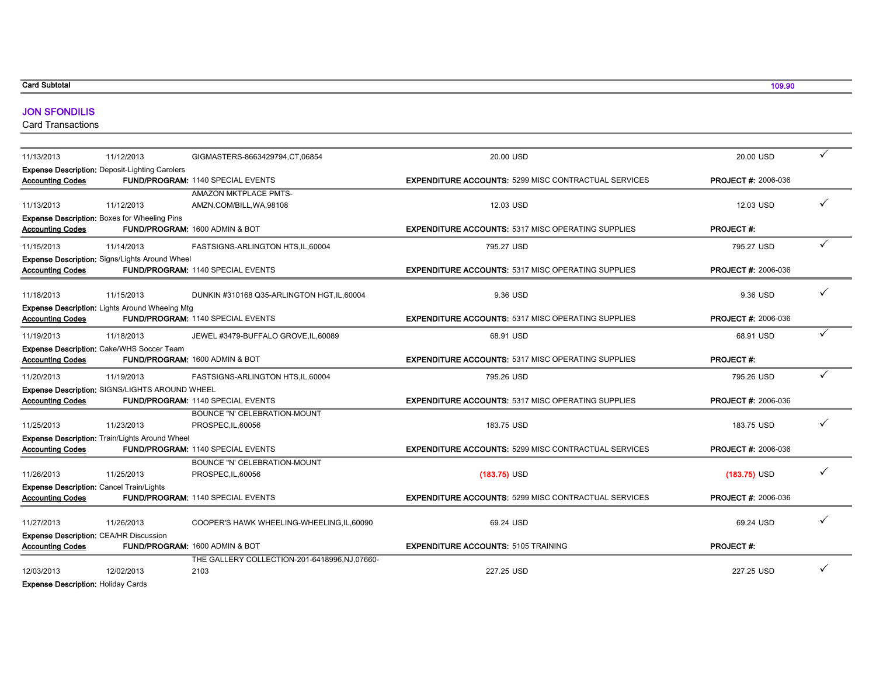#### Card Subtotal

#### JON SFONDILIS

Card Transactions

| 11/13/2013                                | 11/12/2013                                            | GIGMASTERS-8663429794, CT, 06854             | 20.00 USD                                                   | 20.00 USD                  |   |
|-------------------------------------------|-------------------------------------------------------|----------------------------------------------|-------------------------------------------------------------|----------------------------|---|
|                                           | <b>Expense Description: Deposit-Lighting Carolers</b> |                                              |                                                             |                            |   |
| <b>Accounting Codes</b>                   |                                                       | <b>FUND/PROGRAM: 1140 SPECIAL EVENTS</b>     | <b>EXPENDITURE ACCOUNTS: 5299 MISC CONTRACTUAL SERVICES</b> | <b>PROJECT #: 2006-036</b> |   |
|                                           |                                                       | <b>AMAZON MKTPLACE PMTS-</b>                 |                                                             |                            |   |
| 11/13/2013                                | 11/12/2013                                            | AMZN.COM/BILL, WA, 98108                     | 12.03 USD                                                   | 12.03 USD                  |   |
|                                           | <b>Expense Description: Boxes for Wheeling Pins</b>   |                                              |                                                             |                            |   |
| <b>Accounting Codes</b>                   |                                                       | FUND/PROGRAM: 1600 ADMIN & BOT               | <b>EXPENDITURE ACCOUNTS: 5317 MISC OPERATING SUPPLIES</b>   | PROJECT#:                  |   |
| 11/15/2013                                | 11/14/2013                                            | FASTSIGNS-ARLINGTON HTS, IL, 60004           | 795.27 USD                                                  | 795.27 USD                 |   |
|                                           | Expense Description: Signs/Lights Around Wheel        |                                              |                                                             |                            |   |
| <b>Accounting Codes</b>                   |                                                       | FUND/PROGRAM: 1140 SPECIAL EVENTS            | <b>EXPENDITURE ACCOUNTS: 5317 MISC OPERATING SUPPLIES</b>   | <b>PROJECT #: 2006-036</b> |   |
|                                           |                                                       |                                              |                                                             |                            |   |
| 11/18/2013                                | 11/15/2013                                            | DUNKIN #310168 Q35-ARLINGTON HGT, IL, 60004  | 9.36 USD                                                    | 9.36 USD                   |   |
| <b>Accounting Codes</b>                   | <b>Expense Description: Lights Around Wheelng Mtg</b> | <b>FUND/PROGRAM: 1140 SPECIAL EVENTS</b>     | <b>EXPENDITURE ACCOUNTS: 5317 MISC OPERATING SUPPLIES</b>   | <b>PROJECT #: 2006-036</b> |   |
|                                           |                                                       |                                              |                                                             |                            |   |
| 11/19/2013                                | 11/18/2013                                            | JEWEL #3479-BUFFALO GROVE, IL, 60089         | 68.91 USD                                                   | 68.91 USD                  |   |
|                                           | Expense Description: Cake/WHS Soccer Team             |                                              |                                                             |                            |   |
| <b>Accounting Codes</b>                   |                                                       | FUND/PROGRAM: 1600 ADMIN & BOT               | <b>EXPENDITURE ACCOUNTS: 5317 MISC OPERATING SUPPLIES</b>   | PROJECT#:                  |   |
| 11/20/2013                                | 11/19/2013                                            | FASTSIGNS-ARLINGTON HTS,IL,60004             | 795.26 USD                                                  | 795.26 USD                 | ✓ |
|                                           | Expense Description: SIGNS/LIGHTS AROUND WHEEL        |                                              |                                                             |                            |   |
| <b>Accounting Codes</b>                   |                                                       | <b>FUND/PROGRAM: 1140 SPECIAL EVENTS</b>     | <b>EXPENDITURE ACCOUNTS: 5317 MISC OPERATING SUPPLIES</b>   | <b>PROJECT #: 2006-036</b> |   |
|                                           |                                                       | <b>BOUNCE "N' CELEBRATION-MOUNT</b>          |                                                             |                            |   |
| 11/25/2013                                | 11/23/2013                                            | PROSPEC, IL, 60056                           | 183.75 USD                                                  | 183.75 USD                 |   |
|                                           | Expense Description: Train/Lights Around Wheel        |                                              |                                                             |                            |   |
| <b>Accounting Codes</b>                   |                                                       | FUND/PROGRAM: 1140 SPECIAL EVENTS            | <b>EXPENDITURE ACCOUNTS: 5299 MISC CONTRACTUAL SERVICES</b> | <b>PROJECT #: 2006-036</b> |   |
|                                           |                                                       | BOUNCE "N' CELEBRATION-MOUNT                 |                                                             |                            |   |
| 11/26/2013                                | 11/25/2013                                            | PROSPEC, IL, 60056                           | $(183.75)$ USD                                              | $(183.75)$ USD             |   |
|                                           | <b>Expense Description: Cancel Train/Lights</b>       |                                              |                                                             |                            |   |
| <b>Accounting Codes</b>                   |                                                       | <b>FUND/PROGRAM: 1140 SPECIAL EVENTS</b>     | <b>EXPENDITURE ACCOUNTS: 5299 MISC CONTRACTUAL SERVICES</b> | <b>PROJECT #: 2006-036</b> |   |
|                                           |                                                       |                                              |                                                             |                            |   |
| 11/27/2013                                | 11/26/2013                                            | COOPER'S HAWK WHEELING-WHEELING, IL, 60090   | 69.24 USD                                                   | 69.24 USD                  |   |
|                                           | Expense Description: CEA/HR Discussion                |                                              |                                                             |                            |   |
| <b>Accounting Codes</b>                   |                                                       | FUND/PROGRAM: 1600 ADMIN & BOT               | <b>EXPENDITURE ACCOUNTS: 5105 TRAINING</b>                  | <b>PROJECT#:</b>           |   |
|                                           |                                                       | THE GALLERY COLLECTION-201-6418996,NJ,07660- |                                                             |                            |   |
| 12/03/2013                                | 12/02/2013                                            | 2103                                         | 227.25 USD                                                  | 227.25 USD                 |   |
| <b>Expense Description: Holiday Cards</b> |                                                       |                                              |                                                             |                            |   |

109.90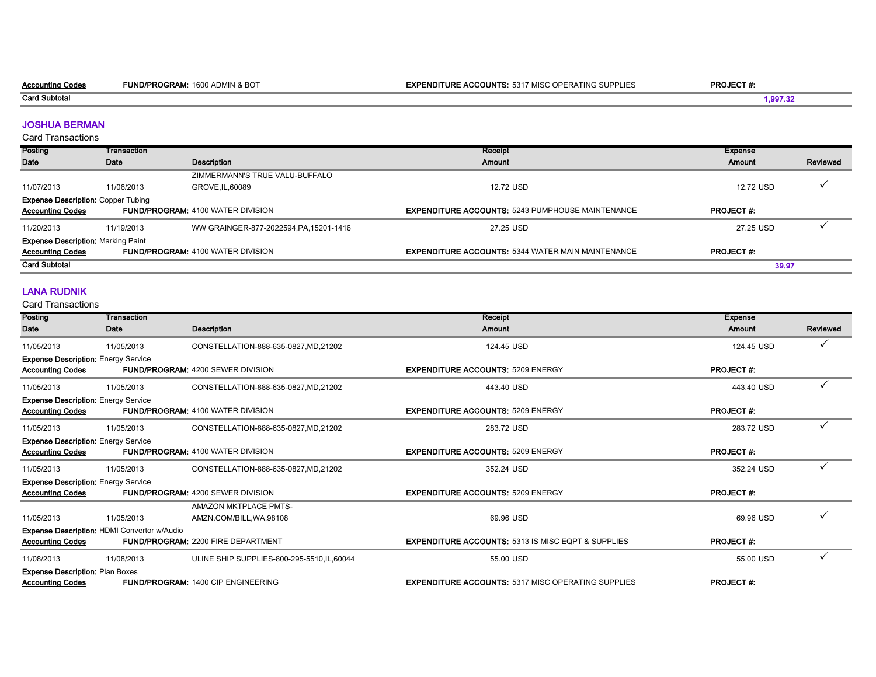Card Subtotal

#### JOSHUA BERMAN

Card Transactions

| Posting                                   | Transaction |                                          | Receipt                                                  | Expense          |          |
|-------------------------------------------|-------------|------------------------------------------|----------------------------------------------------------|------------------|----------|
| Date                                      | Date        | Description                              | Amount                                                   | Amount           | Reviewed |
|                                           |             | ZIMMERMANN'S TRUE VALU-BUFFALO           |                                                          |                  |          |
| 11/07/2013                                | 11/06/2013  | GROVE.IL.60089                           | 12.72 USD                                                | 12.72 USD        |          |
| <b>Expense Description: Copper Tubing</b> |             |                                          |                                                          |                  |          |
| <b>Accounting Codes</b>                   |             | <b>FUND/PROGRAM: 4100 WATER DIVISION</b> | <b>EXPENDITURE ACCOUNTS: 5243 PUMPHOUSE MAINTENANCE</b>  | <b>PROJECT#:</b> |          |
| 11/20/2013                                | 11/19/2013  | WW GRAINGER-877-2022594, PA, 15201-1416  | 27.25 USD                                                | 27.25 USD        |          |
| <b>Expense Description: Marking Paint</b> |             |                                          |                                                          |                  |          |
| <b>Accounting Codes</b>                   |             | <b>FUND/PROGRAM: 4100 WATER DIVISION</b> | <b>EXPENDITURE ACCOUNTS: 5344 WATER MAIN MAINTENANCE</b> | <b>PROJECT#:</b> |          |
| <b>Card Subtotal</b>                      |             |                                          |                                                          | 39.97            |          |

#### LANA RUDNIK

Card Transactions

| Posting                                                               | Transaction                                 |                                                          | Receipt                                                       | <b>Expense</b>   |          |
|-----------------------------------------------------------------------|---------------------------------------------|----------------------------------------------------------|---------------------------------------------------------------|------------------|----------|
| Date                                                                  | Date                                        | <b>Description</b>                                       | Amount                                                        | Amount           | Reviewed |
| 11/05/2013                                                            | 11/05/2013                                  | CONSTELLATION-888-635-0827, MD, 21202                    | 124.45 USD                                                    | 124.45 USD       |          |
| <b>Expense Description: Energy Service</b><br><b>Accounting Codes</b> |                                             | <b>FUND/PROGRAM: 4200 SEWER DIVISION</b>                 | <b>EXPENDITURE ACCOUNTS: 5209 ENERGY</b>                      | <b>PROJECT#:</b> |          |
| 11/05/2013                                                            | 11/05/2013                                  | CONSTELLATION-888-635-0827, MD, 21202                    | 443.40 USD                                                    | 443.40 USD       |          |
| <b>Expense Description: Energy Service</b><br><b>Accounting Codes</b> |                                             | <b>FUND/PROGRAM: 4100 WATER DIVISION</b>                 | <b>EXPENDITURE ACCOUNTS: 5209 ENERGY</b>                      | <b>PROJECT#:</b> |          |
| 11/05/2013                                                            | 11/05/2013                                  | CONSTELLATION-888-635-0827, MD, 21202                    | 283.72 USD                                                    | 283.72 USD       |          |
| <b>Expense Description: Energy Service</b><br><b>Accounting Codes</b> |                                             | <b>FUND/PROGRAM: 4100 WATER DIVISION</b>                 | <b>EXPENDITURE ACCOUNTS: 5209 ENERGY</b>                      | <b>PROJECT#:</b> |          |
| 11/05/2013                                                            | 11/05/2013                                  | CONSTELLATION-888-635-0827, MD, 21202                    | 352.24 USD                                                    | 352.24 USD       |          |
| <b>Expense Description: Energy Service</b>                            |                                             |                                                          |                                                               |                  |          |
| <b>Accounting Codes</b>                                               |                                             | <b>FUND/PROGRAM: 4200 SEWER DIVISION</b>                 | <b>EXPENDITURE ACCOUNTS: 5209 ENERGY</b>                      | <b>PROJECT#:</b> |          |
| 11/05/2013                                                            | 11/05/2013                                  | <b>AMAZON MKTPLACE PMTS-</b><br>AMZN.COM/BILL, WA, 98108 | 69.96 USD                                                     | 69.96 USD        |          |
| <b>Accounting Codes</b>                                               | Expense Description: HDMI Convertor w/Audio | <b>FUND/PROGRAM: 2200 FIRE DEPARTMENT</b>                | <b>EXPENDITURE ACCOUNTS: 5313 IS MISC EQPT &amp; SUPPLIES</b> | <b>PROJECT#:</b> |          |
| 11/08/2013                                                            | 11/08/2013                                  | ULINE SHIP SUPPLIES-800-295-5510.IL.60044                | 55.00 USD                                                     | 55.00 USD        |          |
| <b>Expense Description: Plan Boxes</b><br><b>Accounting Codes</b>     |                                             | <b>FUND/PROGRAM: 1400 CIP ENGINEERING</b>                | <b>EXPENDITURE ACCOUNTS: 5317 MISC OPERATING SUPPLIES</b>     | <b>PROJECT#:</b> |          |

1,997.32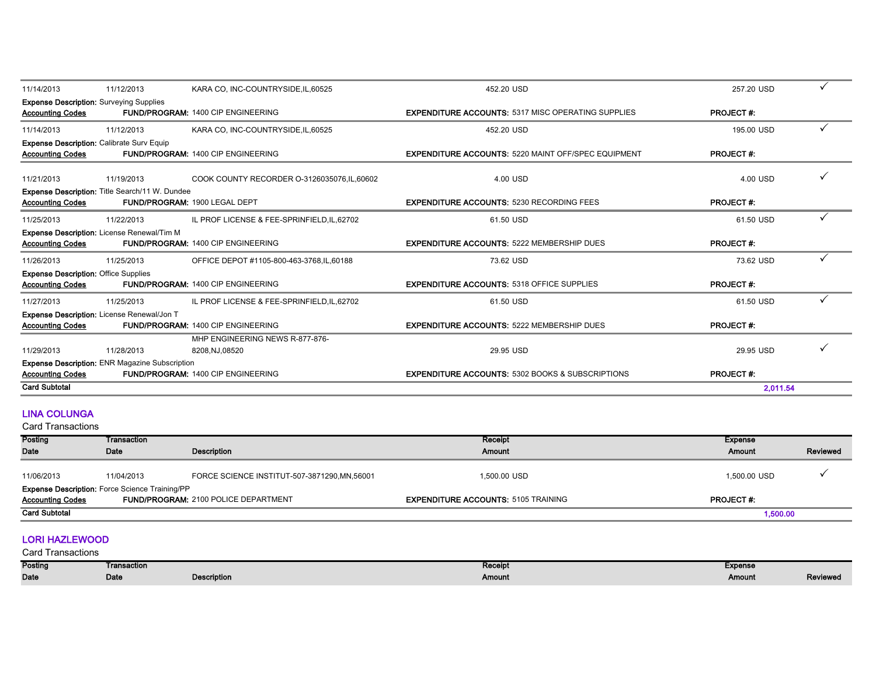| <b>Card Subtotal</b>                                                        |                                                       |                                                    |                                                             | 2.011.54         |              |
|-----------------------------------------------------------------------------|-------------------------------------------------------|----------------------------------------------------|-------------------------------------------------------------|------------------|--------------|
| <b>Accounting Codes</b>                                                     |                                                       | FUND/PROGRAM: 1400 CIP ENGINEERING                 | <b>EXPENDITURE ACCOUNTS: 5302 BOOKS &amp; SUBSCRIPTIONS</b> | <b>PROJECT#:</b> |              |
|                                                                             | <b>Expense Description: ENR Magazine Subscription</b> |                                                    |                                                             |                  |              |
| 11/29/2013                                                                  | 11/28/2013                                            | MHP ENGINEERING NEWS R-877-876-<br>8208, NJ, 08520 | 29.95 USD                                                   | 29.95 USD        |              |
| <b>Accounting Codes</b>                                                     | Expense Description: License Renewal/Jon T            | <b>FUND/PROGRAM: 1400 CIP ENGINEERING</b>          | <b>EXPENDITURE ACCOUNTS: 5222 MEMBERSHIP DUES</b>           | <b>PROJECT#:</b> |              |
| 11/27/2013                                                                  | 11/25/2013                                            | IL PROF LICENSE & FEE-SPRINFIELD, IL, 62702        | 61.50 USD                                                   | 61.50 USD        | $\checkmark$ |
| <b>Expense Description: Office Supplies</b><br><b>Accounting Codes</b>      |                                                       | <b>FUND/PROGRAM: 1400 CIP ENGINEERING</b>          | <b>EXPENDITURE ACCOUNTS: 5318 OFFICE SUPPLIES</b>           | <b>PROJECT#:</b> |              |
| 11/26/2013                                                                  | 11/25/2013                                            | OFFICE DEPOT #1105-800-463-3768, IL, 60188         | 73.62 USD                                                   | 73.62 USD        | $\checkmark$ |
| <b>Accounting Codes</b>                                                     | Expense Description: License Renewal/Tim M            | <b>FUND/PROGRAM: 1400 CIP ENGINEERING</b>          | <b>EXPENDITURE ACCOUNTS: 5222 MEMBERSHIP DUES</b>           | <b>PROJECT#:</b> |              |
| 11/25/2013                                                                  | 11/22/2013                                            | IL PROF LICENSE & FEE-SPRINFIELD, IL, 62702        | 61.50 USD                                                   | 61.50 USD        | $\checkmark$ |
| <b>Accounting Codes</b>                                                     | <b>Expense Description: Title Search/11 W. Dundee</b> | FUND/PROGRAM: 1900 LEGAL DEPT                      | <b>EXPENDITURE ACCOUNTS: 5230 RECORDING FEES</b>            | <b>PROJECT#:</b> |              |
| 11/21/2013                                                                  | 11/19/2013                                            | COOK COUNTY RECORDER 0-3126035076, IL, 60602       | 4.00 USD                                                    | 4.00 USD         |              |
| <b>Expense Description: Calibrate Surv Equip</b><br><b>Accounting Codes</b> |                                                       | <b>FUND/PROGRAM: 1400 CIP ENGINEERING</b>          | <b>EXPENDITURE ACCOUNTS: 5220 MAINT OFF/SPEC EQUIPMENT</b>  | <b>PROJECT#:</b> |              |
| 11/14/2013                                                                  | 11/12/2013                                            | KARA CO, INC-COUNTRYSIDE, IL, 60525                | 452.20 USD                                                  | 195.00 USD       | $\checkmark$ |
| <b>Expense Description: Surveying Supplies</b><br><b>Accounting Codes</b>   |                                                       | <b>FUND/PROGRAM: 1400 CIP ENGINEERING</b>          | <b>EXPENDITURE ACCOUNTS: 5317 MISC OPERATING SUPPLIES</b>   | <b>PROJECT#:</b> |              |
| 11/14/2013                                                                  | 11/12/2013                                            | KARA CO, INC-COUNTRYSIDE, IL, 60525                | 452.20 USD                                                  | 257.20 USD       | $\checkmark$ |

#### LINA COLUNGA

Card Transactions

| Transaction |                                               | Receipt                                                                                              | Expense          |          |
|-------------|-----------------------------------------------|------------------------------------------------------------------------------------------------------|------------------|----------|
| Date        | Description                                   | Amount                                                                                               | Amount           | Reviewed |
|             |                                               |                                                                                                      |                  |          |
| 11/04/2013  | FORCE SCIENCE INSTITUT-507-3871290, MN, 56001 | 1,500.00 USD                                                                                         | 1,500.00 USD     |          |
|             |                                               |                                                                                                      |                  |          |
|             |                                               | <b>EXPENDITURE ACCOUNTS: 5105 TRAINING</b>                                                           | <b>PROJECT#:</b> |          |
|             |                                               |                                                                                                      | 1,500.00         |          |
|             |                                               | <b>Expense Description: Force Science Training/PP</b><br><b>FUND/PROGRAM: 2100 POLICE DEPARTMENT</b> |                  |          |

#### LORI HAZLEWOOD

| Posting     | Transaction |             | Receipt | <b>Expense</b> |                 |
|-------------|-------------|-------------|---------|----------------|-----------------|
| <b>Date</b> | Date        | Description | Amount  | Amount         | <b>Reviewed</b> |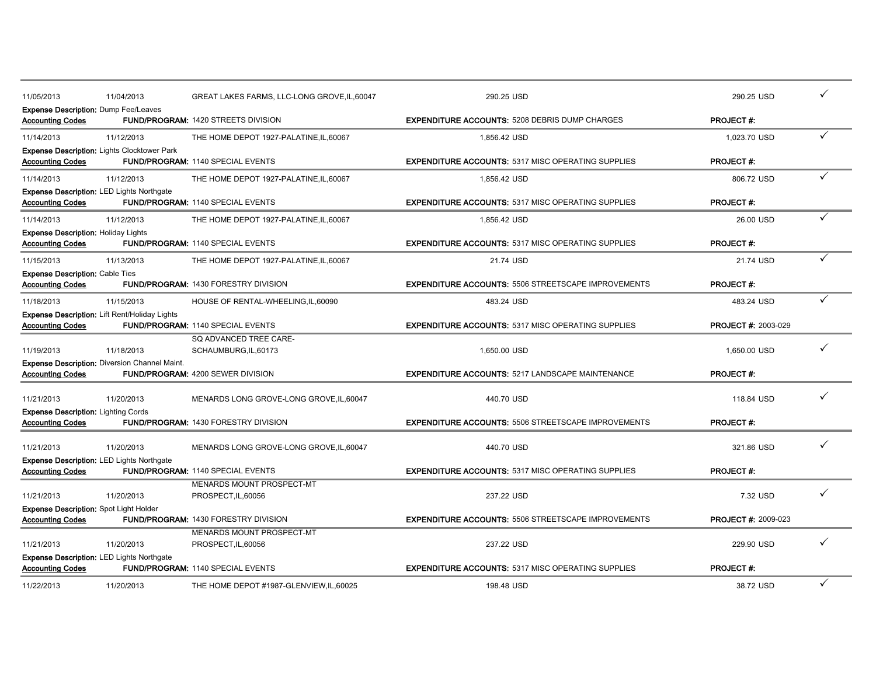| 11/05/2013                                                            | 11/04/2013                                                     | GREAT LAKES FARMS, LLC-LONG GROVE, IL, 60047             | 290.25 USD                                                              | 290.25 USD                     |   |
|-----------------------------------------------------------------------|----------------------------------------------------------------|----------------------------------------------------------|-------------------------------------------------------------------------|--------------------------------|---|
| <b>Accounting Codes</b>                                               | <b>Expense Description: Dump Fee/Leaves</b>                    | <b>FUND/PROGRAM: 1420 STREETS DIVISION</b>               | <b>EXPENDITURE ACCOUNTS: 5208 DEBRIS DUMP CHARGES</b>                   | <b>PROJECT#:</b>               |   |
| 11/14/2013                                                            | 11/12/2013                                                     | THE HOME DEPOT 1927-PALATINE.IL.60067                    | 1,856.42 USD                                                            | 1.023.70 USD                   |   |
| <b>Accounting Codes</b>                                               | <b>Expense Description: Lights Clocktower Park</b>             | <b>FUND/PROGRAM: 1140 SPECIAL EVENTS</b>                 | <b>EXPENDITURE ACCOUNTS: 5317 MISC OPERATING SUPPLIES</b>               | <b>PROJECT#:</b>               |   |
| 11/14/2013                                                            | 11/12/2013                                                     | THE HOME DEPOT 1927-PALATINE, IL, 60067                  | 1,856.42 USD                                                            | 806.72 USD                     |   |
| <b>Accounting Codes</b>                                               | <b>Expense Description: LED Lights Northgate</b>               | <b>FUND/PROGRAM: 1140 SPECIAL EVENTS</b>                 | <b>EXPENDITURE ACCOUNTS: 5317 MISC OPERATING SUPPLIES</b>               | <b>PROJECT#:</b>               |   |
| 11/14/2013                                                            | 11/12/2013                                                     | THE HOME DEPOT 1927-PALATINE, IL, 60067                  | 1,856.42 USD                                                            | 26.00 USD                      |   |
| <b>Expense Description: Holiday Lights</b><br><b>Accounting Codes</b> |                                                                | <b>FUND/PROGRAM: 1140 SPECIAL EVENTS</b>                 | <b>EXPENDITURE ACCOUNTS: 5317 MISC OPERATING SUPPLIES</b>               | <b>PROJECT#:</b>               |   |
| 11/15/2013                                                            | 11/13/2013                                                     | THE HOME DEPOT 1927-PALATINE, IL, 60067                  | 21.74 USD                                                               | 21.74 USD                      |   |
| <b>Expense Description: Cable Ties</b><br><b>Accounting Codes</b>     |                                                                | <b>FUND/PROGRAM: 1430 FORESTRY DIVISION</b>              | <b>EXPENDITURE ACCOUNTS: 5506 STREETSCAPE IMPROVEMENTS</b>              | <b>PROJECT#:</b>               |   |
| 11/18/2013                                                            | 11/15/2013                                                     | HOUSE OF RENTAL-WHEELING, IL, 60090                      | 483.24 USD                                                              | 483.24 USD                     |   |
| <b>Accounting Codes</b>                                               | Expense Description: Lift Rent/Holiday Lights                  | FUND/PROGRAM: 1140 SPECIAL EVENTS                        | <b>EXPENDITURE ACCOUNTS: 5317 MISC OPERATING SUPPLIES</b>               | <b>PROJECT #: 2003-029</b>     |   |
| 11/19/2013                                                            | 11/18/2013                                                     | SQ ADVANCED TREE CARE-<br>SCHAUMBURG, IL, 60173          | 1,650.00 USD                                                            | 1.650.00 USD                   |   |
| <b>Accounting Codes</b>                                               | <b>Expense Description: Diversion Channel Maint.</b>           | <b>FUND/PROGRAM: 4200 SEWER DIVISION</b>                 | <b>EXPENDITURE ACCOUNTS: 5217 LANDSCAPE MAINTENANCE</b>                 | <b>PROJECT#:</b>               |   |
| 11/21/2013                                                            | 11/20/2013                                                     | MENARDS LONG GROVE-LONG GROVE, IL, 60047                 | 440.70 USD                                                              | 118.84 USD                     |   |
| <b>Expense Description: Lighting Cords</b><br><b>Accounting Codes</b> |                                                                | <b>FUND/PROGRAM: 1430 FORESTRY DIVISION</b>              | <b>EXPENDITURE ACCOUNTS: 5506 STREETSCAPE IMPROVEMENTS</b>              | <b>PROJECT#:</b>               |   |
| 11/21/2013                                                            | 11/20/2013                                                     | MENARDS LONG GROVE-LONG GROVE, IL, 60047                 | 440.70 USD                                                              | 321.86 USD                     |   |
| <b>Accounting Codes</b>                                               | <b>Expense Description: LED Lights Northgate</b>               | FUND/PROGRAM: 1140 SPECIAL EVENTS                        | <b>EXPENDITURE ACCOUNTS: 5317 MISC OPERATING SUPPLIES</b>               | <b>PROJECT#:</b>               |   |
| 11/21/2013                                                            | 11/20/2013                                                     | MENARDS MOUNT PROSPECT-MT<br>PROSPECT, IL, 60056         | 237.22 USD                                                              | 7.32 USD                       |   |
| <b>Accounting Codes</b>                                               | <b>Expense Description: Spot Light Holder</b>                  | <b>FUND/PROGRAM: 1430 FORESTRY DIVISION</b>              | <b>EXPENDITURE ACCOUNTS: 5506 STREETSCAPE IMPROVEMENTS</b>              | <b>PROJECT #: 2009-023</b>     |   |
|                                                                       |                                                                | MENARDS MOUNT PROSPECT-MT                                |                                                                         |                                |   |
| 11/21/2013<br><b>Accounting Codes</b>                                 | 11/20/2013<br><b>Expense Description: LED Lights Northgate</b> | PROSPECT, IL, 60056<br>FUND/PROGRAM: 1140 SPECIAL EVENTS | 237.22 USD<br><b>EXPENDITURE ACCOUNTS: 5317 MISC OPERATING SUPPLIES</b> | 229.90 USD<br><b>PROJECT#:</b> |   |
| 11/22/2013                                                            | 11/20/2013                                                     | THE HOME DEPOT #1987-GLENVIEW.IL.60025                   | 198.48 USD                                                              | 38.72 USD                      | ✓ |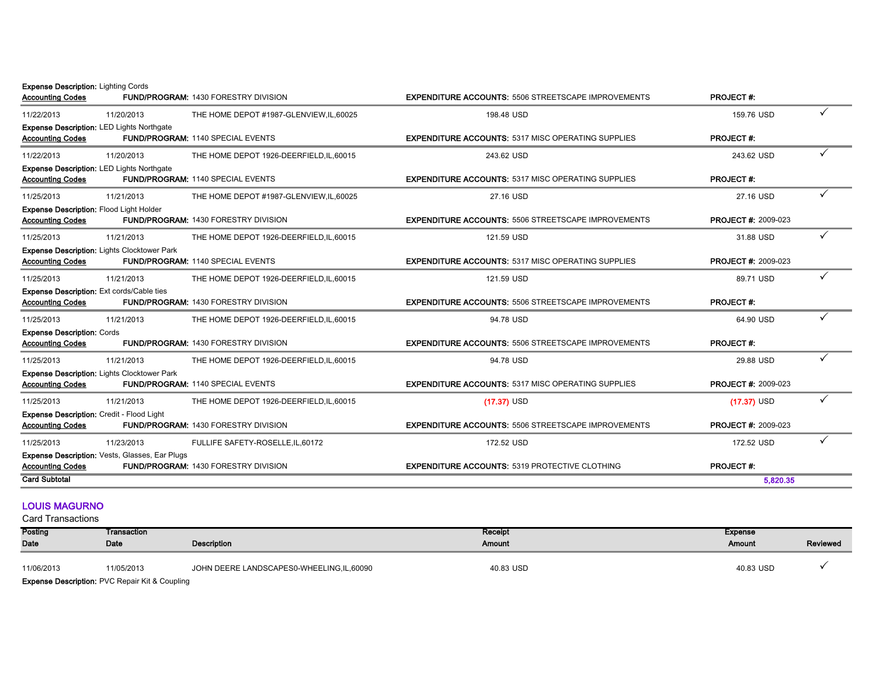Expense Description: Lighting Cords

| <b>Accounting Codes</b>                                                   |                                                  | <b>FUND/PROGRAM: 1430 FORESTRY DIVISION</b> | <b>EXPENDITURE ACCOUNTS: 5506 STREETSCAPE IMPROVEMENTS</b> | <b>PROJECT#:</b>           |   |
|---------------------------------------------------------------------------|--------------------------------------------------|---------------------------------------------|------------------------------------------------------------|----------------------------|---|
| 11/22/2013                                                                | 11/20/2013                                       | THE HOME DEPOT #1987-GLENVIEW, IL, 60025    | 198.48 USD                                                 | 159.76 USD                 | ✓ |
| <b>Accounting Codes</b>                                                   | <b>Expense Description: LED Lights Northgate</b> | <b>FUND/PROGRAM: 1140 SPECIAL EVENTS</b>    | <b>EXPENDITURE ACCOUNTS: 5317 MISC OPERATING SUPPLIES</b>  | <b>PROJECT#:</b>           |   |
| 11/22/2013                                                                | 11/20/2013                                       | THE HOME DEPOT 1926-DEERFIELD, IL, 60015    | 243.62 USD                                                 | 243.62 USD                 |   |
| <b>Accounting Codes</b>                                                   | <b>Expense Description: LED Lights Northgate</b> | <b>FUND/PROGRAM: 1140 SPECIAL EVENTS</b>    | <b>EXPENDITURE ACCOUNTS: 5317 MISC OPERATING SUPPLIES</b>  | <b>PROJECT#:</b>           |   |
| 11/25/2013                                                                | 11/21/2013                                       | THE HOME DEPOT #1987-GLENVIEW, IL, 60025    | 27.16 USD                                                  | 27.16 USD                  |   |
| <b>Expense Description: Flood Light Holder</b><br><b>Accounting Codes</b> |                                                  | <b>FUND/PROGRAM: 1430 FORESTRY DIVISION</b> | <b>EXPENDITURE ACCOUNTS: 5506 STREETSCAPE IMPROVEMENTS</b> | <b>PROJECT #: 2009-023</b> |   |
| 11/25/2013                                                                | 11/21/2013                                       | THE HOME DEPOT 1926-DEERFIELD, IL, 60015    | 121.59 USD                                                 | 31.88 USD                  |   |
| <b>Accounting Codes</b>                                                   | Expense Description: Lights Clocktower Park      | <b>FUND/PROGRAM: 1140 SPECIAL EVENTS</b>    | <b>EXPENDITURE ACCOUNTS: 5317 MISC OPERATING SUPPLIES</b>  | <b>PROJECT #: 2009-023</b> |   |
| 11/25/2013                                                                | 11/21/2013                                       | THE HOME DEPOT 1926-DEERFIELD, IL, 60015    | 121.59 USD                                                 | 89.71 USD                  |   |
| Expense Description: Ext cords/Cable ties<br><b>Accounting Codes</b>      |                                                  | <b>FUND/PROGRAM: 1430 FORESTRY DIVISION</b> | <b>EXPENDITURE ACCOUNTS: 5506 STREETSCAPE IMPROVEMENTS</b> | <b>PROJECT#:</b>           |   |
| 11/25/2013                                                                | 11/21/2013                                       | THE HOME DEPOT 1926-DEERFIELD, IL, 60015    | 94.78 USD                                                  | 64.90 USD                  |   |
| <b>Expense Description: Cords</b><br><b>Accounting Codes</b>              |                                                  | <b>FUND/PROGRAM: 1430 FORESTRY DIVISION</b> | <b>EXPENDITURE ACCOUNTS: 5506 STREETSCAPE IMPROVEMENTS</b> | <b>PROJECT#:</b>           |   |
| 11/25/2013                                                                | 11/21/2013                                       | THE HOME DEPOT 1926-DEERFIELD, IL, 60015    | 94.78 USD                                                  | 29.88 USD                  |   |
| <b>Accounting Codes</b>                                                   | Expense Description: Lights Clocktower Park      | FUND/PROGRAM: 1140 SPECIAL EVENTS           | <b>EXPENDITURE ACCOUNTS: 5317 MISC OPERATING SUPPLIES</b>  | <b>PROJECT #: 2009-023</b> |   |
| 11/25/2013                                                                | 11/21/2013                                       | THE HOME DEPOT 1926-DEERFIELD, IL, 60015    | $(17.37)$ USD                                              | $(17.37)$ USD              |   |
| Expense Description: Credit - Flood Light<br><b>Accounting Codes</b>      |                                                  | <b>FUND/PROGRAM: 1430 FORESTRY DIVISION</b> | <b>EXPENDITURE ACCOUNTS: 5506 STREETSCAPE IMPROVEMENTS</b> | <b>PROJECT #: 2009-023</b> |   |
| 11/25/2013                                                                | 11/23/2013                                       | FULLIFE SAFETY-ROSELLE, IL, 60172           | 172.52 USD                                                 | 172.52 USD                 |   |
| <b>Accounting Codes</b>                                                   | Expense Description: Vests, Glasses, Ear Plugs   | FUND/PROGRAM: 1430 FORESTRY DIVISION        | <b>EXPENDITURE ACCOUNTS: 5319 PROTECTIVE CLOTHING</b>      | <b>PROJECT#:</b>           |   |
| <b>Card Subtotal</b>                                                      |                                                  |                                             |                                                            | 5,820.35                   |   |

#### LOUIS MAGURNO

| Posting     | Transaction                                               |                                          | Receipt   | <b>Expense</b> |          |
|-------------|-----------------------------------------------------------|------------------------------------------|-----------|----------------|----------|
| <b>Date</b> | Date                                                      | Description                              | Amount    | Amount         | Reviewed |
| 11/06/2013  | 11/05/2013                                                | JOHN DEERE LANDSCAPES0-WHEELING,IL,60090 | 40.83 USD | 40.83 USD      |          |
|             | <b>Expense Description: PVC Repair Kit &amp; Coupling</b> |                                          |           |                |          |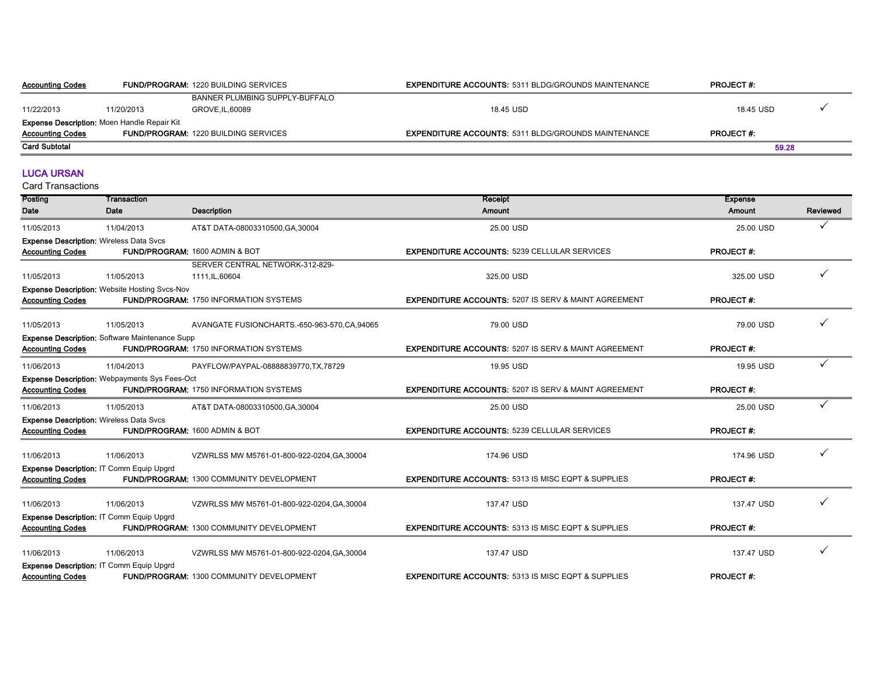| <b>Accounting Codes</b>                            | <b>FUND/PROGRAM: 1220 BUILDING SERVICES</b> |                                             | <b>EXPENDITURE ACCOUNTS: 5311 BLDG/GROUNDS MAINTENANCE</b> | <b>PROJECT#:</b> |  |
|----------------------------------------------------|---------------------------------------------|---------------------------------------------|------------------------------------------------------------|------------------|--|
|                                                    |                                             | BANNER PLUMBING SUPPLY-BUFFALO              |                                                            |                  |  |
| 11/22/2013                                         | 11/20/2013                                  | GROVE.IL.60089                              | 18.45 USD                                                  | 18.45 USD        |  |
| <b>Expense Description: Moen Handle Repair Kit</b> |                                             |                                             |                                                            |                  |  |
| <b>Accounting Codes</b>                            |                                             | <b>FUND/PROGRAM: 1220 BUILDING SERVICES</b> | <b>EXPENDITURE ACCOUNTS: 5311 BLDG/GROUNDS MAINTENANCE</b> | <b>PROJECT#:</b> |  |
| <b>Card Subtotal</b>                               |                                             |                                             |                                                            | 59.28            |  |

#### LUCA URSAN

| Posting                 | Transaction                                           |                                               | Receipt                                                         | <b>Expense</b>   |          |
|-------------------------|-------------------------------------------------------|-----------------------------------------------|-----------------------------------------------------------------|------------------|----------|
| Date                    | Date                                                  | <b>Description</b>                            | Amount                                                          | Amount           | Reviewed |
| 11/05/2013              | 11/04/2013                                            | AT&T DATA-08003310500, GA, 30004              | 25.00 USD                                                       | 25.00 USD        | ✓        |
|                         | <b>Expense Description: Wireless Data Svcs</b>        |                                               |                                                                 |                  |          |
| <b>Accounting Codes</b> |                                                       | FUND/PROGRAM: 1600 ADMIN & BOT                | <b>EXPENDITURE ACCOUNTS: 5239 CELLULAR SERVICES</b>             | <b>PROJECT#:</b> |          |
|                         |                                                       | SERVER CENTRAL NETWORK-312-829-               |                                                                 |                  |          |
| 11/05/2013              | 11/05/2013                                            | 1111, IL, 60604                               | 325.00 USD                                                      | 325.00 USD       |          |
|                         | <b>Expense Description: Website Hosting Svcs-Nov</b>  |                                               |                                                                 |                  |          |
| <b>Accounting Codes</b> |                                                       | FUND/PROGRAM: 1750 INFORMATION SYSTEMS        | <b>EXPENDITURE ACCOUNTS: 5207 IS SERV &amp; MAINT AGREEMENT</b> | <b>PROJECT#:</b> |          |
| 11/05/2013              | 11/05/2013                                            | AVANGATE FUSIONCHARTS.-650-963-570,CA,94065   | 79.00 USD                                                       | 79.00 USD        |          |
|                         | <b>Expense Description: Software Maintenance Supp</b> |                                               |                                                                 |                  |          |
| <b>Accounting Codes</b> |                                                       | <b>FUND/PROGRAM: 1750 INFORMATION SYSTEMS</b> | <b>EXPENDITURE ACCOUNTS: 5207 IS SERV &amp; MAINT AGREEMENT</b> | <b>PROJECT#:</b> |          |
| 11/06/2013              | 11/04/2013                                            | PAYFLOW/PAYPAL-08888839770,TX,78729           | 19.95 USD                                                       | 19.95 USD        |          |
|                         | Expense Description: Webpayments Sys Fees-Oct         |                                               |                                                                 |                  |          |
| <b>Accounting Codes</b> |                                                       | <b>FUND/PROGRAM: 1750 INFORMATION SYSTEMS</b> | <b>EXPENDITURE ACCOUNTS: 5207 IS SERV &amp; MAINT AGREEMENT</b> | <b>PROJECT#:</b> |          |
| 11/06/2013              | 11/05/2013                                            | AT&T DATA-08003310500, GA, 30004              | 25.00 USD                                                       | 25.00 USD        |          |
|                         | <b>Expense Description: Wireless Data Svcs</b>        |                                               |                                                                 |                  |          |
| <b>Accounting Codes</b> |                                                       | FUND/PROGRAM: 1600 ADMIN & BOT                | <b>EXPENDITURE ACCOUNTS: 5239 CELLULAR SERVICES</b>             | <b>PROJECT#:</b> |          |
| 11/06/2013              | 11/06/2013                                            | VZWRLSS MW M5761-01-800-922-0204, GA, 30004   | 174.96 USD                                                      | 174.96 USD       |          |
|                         | Expense Description: IT Comm Equip Upgrd              |                                               |                                                                 |                  |          |
| <b>Accounting Codes</b> |                                                       | FUND/PROGRAM: 1300 COMMUNITY DEVELOPMENT      | <b>EXPENDITURE ACCOUNTS: 5313 IS MISC EQPT &amp; SUPPLIES</b>   | <b>PROJECT#:</b> |          |
|                         |                                                       |                                               |                                                                 |                  |          |
| 11/06/2013              | 11/06/2013                                            | VZWRLSS MW M5761-01-800-922-0204, GA, 30004   | 137.47 USD                                                      | 137.47 USD       |          |
| <b>Accounting Codes</b> | <b>Expense Description: IT Comm Equip Upgrd</b>       | FUND/PROGRAM: 1300 COMMUNITY DEVELOPMENT      | <b>EXPENDITURE ACCOUNTS: 5313 IS MISC EQPT &amp; SUPPLIES</b>   | <b>PROJECT#:</b> |          |
|                         |                                                       |                                               |                                                                 |                  |          |
| 11/06/2013              | 11/06/2013                                            | VZWRLSS MW M5761-01-800-922-0204, GA, 30004   | 137.47 USD                                                      | 137.47 USD       |          |
|                         | Expense Description: IT Comm Equip Upgrd              |                                               |                                                                 |                  |          |
| <b>Accounting Codes</b> |                                                       | FUND/PROGRAM: 1300 COMMUNITY DEVELOPMENT      | <b>EXPENDITURE ACCOUNTS: 5313 IS MISC EQPT &amp; SUPPLIES</b>   | <b>PROJECT#:</b> |          |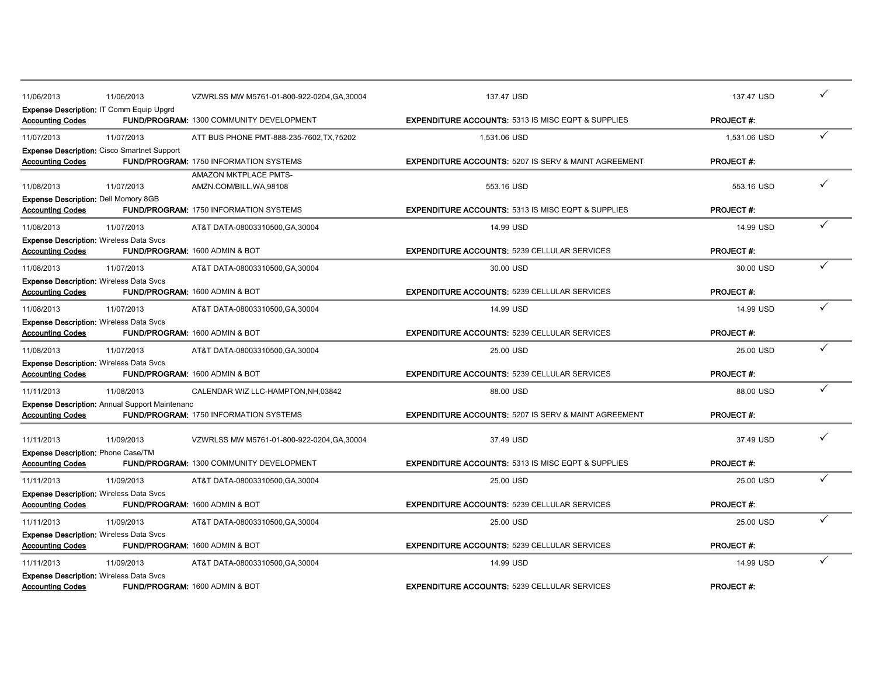| 11/06/2013                                                                | 11/06/2013                                            | VZWRLSS MW M5761-01-800-922-0204.GA.30004         | 137.47 USD                                                      | 137.47 USD       |  |
|---------------------------------------------------------------------------|-------------------------------------------------------|---------------------------------------------------|-----------------------------------------------------------------|------------------|--|
| <b>Accounting Codes</b>                                                   | <b>Expense Description: IT Comm Equip Upgrd</b>       | FUND/PROGRAM: 1300 COMMUNITY DEVELOPMENT          | <b>EXPENDITURE ACCOUNTS: 5313 IS MISC EQPT &amp; SUPPLIES</b>   | <b>PROJECT#:</b> |  |
| 11/07/2013                                                                | 11/07/2013                                            | ATT BUS PHONE PMT-888-235-7602, TX, 75202         | 1,531.06 USD                                                    | 1.531.06 USD     |  |
| <b>Accounting Codes</b>                                                   | Expense Description: Cisco Smartnet Support           | <b>FUND/PROGRAM: 1750 INFORMATION SYSTEMS</b>     | <b>EXPENDITURE ACCOUNTS: 5207 IS SERV &amp; MAINT AGREEMENT</b> | <b>PROJECT#:</b> |  |
| 11/08/2013                                                                | 11/07/2013                                            | AMAZON MKTPLACE PMTS-<br>AMZN.COM/BILL, WA, 98108 | 553.16 USD                                                      | 553.16 USD       |  |
| Expense Description: Dell Momory 8GB<br><b>Accounting Codes</b>           |                                                       | <b>FUND/PROGRAM: 1750 INFORMATION SYSTEMS</b>     | <b>EXPENDITURE ACCOUNTS: 5313 IS MISC EQPT &amp; SUPPLIES</b>   | <b>PROJECT#:</b> |  |
| 11/08/2013                                                                | 11/07/2013                                            | AT&T DATA-08003310500, GA, 30004                  | 14.99 USD                                                       | 14.99 USD        |  |
| <b>Expense Description: Wireless Data Svcs</b><br><b>Accounting Codes</b> |                                                       | FUND/PROGRAM: 1600 ADMIN & BOT                    | <b>EXPENDITURE ACCOUNTS: 5239 CELLULAR SERVICES</b>             | <b>PROJECT#:</b> |  |
| 11/08/2013                                                                | 11/07/2013                                            | AT&T DATA-08003310500, GA, 30004                  | 30.00 USD                                                       | 30.00 USD        |  |
| <b>Expense Description: Wireless Data Svcs</b><br><b>Accounting Codes</b> |                                                       | FUND/PROGRAM: 1600 ADMIN & BOT                    | <b>EXPENDITURE ACCOUNTS: 5239 CELLULAR SERVICES</b>             | <b>PROJECT#:</b> |  |
| 11/08/2013                                                                | 11/07/2013                                            | AT&T DATA-08003310500, GA, 30004                  | 14.99 USD                                                       | 14.99 USD        |  |
| <b>Expense Description: Wireless Data Svcs</b><br><b>Accounting Codes</b> |                                                       | FUND/PROGRAM: 1600 ADMIN & BOT                    | <b>EXPENDITURE ACCOUNTS: 5239 CELLULAR SERVICES</b>             | <b>PROJECT#:</b> |  |
| 11/08/2013                                                                | 11/07/2013                                            | AT&T DATA-08003310500,GA,30004                    | 25.00 USD                                                       | 25.00 USD        |  |
| <b>Expense Description: Wireless Data Svcs</b><br><b>Accounting Codes</b> |                                                       | FUND/PROGRAM: 1600 ADMIN & BOT                    | <b>EXPENDITURE ACCOUNTS: 5239 CELLULAR SERVICES</b>             | <b>PROJECT#:</b> |  |
| 11/11/2013                                                                | 11/08/2013                                            | CALENDAR WIZ LLC-HAMPTON, NH, 03842               | 88.00 USD                                                       | 88.00 USD        |  |
| <b>Accounting Codes</b>                                                   | <b>Expense Description: Annual Support Maintenanc</b> | <b>FUND/PROGRAM: 1750 INFORMATION SYSTEMS</b>     | <b>EXPENDITURE ACCOUNTS: 5207 IS SERV &amp; MAINT AGREEMENT</b> | <b>PROJECT#:</b> |  |
| 11/11/2013                                                                | 11/09/2013                                            | VZWRLSS MW M5761-01-800-922-0204, GA, 30004       | 37.49 USD                                                       | 37.49 USD        |  |
| <b>Expense Description: Phone Case/TM</b><br><b>Accounting Codes</b>      |                                                       | FUND/PROGRAM: 1300 COMMUNITY DEVELOPMENT          | <b>EXPENDITURE ACCOUNTS: 5313 IS MISC EQPT &amp; SUPPLIES</b>   | <b>PROJECT#:</b> |  |
| 11/11/2013                                                                | 11/09/2013                                            | AT&T DATA-08003310500, GA, 30004                  | 25.00 USD                                                       | 25.00 USD        |  |
| <b>Expense Description: Wireless Data Svcs</b><br><b>Accounting Codes</b> |                                                       | FUND/PROGRAM: 1600 ADMIN & BOT                    | <b>EXPENDITURE ACCOUNTS: 5239 CELLULAR SERVICES</b>             | <b>PROJECT#:</b> |  |
| 11/11/2013                                                                | 11/09/2013                                            | AT&T DATA-08003310500, GA, 30004                  | 25.00 USD                                                       | 25.00 USD        |  |
| <b>Expense Description: Wireless Data Svcs</b><br><b>Accounting Codes</b> |                                                       | FUND/PROGRAM: 1600 ADMIN & BOT                    | <b>EXPENDITURE ACCOUNTS: 5239 CELLULAR SERVICES</b>             | <b>PROJECT#:</b> |  |
| 11/11/2013                                                                | 11/09/2013                                            | AT&T DATA-08003310500, GA, 30004                  | 14.99 USD                                                       | 14.99 USD        |  |
| <b>Expense Description: Wireless Data Svcs</b><br><b>Accounting Codes</b> |                                                       | FUND/PROGRAM: 1600 ADMIN & BOT                    | <b>EXPENDITURE ACCOUNTS: 5239 CELLULAR SERVICES</b>             | <b>PROJECT#:</b> |  |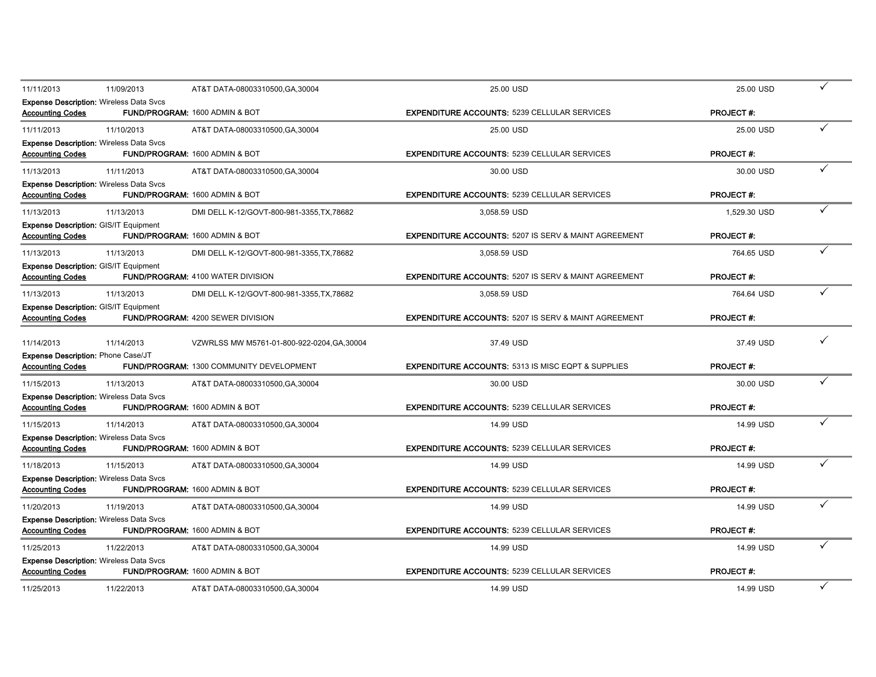| 11/11/2013                                                                | 11/09/2013 | AT&T DATA-08003310500, GA, 30004            | 25.00 USD                                                       | 25.00 USD        |   |
|---------------------------------------------------------------------------|------------|---------------------------------------------|-----------------------------------------------------------------|------------------|---|
| <b>Expense Description: Wireless Data Svcs</b><br><b>Accounting Codes</b> |            | FUND/PROGRAM: 1600 ADMIN & BOT              | <b>EXPENDITURE ACCOUNTS: 5239 CELLULAR SERVICES</b>             | <b>PROJECT#:</b> |   |
| 11/11/2013                                                                | 11/10/2013 | AT&T DATA-08003310500, GA, 30004            | 25.00 USD                                                       | 25.00 USD        |   |
| <b>Expense Description: Wireless Data Svcs</b><br><b>Accounting Codes</b> |            | FUND/PROGRAM: 1600 ADMIN & BOT              | <b>EXPENDITURE ACCOUNTS: 5239 CELLULAR SERVICES</b>             | <b>PROJECT#:</b> |   |
| 11/13/2013                                                                | 11/11/2013 | AT&T DATA-08003310500, GA, 30004            | 30.00 USD                                                       | 30.00 USD        |   |
| <b>Expense Description: Wireless Data Svcs</b><br><b>Accounting Codes</b> |            | FUND/PROGRAM: 1600 ADMIN & BOT              | <b>EXPENDITURE ACCOUNTS: 5239 CELLULAR SERVICES</b>             | <b>PROJECT#:</b> |   |
| 11/13/2013                                                                | 11/13/2013 | DMI DELL K-12/GOVT-800-981-3355, TX, 78682  | 3,058.59 USD                                                    | 1.529.30 USD     |   |
| <b>Expense Description: GIS/IT Equipment</b><br><b>Accounting Codes</b>   |            | FUND/PROGRAM: 1600 ADMIN & BOT              | <b>EXPENDITURE ACCOUNTS: 5207 IS SERV &amp; MAINT AGREEMENT</b> | <b>PROJECT#:</b> |   |
| 11/13/2013                                                                | 11/13/2013 | DMI DELL K-12/GOVT-800-981-3355, TX, 78682  | 3,058.59 USD                                                    | 764.65 USD       |   |
| <b>Expense Description: GIS/IT Equipment</b><br><b>Accounting Codes</b>   |            | FUND/PROGRAM: 4100 WATER DIVISION           | <b>EXPENDITURE ACCOUNTS: 5207 IS SERV &amp; MAINT AGREEMENT</b> | <b>PROJECT#:</b> |   |
| 11/13/2013                                                                | 11/13/2013 | DMI DELL K-12/GOVT-800-981-3355.TX.78682    | 3.058.59 USD                                                    | 764.64 USD       |   |
| <b>Expense Description: GIS/IT Equipment</b><br><b>Accounting Codes</b>   |            | <b>FUND/PROGRAM: 4200 SEWER DIVISION</b>    | <b>EXPENDITURE ACCOUNTS: 5207 IS SERV &amp; MAINT AGREEMENT</b> | <b>PROJECT#:</b> |   |
| 11/14/2013                                                                | 11/14/2013 | VZWRLSS MW M5761-01-800-922-0204, GA, 30004 | 37.49 USD                                                       | 37.49 USD        |   |
| Expense Description: Phone Case/JT<br><b>Accounting Codes</b>             |            | FUND/PROGRAM: 1300 COMMUNITY DEVELOPMENT    | <b>EXPENDITURE ACCOUNTS: 5313 IS MISC EQPT &amp; SUPPLIES</b>   | <b>PROJECT#:</b> |   |
| 11/15/2013                                                                | 11/13/2013 | AT&T DATA-08003310500, GA, 30004            | 30.00 USD                                                       | 30.00 USD        |   |
| <b>Expense Description: Wireless Data Svcs</b><br>Accounting Codes        |            | FUND/PROGRAM: 1600 ADMIN & BOT              | <b>EXPENDITURE ACCOUNTS: 5239 CELLULAR SERVICES</b>             | <b>PROJECT#:</b> |   |
| 11/15/2013                                                                | 11/14/2013 | AT&T DATA-08003310500, GA, 30004            | 14.99 USD                                                       | 14.99 USD        |   |
| <b>Expense Description: Wireless Data Svcs</b><br><b>Accounting Codes</b> |            | FUND/PROGRAM: 1600 ADMIN & BOT              | <b>EXPENDITURE ACCOUNTS: 5239 CELLULAR SERVICES</b>             | <b>PROJECT#:</b> |   |
| 11/18/2013                                                                | 11/15/2013 | AT&T DATA-08003310500, GA, 30004            | 14.99 USD                                                       | 14.99 USD        |   |
| <b>Expense Description: Wireless Data Svcs</b><br><b>Accounting Codes</b> |            | FUND/PROGRAM: 1600 ADMIN & BOT              | <b>EXPENDITURE ACCOUNTS: 5239 CELLULAR SERVICES</b>             | <b>PROJECT#:</b> |   |
| 11/20/2013                                                                | 11/19/2013 | AT&T DATA-08003310500, GA, 30004            | 14.99 USD                                                       | 14.99 USD        |   |
| <b>Expense Description: Wireless Data Svcs</b><br><b>Accounting Codes</b> |            | FUND/PROGRAM: 1600 ADMIN & BOT              | <b>EXPENDITURE ACCOUNTS: 5239 CELLULAR SERVICES</b>             | <b>PROJECT#:</b> |   |
| 11/25/2013                                                                | 11/22/2013 | AT&T DATA-08003310500, GA, 30004            | 14.99 USD                                                       | 14.99 USD        |   |
| <b>Expense Description: Wireless Data Svcs</b><br><b>Accounting Codes</b> |            | FUND/PROGRAM: 1600 ADMIN & BOT              | <b>EXPENDITURE ACCOUNTS: 5239 CELLULAR SERVICES</b>             | <b>PROJECT#:</b> |   |
| 11/25/2013                                                                | 11/22/2013 | AT&T DATA-08003310500, GA, 30004            | 14.99 USD                                                       | 14.99 USD        | ✓ |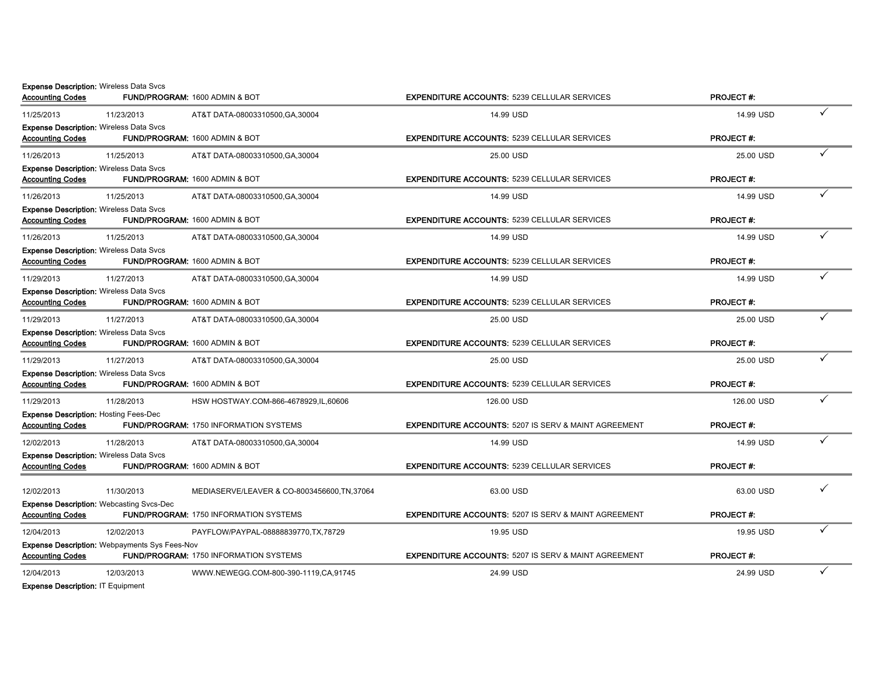|                                                                         | <b>Expense Description: Wireless Data Svcs</b>       |                                               |                                                                 | <b>PROJECT#:</b> |   |
|-------------------------------------------------------------------------|------------------------------------------------------|-----------------------------------------------|-----------------------------------------------------------------|------------------|---|
| <b>Accounting Codes</b>                                                 |                                                      | FUND/PROGRAM: 1600 ADMIN & BOT                | <b>EXPENDITURE ACCOUNTS: 5239 CELLULAR SERVICES</b>             |                  |   |
| 11/25/2013                                                              | 11/23/2013                                           | AT&T DATA-08003310500, GA, 30004              | 14.99 USD                                                       | 14.99 USD        | ✓ |
| <b>Accounting Codes</b>                                                 | <b>Expense Description: Wireless Data Svcs</b>       | FUND/PROGRAM: 1600 ADMIN & BOT                | <b>EXPENDITURE ACCOUNTS: 5239 CELLULAR SERVICES</b>             | <b>PROJECT#:</b> |   |
| 11/26/2013                                                              | 11/25/2013                                           | AT&T DATA-08003310500, GA, 30004              | 25.00 USD                                                       | 25.00 USD        |   |
| <b>Accounting Codes</b>                                                 | <b>Expense Description: Wireless Data Svcs</b>       | FUND/PROGRAM: 1600 ADMIN & BOT                | <b>EXPENDITURE ACCOUNTS: 5239 CELLULAR SERVICES</b>             | <b>PROJECT#:</b> |   |
| 11/26/2013                                                              | 11/25/2013                                           | AT&T DATA-08003310500, GA, 30004              | 14.99 USD                                                       | 14.99 USD        |   |
| <b>Accounting Codes</b>                                                 | <b>Expense Description: Wireless Data Svcs</b>       | <b>FUND/PROGRAM: 1600 ADMIN &amp; BOT</b>     | <b>EXPENDITURE ACCOUNTS: 5239 CELLULAR SERVICES</b>             | <b>PROJECT#:</b> |   |
| 11/26/2013                                                              | 11/25/2013                                           | AT&T DATA-08003310500, GA, 30004              | 14.99 USD                                                       | 14.99 USD        |   |
| <b>Accounting Codes</b>                                                 | <b>Expense Description: Wireless Data Svcs</b>       | <b>FUND/PROGRAM: 1600 ADMIN &amp; BOT</b>     | <b>EXPENDITURE ACCOUNTS: 5239 CELLULAR SERVICES</b>             | <b>PROJECT#:</b> |   |
| 11/29/2013                                                              | 11/27/2013                                           | AT&T DATA-08003310500, GA, 30004              | 14.99 USD                                                       | 14.99 USD        | ✓ |
| <b>Accounting Codes</b>                                                 | <b>Expense Description: Wireless Data Svcs</b>       | FUND/PROGRAM: 1600 ADMIN & BOT                | <b>EXPENDITURE ACCOUNTS: 5239 CELLULAR SERVICES</b>             | <b>PROJECT#:</b> |   |
| 11/29/2013                                                              | 11/27/2013                                           | AT&T DATA-08003310500, GA, 30004              | 25.00 USD                                                       | 25.00 USD        |   |
| <b>Accounting Codes</b>                                                 | <b>Expense Description: Wireless Data Svcs</b>       | FUND/PROGRAM: 1600 ADMIN & BOT                | <b>EXPENDITURE ACCOUNTS: 5239 CELLULAR SERVICES</b>             | <b>PROJECT#:</b> |   |
| 11/29/2013                                                              | 11/27/2013                                           | AT&T DATA-08003310500, GA, 30004              | 25.00 USD                                                       | 25.00 USD        |   |
| <b>Accounting Codes</b>                                                 | <b>Expense Description: Wireless Data Svcs</b>       | FUND/PROGRAM: 1600 ADMIN & BOT                | <b>EXPENDITURE ACCOUNTS: 5239 CELLULAR SERVICES</b>             | <b>PROJECT#:</b> |   |
| 11/29/2013                                                              | 11/28/2013                                           | HSW HOSTWAY.COM-866-4678929,IL,60606          | 126.00 USD                                                      | 126.00 USD       |   |
| <b>Expense Description: Hosting Fees-Dec</b><br><b>Accounting Codes</b> |                                                      | <b>FUND/PROGRAM: 1750 INFORMATION SYSTEMS</b> | <b>EXPENDITURE ACCOUNTS: 5207 IS SERV &amp; MAINT AGREEMENT</b> | <b>PROJECT#:</b> |   |
| 12/02/2013                                                              | 11/28/2013                                           | AT&T DATA-08003310500, GA, 30004              | 14.99 USD                                                       | 14.99 USD        | ✓ |
| <b>Accounting Codes</b>                                                 | <b>Expense Description: Wireless Data Svcs</b>       | FUND/PROGRAM: 1600 ADMIN & BOT                | <b>EXPENDITURE ACCOUNTS: 5239 CELLULAR SERVICES</b>             | <b>PROJECT#:</b> |   |
| 12/02/2013                                                              | 11/30/2013                                           | MEDIASERVE/LEAVER & CO-8003456600, TN,37064   | 63.00 USD                                                       | 63.00 USD        |   |
| <b>Accounting Codes</b>                                                 | <b>Expense Description: Webcasting Svcs-Dec</b>      | <b>FUND/PROGRAM: 1750 INFORMATION SYSTEMS</b> | <b>EXPENDITURE ACCOUNTS: 5207 IS SERV &amp; MAINT AGREEMENT</b> | <b>PROJECT#:</b> |   |
| 12/04/2013                                                              | 12/02/2013                                           | PAYFLOW/PAYPAL-08888839770, TX, 78729         | 19.95 USD                                                       | 19.95 USD        |   |
| <b>Accounting Codes</b>                                                 | <b>Expense Description: Webpayments Sys Fees-Nov</b> | <b>FUND/PROGRAM: 1750 INFORMATION SYSTEMS</b> | <b>EXPENDITURE ACCOUNTS: 5207 IS SERV &amp; MAINT AGREEMENT</b> | <b>PROJECT#:</b> |   |
| 12/04/2013                                                              | 12/03/2013                                           | WWW.NEWEGG.COM-800-390-1119.CA,91745          | 24.99 USD                                                       | 24.99 USD        |   |
|                                                                         |                                                      |                                               |                                                                 |                  |   |

Expense Description: IT Equipment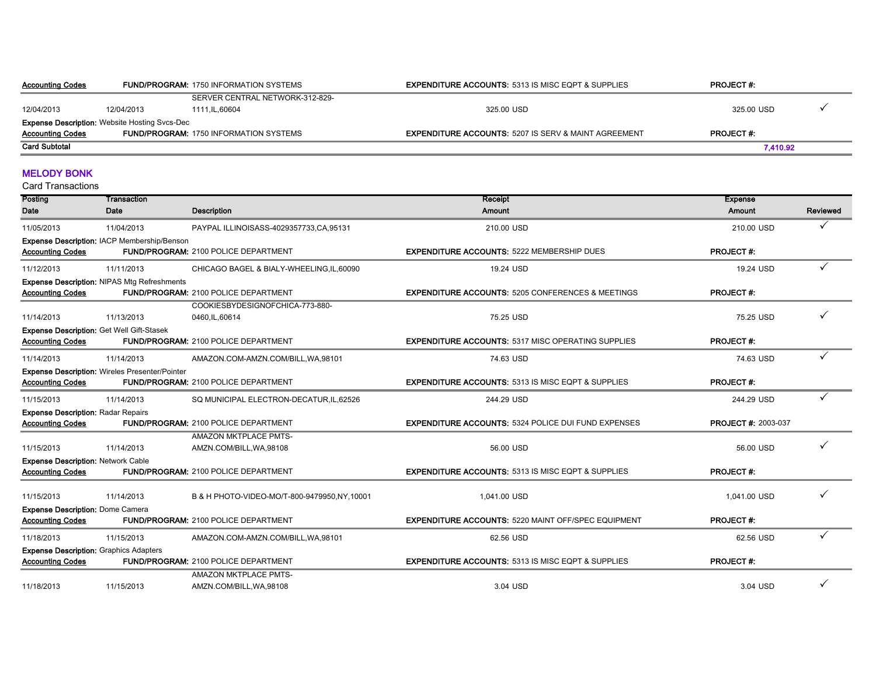| <b>Accounting Codes</b> |                                                      | <b>FUND/PROGRAM: 1750 INFORMATION SYSTEMS</b> | <b>EXPENDITURE ACCOUNTS: 5313 IS MISC EQPT &amp; SUPPLIES</b>   | <b>PROJECT#:</b> |  |
|-------------------------|------------------------------------------------------|-----------------------------------------------|-----------------------------------------------------------------|------------------|--|
|                         |                                                      | SERVER CENTRAL NETWORK-312-829-               |                                                                 |                  |  |
| 12/04/2013              | 12/04/2013                                           | 1111.IL.60604                                 | 325.00 USD                                                      | 325.00 USD       |  |
|                         | <b>Expense Description:</b> Website Hosting Svcs-Dec |                                               |                                                                 |                  |  |
| <b>Accounting Codes</b> |                                                      | <b>FUND/PROGRAM: 1750 INFORMATION SYSTEMS</b> | <b>EXPENDITURE ACCOUNTS: 5207 IS SERV &amp; MAINT AGREEMENT</b> | <b>PROJECT#:</b> |  |
| <b>Card Subtotal</b>    |                                                      |                                               |                                                                 | 7.410.92         |  |

#### MELODY BONK

| Posting                                                                  | Transaction                                           |                                                          | <b>Receipt</b>                                                | <b>Expense</b>             |          |
|--------------------------------------------------------------------------|-------------------------------------------------------|----------------------------------------------------------|---------------------------------------------------------------|----------------------------|----------|
| Date                                                                     | Date                                                  | <b>Description</b>                                       | <b>Amount</b>                                                 | <b>Amount</b>              | Reviewed |
| 11/05/2013                                                               | 11/04/2013                                            | PAYPAL ILLINOISASS-4029357733,CA,95131                   | 210.00 USD                                                    | 210.00 USD                 |          |
| <b>Accounting Codes</b>                                                  | Expense Description: IACP Membership/Benson           | FUND/PROGRAM: 2100 POLICE DEPARTMENT                     | <b>EXPENDITURE ACCOUNTS: 5222 MEMBERSHIP DUES</b>             | <b>PROJECT#:</b>           |          |
| 11/12/2013                                                               | 11/11/2013                                            | CHICAGO BAGEL & BIALY-WHEELING, IL, 60090                | 19.24 USD                                                     | 19.24 USD                  |          |
| <b>Accounting Codes</b>                                                  | <b>Expense Description: NIPAS Mtg Refreshments</b>    | <b>FUND/PROGRAM: 2100 POLICE DEPARTMENT</b>              | <b>EXPENDITURE ACCOUNTS: 5205 CONFERENCES &amp; MEETINGS</b>  | <b>PROJECT#:</b>           |          |
| 11/14/2013                                                               | 11/13/2013                                            | COOKIESBYDESIGNOFCHICA-773-880-<br>0460, IL, 60614       | 75.25 USD                                                     | 75.25 USD                  |          |
| <b>Accounting Codes</b>                                                  | <b>Expense Description: Get Well Gift-Stasek</b>      | <b>FUND/PROGRAM: 2100 POLICE DEPARTMENT</b>              | <b>EXPENDITURE ACCOUNTS: 5317 MISC OPERATING SUPPLIES</b>     | <b>PROJECT#:</b>           |          |
| 11/14/2013                                                               | 11/14/2013                                            | AMAZON.COM-AMZN.COM/BILL, WA, 98101                      | 74.63 USD                                                     | 74.63 USD                  |          |
| <b>Accounting Codes</b>                                                  | <b>Expense Description: Wireles Presenter/Pointer</b> | FUND/PROGRAM: 2100 POLICE DEPARTMENT                     | <b>EXPENDITURE ACCOUNTS: 5313 IS MISC EQPT &amp; SUPPLIES</b> | <b>PROJECT#:</b>           |          |
| 11/15/2013                                                               | 11/14/2013                                            | SQ MUNICIPAL ELECTRON-DECATUR, IL, 62526                 | 244.29 USD                                                    | 244.29 USD                 |          |
| <b>Expense Description: Radar Repairs</b><br><b>Accounting Codes</b>     |                                                       | <b>FUND/PROGRAM: 2100 POLICE DEPARTMENT</b>              | <b>EXPENDITURE ACCOUNTS: 5324 POLICE DUI FUND EXPENSES</b>    | <b>PROJECT #: 2003-037</b> |          |
| 11/15/2013                                                               | 11/14/2013                                            | AMAZON MKTPLACE PMTS-<br>AMZN.COM/BILL, WA, 98108        | 56.00 USD                                                     | 56.00 USD                  |          |
| <b>Expense Description: Network Cable</b><br><b>Accounting Codes</b>     |                                                       | <b>FUND/PROGRAM: 2100 POLICE DEPARTMENT</b>              | <b>EXPENDITURE ACCOUNTS: 5313 IS MISC EQPT &amp; SUPPLIES</b> | <b>PROJECT#:</b>           |          |
| 11/15/2013                                                               | 11/14/2013                                            | B & H PHOTO-VIDEO-MO/T-800-9479950,NY,10001              | 1,041.00 USD                                                  | 1,041.00 USD               |          |
| <b>Expense Description: Dome Camera</b><br><b>Accounting Codes</b>       |                                                       | <b>FUND/PROGRAM: 2100 POLICE DEPARTMENT</b>              | <b>EXPENDITURE ACCOUNTS: 5220 MAINT OFF/SPEC EQUIPMENT</b>    | <b>PROJECT#:</b>           |          |
| 11/18/2013                                                               | 11/15/2013                                            | AMAZON.COM-AMZN.COM/BILL, WA, 98101                      | 62.56 USD                                                     | 62.56 USD                  |          |
| <b>Expense Description: Graphics Adapters</b><br><b>Accounting Codes</b> |                                                       | <b>FUND/PROGRAM: 2100 POLICE DEPARTMENT</b>              | <b>EXPENDITURE ACCOUNTS: 5313 IS MISC EQPT &amp; SUPPLIES</b> | <b>PROJECT#:</b>           |          |
| 11/18/2013                                                               | 11/15/2013                                            | <b>AMAZON MKTPLACE PMTS-</b><br>AMZN.COM/BILL, WA, 98108 | 3.04 USD                                                      | 3.04 USD                   |          |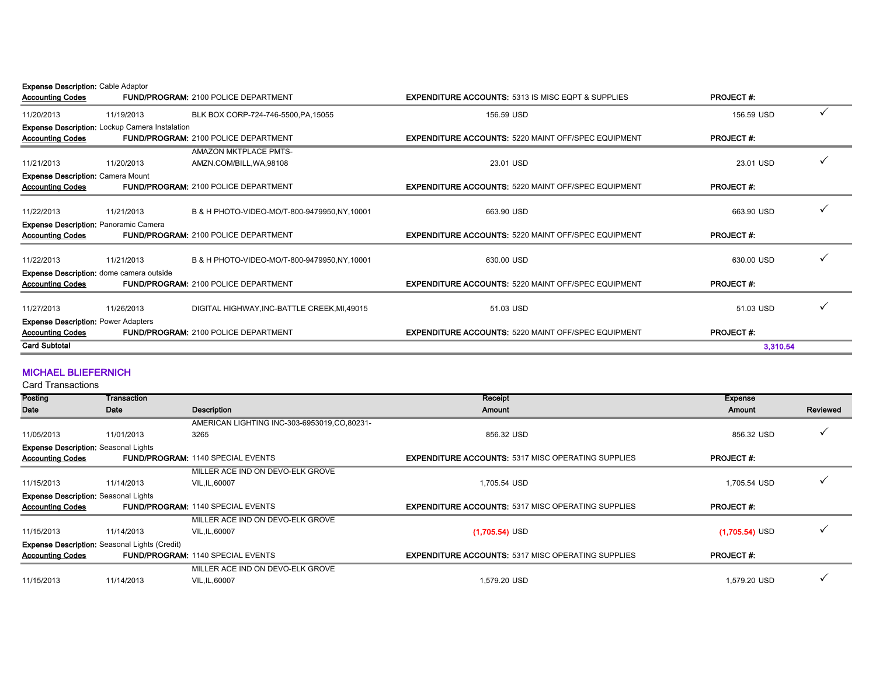Expense Description: Cable Adaptor

| <b>Accounting Codes</b>                    |                                                       | <b>FUND/PROGRAM: 2100 POLICE DEPARTMENT</b> | <b>EXPENDITURE ACCOUNTS: 5313 IS MISC EQPT &amp; SUPPLIES</b> | <b>PROJECT#:</b> |  |
|--------------------------------------------|-------------------------------------------------------|---------------------------------------------|---------------------------------------------------------------|------------------|--|
| 11/20/2013                                 | 11/19/2013                                            | BLK BOX CORP-724-746-5500, PA, 15055        | 156.59 USD                                                    | 156.59 USD       |  |
|                                            | <b>Expense Description:</b> Lockup Camera Instalation |                                             |                                                               |                  |  |
| <b>Accounting Codes</b>                    |                                                       | <b>FUND/PROGRAM: 2100 POLICE DEPARTMENT</b> | <b>EXPENDITURE ACCOUNTS: 5220 MAINT OFF/SPEC EQUIPMENT</b>    | <b>PROJECT#:</b> |  |
|                                            |                                                       | AMAZON MKTPLACE PMTS-                       |                                                               |                  |  |
| 11/21/2013                                 | 11/20/2013                                            | AMZN.COM/BILL, WA, 98108                    | 23.01 USD                                                     | 23.01 USD        |  |
| <b>Expense Description: Camera Mount</b>   |                                                       |                                             |                                                               |                  |  |
| <b>Accounting Codes</b>                    |                                                       | <b>FUND/PROGRAM: 2100 POLICE DEPARTMENT</b> | <b>EXPENDITURE ACCOUNTS: 5220 MAINT OFF/SPEC EQUIPMENT</b>    | <b>PROJECT#:</b> |  |
| 11/22/2013                                 | 11/21/2013                                            | B & H PHOTO-VIDEO-MO/T-800-9479950.NY.10001 | 663.90 USD                                                    | 663.90 USD       |  |
|                                            |                                                       |                                             |                                                               |                  |  |
|                                            | Expense Description: Panoramic Camera                 | <b>FUND/PROGRAM: 2100 POLICE DEPARTMENT</b> | <b>EXPENDITURE ACCOUNTS: 5220 MAINT OFF/SPEC EQUIPMENT</b>    | <b>PROJECT#:</b> |  |
| <b>Accounting Codes</b>                    |                                                       |                                             |                                                               |                  |  |
| 11/22/2013                                 | 11/21/2013                                            | B & H PHOTO-VIDEO-MO/T-800-9479950.NY.10001 | 630.00 USD                                                    | 630.00 USD       |  |
|                                            | <b>Expense Description:</b> dome camera outside       |                                             |                                                               |                  |  |
| <b>Accounting Codes</b>                    |                                                       | <b>FUND/PROGRAM: 2100 POLICE DEPARTMENT</b> | <b>EXPENDITURE ACCOUNTS: 5220 MAINT OFF/SPEC EQUIPMENT</b>    | <b>PROJECT#:</b> |  |
|                                            |                                                       |                                             |                                                               |                  |  |
| 11/27/2013                                 | 11/26/2013                                            | DIGITAL HIGHWAY.INC-BATTLE CREEK.MI.49015   | 51.03 USD                                                     | 51.03 USD        |  |
| <b>Expense Description: Power Adapters</b> |                                                       |                                             |                                                               |                  |  |
| <b>Accounting Codes</b>                    |                                                       | <b>FUND/PROGRAM: 2100 POLICE DEPARTMENT</b> | <b>EXPENDITURE ACCOUNTS: 5220 MAINT OFF/SPEC EQUIPMENT</b>    | <b>PROJECT#:</b> |  |
| <b>Card Subtotal</b>                       |                                                       |                                             |                                                               | 3.310.54         |  |
|                                            |                                                       |                                             |                                                               |                  |  |

#### MICHAEL BLIEFERNICH

| Posting                                     | Transaction                                          |                                             | Receipt                                                   | <b>Expense</b>   |          |
|---------------------------------------------|------------------------------------------------------|---------------------------------------------|-----------------------------------------------------------|------------------|----------|
| Date                                        | Date                                                 | Description                                 | <b>Amount</b>                                             | <b>Amount</b>    | Reviewed |
|                                             |                                                      | AMERICAN LIGHTING INC-303-6953019,CO,80231- |                                                           |                  |          |
| 11/05/2013                                  | 11/01/2013                                           | 3265                                        | 856.32 USD                                                | 856.32 USD       |          |
| <b>Expense Description: Seasonal Lights</b> |                                                      |                                             |                                                           |                  |          |
| <b>Accounting Codes</b>                     |                                                      | <b>FUND/PROGRAM: 1140 SPECIAL EVENTS</b>    | <b>EXPENDITURE ACCOUNTS: 5317 MISC OPERATING SUPPLIES</b> | <b>PROJECT#:</b> |          |
|                                             |                                                      | MILLER ACE IND ON DEVO-ELK GROVE            |                                                           |                  |          |
| 11/15/2013                                  | 11/14/2013                                           | VIL, IL, 60007                              | 1.705.54 USD                                              | 1,705.54 USD     |          |
| <b>Expense Description: Seasonal Lights</b> |                                                      |                                             |                                                           |                  |          |
| <b>Accounting Codes</b>                     |                                                      | <b>FUND/PROGRAM: 1140 SPECIAL EVENTS</b>    | <b>EXPENDITURE ACCOUNTS: 5317 MISC OPERATING SUPPLIES</b> | <b>PROJECT#:</b> |          |
|                                             |                                                      | MILLER ACE IND ON DEVO-ELK GROVE            |                                                           |                  |          |
| 11/15/2013                                  | 11/14/2013                                           | VIL, IL, 60007                              | $(1,705.54)$ USD                                          | $(1,705.54)$ USD |          |
|                                             | <b>Expense Description:</b> Seasonal Lights (Credit) |                                             |                                                           |                  |          |
| <b>Accounting Codes</b>                     |                                                      | <b>FUND/PROGRAM: 1140 SPECIAL EVENTS</b>    | <b>EXPENDITURE ACCOUNTS: 5317 MISC OPERATING SUPPLIES</b> | <b>PROJECT#:</b> |          |
|                                             |                                                      | MILLER ACE IND ON DEVO-ELK GROVE            |                                                           |                  |          |
| 11/15/2013                                  | 11/14/2013                                           | VIL, IL, 60007                              | 1,579.20 USD                                              | 1.579.20 USD     |          |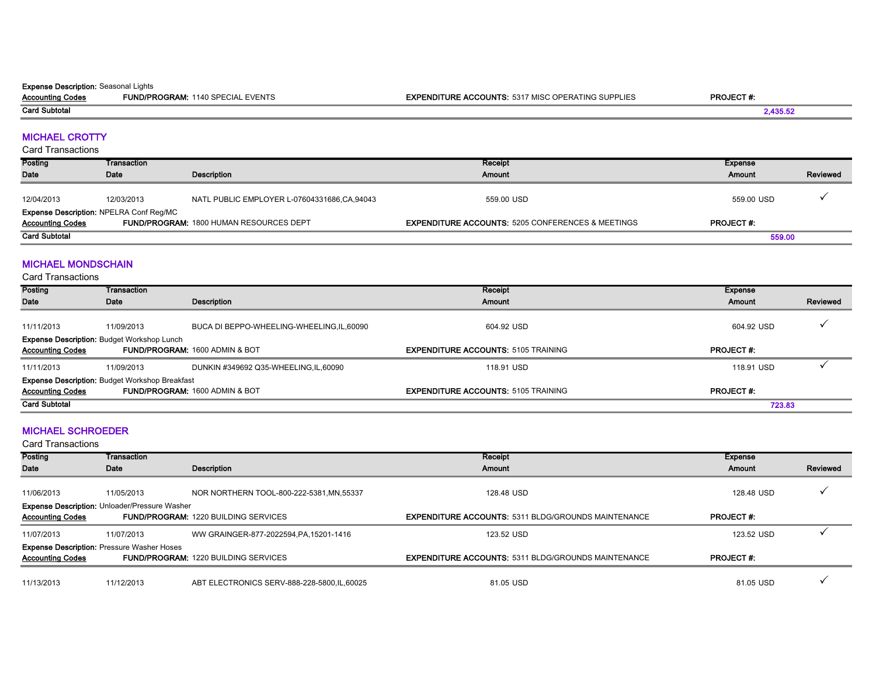#### **Expense Description: Seasonal Lights**

Accounting Codes FUND/PROGRAM: 1140 SPECIAL EVENTS **EXPENDITURE ACCOUNTS:** 5317 MISC OPERATING SUPPLIES **PROJECT #:** Card Subtotal

### MICHAEL CROTTY

Card Transactions

| Posting                                        | Transaction |                                                | Receipt                                                      | Expense           |          |
|------------------------------------------------|-------------|------------------------------------------------|--------------------------------------------------------------|-------------------|----------|
| <b>Date</b>                                    | Date        | Description                                    | Amount                                                       | Amount            | Reviewed |
|                                                |             |                                                |                                                              |                   |          |
| 12/04/2013                                     | 12/03/2013  | NATL PUBLIC EMPLOYER L-07604331686,CA,94043    | 559.00 USD                                                   | 559.00 USD        |          |
| <b>Expense Description: NPELRA Conf Reg/MC</b> |             |                                                |                                                              |                   |          |
| <b>Accounting Codes</b>                        |             | <b>FUND/PROGRAM: 1800 HUMAN RESOURCES DEPT</b> | <b>EXPENDITURE ACCOUNTS: 5205 CONFERENCES &amp; MEETINGS</b> | <b>PROJECT #:</b> |          |
| <b>Card Subtotal</b>                           |             |                                                |                                                              | 559.00            |          |

#### MICHAEL MONDSCHAIN

Card Transactions

| Posting                                                                      | Transaction |                                            | Receipt                                    | Expense          |          |  |
|------------------------------------------------------------------------------|-------------|--------------------------------------------|--------------------------------------------|------------------|----------|--|
| Date                                                                         | Date        | Description                                | Amount                                     | Amount           | Reviewed |  |
| 11/11/2013                                                                   | 11/09/2013  | BUCA DI BEPPO-WHEELING-WHEELING, IL, 60090 | 604.92 USD                                 | 604.92 USD       |          |  |
| <b>Expense Description: Budget Workshop Lunch</b><br><b>Accounting Codes</b> |             | <b>FUND/PROGRAM: 1600 ADMIN &amp; BOT</b>  | <b>EXPENDITURE ACCOUNTS: 5105 TRAINING</b> | <b>PROJECT#:</b> |          |  |
| 11/11/2013                                                                   | 11/09/2013  | DUNKIN #349692 Q35-WHEELING,IL,60090       | 118.91 USD                                 | 118.91 USD       |          |  |
| <b>Expense Description: Budget Workshop Breakfast</b>                        |             |                                            |                                            |                  |          |  |
| <b>Accounting Codes</b>                                                      |             | <b>FUND/PROGRAM: 1600 ADMIN &amp; BOT</b>  | <b>EXPENDITURE ACCOUNTS: 5105 TRAINING</b> | <b>PROJECT#:</b> |          |  |
| <b>Card Subtotal</b>                                                         |             |                                            |                                            | 723.83           |          |  |

#### MICHAEL SCHROEDER

| Posting                                                                      | Transaction                                                        |                                              | <b>Receipt</b>                                             | <b>Expense</b>   |          |
|------------------------------------------------------------------------------|--------------------------------------------------------------------|----------------------------------------------|------------------------------------------------------------|------------------|----------|
| Date                                                                         | Date                                                               | Description                                  | Amount                                                     | Amount           | Reviewed |
| 11/06/2013                                                                   | 11/05/2013<br><b>Expense Description: Unloader/Pressure Washer</b> | NOR NORTHERN TOOL-800-222-5381, MN, 55337    | 128.48 USD                                                 | 128.48 USD       |          |
| <b>Accounting Codes</b>                                                      |                                                                    | <b>FUND/PROGRAM: 1220 BUILDING SERVICES</b>  | <b>EXPENDITURE ACCOUNTS: 5311 BLDG/GROUNDS MAINTENANCE</b> | <b>PROJECT#:</b> |          |
| 11/07/2013                                                                   | 11/07/2013                                                         | WW GRAINGER-877-2022594, PA, 15201-1416      | 123.52 USD                                                 | 123.52 USD       |          |
| <b>Expense Description: Pressure Washer Hoses</b><br><b>Accounting Codes</b> |                                                                    | <b>FUND/PROGRAM: 1220 BUILDING SERVICES</b>  | <b>EXPENDITURE ACCOUNTS: 5311 BLDG/GROUNDS MAINTENANCE</b> | <b>PROJECT#:</b> |          |
| 11/13/2013                                                                   | 11/12/2013                                                         | ABT ELECTRONICS SERV-888-228-5800, IL, 60025 | 81.05 USD                                                  | 81.05 USD        |          |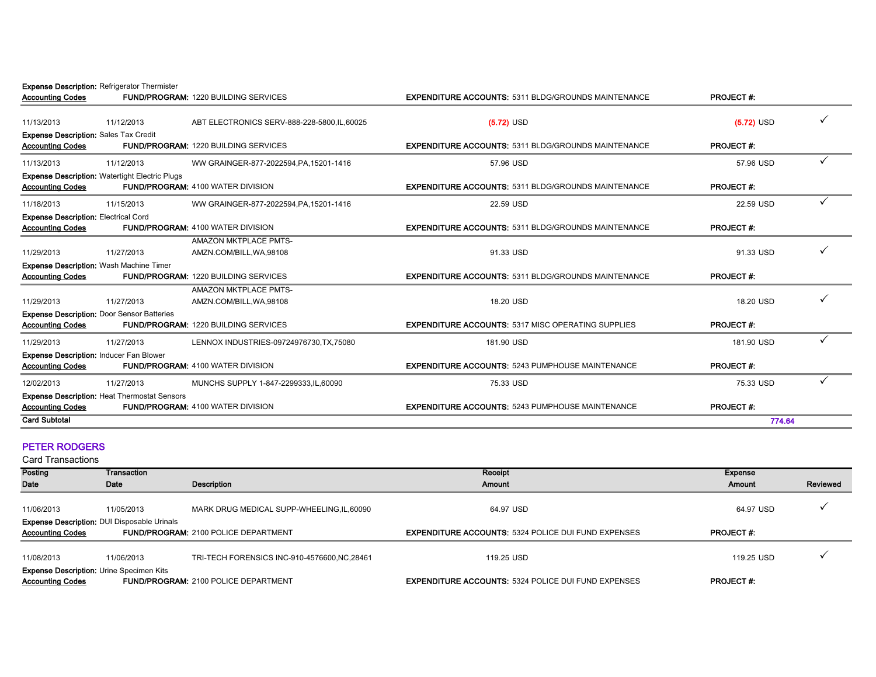Expense Description: Refrigerator Thermister

|                                                       |                                              | <b>EXPENDITURE ACCOUNTS: 5311 BLDG/GROUNDS MAINTENANCE</b>                                                                                                                                                                                                                                                                                                 | <b>PROJECT#:</b> |  |
|-------------------------------------------------------|----------------------------------------------|------------------------------------------------------------------------------------------------------------------------------------------------------------------------------------------------------------------------------------------------------------------------------------------------------------------------------------------------------------|------------------|--|
| 11/12/2013                                            | ABT ELECTRONICS SERV-888-228-5800, IL, 60025 | $(5.72)$ USD                                                                                                                                                                                                                                                                                                                                               | $(5.72)$ USD     |  |
| <b>Expense Description: Sales Tax Credit</b>          |                                              |                                                                                                                                                                                                                                                                                                                                                            |                  |  |
|                                                       |                                              | <b>EXPENDITURE ACCOUNTS: 5311 BLDG/GROUNDS MAINTENANCE</b>                                                                                                                                                                                                                                                                                                 | <b>PROJECT#:</b> |  |
| 11/12/2013                                            | WW GRAINGER-877-2022594.PA.15201-1416        | 57.96 USD                                                                                                                                                                                                                                                                                                                                                  | 57.96 USD        |  |
| <b>Expense Description: Watertight Electric Plugs</b> |                                              |                                                                                                                                                                                                                                                                                                                                                            |                  |  |
|                                                       |                                              | <b>EXPENDITURE ACCOUNTS: 5311 BLDG/GROUNDS MAINTENANCE</b>                                                                                                                                                                                                                                                                                                 | <b>PROJECT#:</b> |  |
| 11/15/2013                                            | WW GRAINGER-877-2022594, PA, 15201-1416      | 22.59 USD                                                                                                                                                                                                                                                                                                                                                  | 22.59 USD        |  |
| <b>Expense Description: Electrical Cord</b>           |                                              |                                                                                                                                                                                                                                                                                                                                                            |                  |  |
|                                                       |                                              | <b>EXPENDITURE ACCOUNTS: 5311 BLDG/GROUNDS MAINTENANCE</b>                                                                                                                                                                                                                                                                                                 | <b>PROJECT#:</b> |  |
|                                                       | AMAZON MKTPLACE PMTS-                        |                                                                                                                                                                                                                                                                                                                                                            |                  |  |
| 11/27/2013                                            | AMZN.COM/BILL.WA.98108                       | 91.33 USD                                                                                                                                                                                                                                                                                                                                                  | 91.33 USD        |  |
| Expense Description: Wash Machine Timer               |                                              |                                                                                                                                                                                                                                                                                                                                                            |                  |  |
|                                                       |                                              | <b>EXPENDITURE ACCOUNTS: 5311 BLDG/GROUNDS MAINTENANCE</b>                                                                                                                                                                                                                                                                                                 | <b>PROJECT#:</b> |  |
|                                                       | <b>AMAZON MKTPLACE PMTS-</b>                 |                                                                                                                                                                                                                                                                                                                                                            |                  |  |
| 11/27/2013                                            | AMZN.COM/BILL, WA, 98108                     | 18.20 USD                                                                                                                                                                                                                                                                                                                                                  | 18.20 USD        |  |
| <b>Expense Description: Door Sensor Batteries</b>     |                                              |                                                                                                                                                                                                                                                                                                                                                            |                  |  |
|                                                       |                                              | <b>EXPENDITURE ACCOUNTS: 5317 MISC OPERATING SUPPLIES</b>                                                                                                                                                                                                                                                                                                  | <b>PROJECT#:</b> |  |
| 11/27/2013                                            | LENNOX INDUSTRIES-09724976730, TX, 75080     | 181.90 USD                                                                                                                                                                                                                                                                                                                                                 | 181.90 USD       |  |
| <b>Expense Description: Inducer Fan Blower</b>        |                                              |                                                                                                                                                                                                                                                                                                                                                            |                  |  |
|                                                       |                                              | <b>EXPENDITURE ACCOUNTS: 5243 PUMPHOUSE MAINTENANCE</b>                                                                                                                                                                                                                                                                                                    | <b>PROJECT#:</b> |  |
| 11/27/2013                                            | MUNCHS SUPPLY 1-847-2299333, IL, 60090       | 75.33 USD                                                                                                                                                                                                                                                                                                                                                  | 75.33 USD        |  |
| <b>Expense Description: Heat Thermostat Sensors</b>   |                                              |                                                                                                                                                                                                                                                                                                                                                            |                  |  |
|                                                       |                                              | <b>EXPENDITURE ACCOUNTS: 5243 PUMPHOUSE MAINTENANCE</b>                                                                                                                                                                                                                                                                                                    | <b>PROJECT#:</b> |  |
|                                                       |                                              |                                                                                                                                                                                                                                                                                                                                                            | 774.64           |  |
|                                                       |                                              | <b>FUND/PROGRAM: 1220 BUILDING SERVICES</b><br><b>FUND/PROGRAM: 1220 BUILDING SERVICES</b><br>FUND/PROGRAM: 4100 WATER DIVISION<br><b>FUND/PROGRAM: 4100 WATER DIVISION</b><br><b>FUND/PROGRAM: 1220 BUILDING SERVICES</b><br><b>FUND/PROGRAM: 1220 BUILDING SERVICES</b><br><b>FUND/PROGRAM: 4100 WATER DIVISION</b><br>FUND/PROGRAM: 4100 WATER DIVISION |                  |  |

#### PETER RODGERS

| Posting                                                                                                                      | Transaction |                                               | Receipt                                                    | <b>Expense</b>   |          |
|------------------------------------------------------------------------------------------------------------------------------|-------------|-----------------------------------------------|------------------------------------------------------------|------------------|----------|
| Date                                                                                                                         | Date        | Description                                   | Amount                                                     | Amount           | Reviewed |
| 11/06/2013                                                                                                                   | 11/05/2013  | MARK DRUG MEDICAL SUPP-WHEELING, IL, 60090    | 64.97 USD                                                  | 64.97 USD        |          |
| <b>Expense Description: DUI Disposable Urinals</b><br><b>Accounting Codes</b><br><b>FUND/PROGRAM: 2100 POLICE DEPARTMENT</b> |             |                                               | <b>EXPENDITURE ACCOUNTS: 5324 POLICE DUI FUND EXPENSES</b> | <b>PROJECT#:</b> |          |
| 11/08/2013                                                                                                                   | 11/06/2013  | TRI-TECH FORENSICS INC-910-4576600, NC, 28461 | 119.25 USD                                                 | 119.25 USD       |          |
| <b>Expense Description: Urine Specimen Kits</b><br><b>Accounting Codes</b>                                                   |             | <b>FUND/PROGRAM: 2100 POLICE DEPARTMENT</b>   | <b>EXPENDITURE ACCOUNTS: 5324 POLICE DUI FUND EXPENSES</b> | <b>PROJECT#:</b> |          |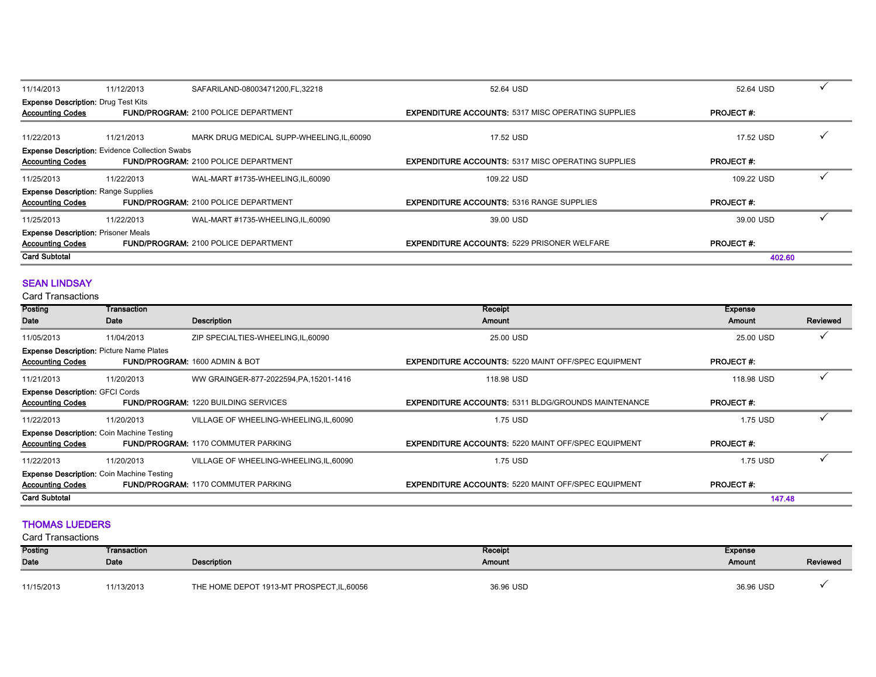| 11/14/2013                                                                       | 11/12/2013 | SAFARILAND-08003471200, FL, 32218           | 52.64 USD                                                 | 52.64 USD        |  |
|----------------------------------------------------------------------------------|------------|---------------------------------------------|-----------------------------------------------------------|------------------|--|
| <b>Expense Description: Drug Test Kits</b><br><b>Accounting Codes</b>            |            | <b>FUND/PROGRAM: 2100 POLICE DEPARTMENT</b> | <b>EXPENDITURE ACCOUNTS: 5317 MISC OPERATING SUPPLIES</b> | <b>PROJECT#:</b> |  |
| 11/22/2013                                                                       | 11/21/2013 | MARK DRUG MEDICAL SUPP-WHEELING, IL, 60090  | 17.52 USD                                                 | 17.52 USD        |  |
| <b>Expense Description:</b> Evidence Collection Swabs<br><b>Accounting Codes</b> |            | <b>FUND/PROGRAM: 2100 POLICE DEPARTMENT</b> | <b>EXPENDITURE ACCOUNTS: 5317 MISC OPERATING SUPPLIES</b> | <b>PROJECT#:</b> |  |
| 11/25/2013                                                                       | 11/22/2013 | WAL-MART #1735-WHEELING, IL, 60090          | 109.22 USD                                                | 109.22 USD       |  |
| <b>Expense Description: Range Supplies</b><br><b>Accounting Codes</b>            |            | FUND/PROGRAM: 2100 POLICE DEPARTMENT        | <b>EXPENDITURE ACCOUNTS: 5316 RANGE SUPPLIES</b>          | <b>PROJECT#:</b> |  |
| 11/25/2013                                                                       | 11/22/2013 | WAL-MART #1735-WHEELING,IL,60090            | 39.00 USD                                                 | 39.00 USD        |  |
| <b>Expense Description: Prisoner Meals</b><br><b>Accounting Codes</b>            |            | <b>FUND/PROGRAM: 2100 POLICE DEPARTMENT</b> | <b>EXPENDITURE ACCOUNTS: 5229 PRISONER WELFARE</b>        | <b>PROJECT#:</b> |  |
| <b>Card Subtotal</b>                                                             |            |                                             |                                                           | 402.60           |  |

#### **SEAN LINDSAY**

Card Transactions

| Posting                                         | Transaction                                      |                                             | <b>Receipt</b>                                             | <b>Expense</b>   |          |
|-------------------------------------------------|--------------------------------------------------|---------------------------------------------|------------------------------------------------------------|------------------|----------|
| Date                                            | Date                                             | Description                                 | Amount                                                     | Amount           | Reviewed |
| 11/05/2013                                      | 11/04/2013                                       | ZIP SPECIALTIES-WHEELING, IL, 60090         | 25.00 USD                                                  | 25.00 USD        |          |
| <b>Expense Description: Picture Name Plates</b> |                                                  |                                             |                                                            |                  |          |
| <b>Accounting Codes</b>                         |                                                  | <b>FUND/PROGRAM: 1600 ADMIN &amp; BOT</b>   | <b>EXPENDITURE ACCOUNTS: 5220 MAINT OFF/SPEC EQUIPMENT</b> | <b>PROJECT#:</b> |          |
| 11/21/2013                                      | 11/20/2013                                       | WW GRAINGER-877-2022594, PA, 15201-1416     | 118.98 USD                                                 | 118.98 USD       |          |
| <b>Expense Description: GFCI Cords</b>          |                                                  |                                             |                                                            |                  |          |
| <b>Accounting Codes</b>                         |                                                  | <b>FUND/PROGRAM: 1220 BUILDING SERVICES</b> | <b>EXPENDITURE ACCOUNTS: 5311 BLDG/GROUNDS MAINTENANCE</b> | <b>PROJECT#:</b> |          |
| 11/22/2013                                      | 11/20/2013                                       | VILLAGE OF WHEELING-WHEELING, IL, 60090     | 1.75 USD                                                   | 1.75 USD         |          |
|                                                 | <b>Expense Description: Coin Machine Testing</b> |                                             |                                                            |                  |          |
| <b>Accounting Codes</b>                         |                                                  | <b>FUND/PROGRAM: 1170 COMMUTER PARKING</b>  | <b>EXPENDITURE ACCOUNTS: 5220 MAINT OFF/SPEC EQUIPMENT</b> | <b>PROJECT#:</b> |          |
| 11/22/2013                                      | 11/20/2013                                       | VILLAGE OF WHEELING-WHEELING, IL, 60090     | 1.75 USD                                                   | 1.75 USD         |          |
|                                                 | <b>Expense Description: Coin Machine Testing</b> |                                             |                                                            |                  |          |
| <b>Accounting Codes</b>                         |                                                  | <b>FUND/PROGRAM: 1170 COMMUTER PARKING</b>  | <b>EXPENDITURE ACCOUNTS: 5220 MAINT OFF/SPEC EQUIPMENT</b> | <b>PROJECT#:</b> |          |
| <b>Card Subtotal</b>                            |                                                  |                                             |                                                            | 147.48           |          |

#### THOMAS LUEDERS

| Posting    | Transaction |                                            | Receipt   | Expense   |          |
|------------|-------------|--------------------------------------------|-----------|-----------|----------|
| Date       | Date        | Description                                | Amount    | Amount    | Reviewed |
|            |             |                                            |           |           |          |
| 11/15/2013 | 11/13/2013  | THE HOME DEPOT 1913-MT PROSPECT, IL, 60056 | 36.96 USD | 36.96 USD |          |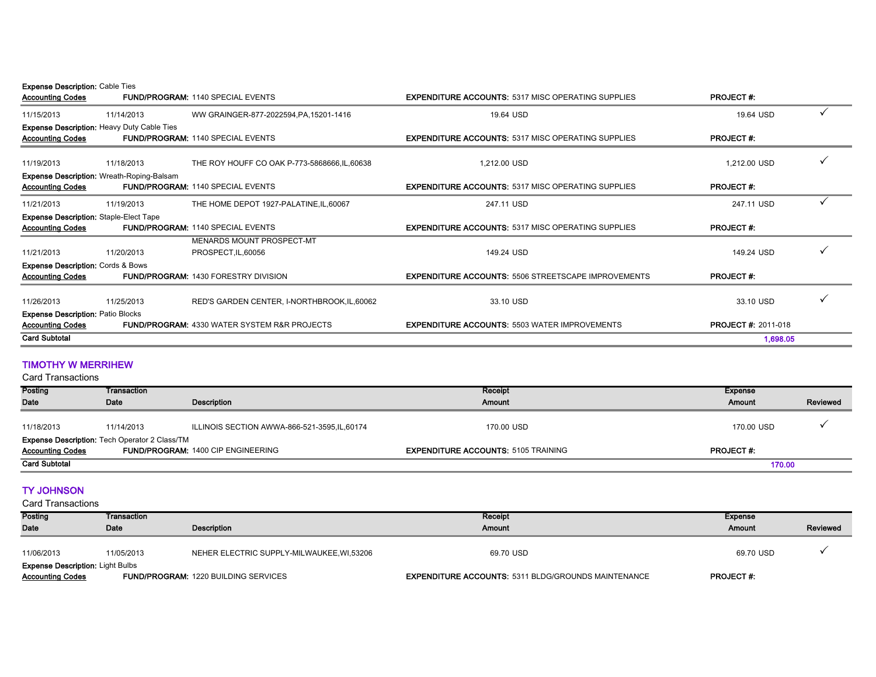Expense Description: Cable Ties

| 19.64 USD<br>WW GRAINGER-877-2022594, PA, 15201-1416<br>19.64 USD<br>11/15/2013<br>11/14/2013<br><b>Expense Description: Heavy Duty Cable Ties</b><br><b>PROJECT#:</b><br><b>Accounting Codes</b><br><b>FUND/PROGRAM: 1140 SPECIAL EVENTS</b><br><b>EXPENDITURE ACCOUNTS: 5317 MISC OPERATING SUPPLIES</b><br>1,212.00 USD<br>11/19/2013<br>11/18/2013<br>THE ROY HOUFF CO OAK P-773-5868666, IL, 60638<br>1,212.00 USD<br><b>Expense Description: Wreath-Roping-Balsam</b><br><b>Accounting Codes</b><br><b>FUND/PROGRAM: 1140 SPECIAL EVENTS</b><br><b>EXPENDITURE ACCOUNTS: 5317 MISC OPERATING SUPPLIES</b><br><b>PROJECT#:</b><br>THE HOME DEPOT 1927-PALATINE, IL, 60067<br>247.11 USD<br>11/21/2013<br>11/19/2013<br>247.11 USD<br><b>Expense Description: Staple-Elect Tape</b><br><b>PROJECT#:</b><br><b>Accounting Codes</b><br><b>EXPENDITURE ACCOUNTS: 5317 MISC OPERATING SUPPLIES</b><br><b>FUND/PROGRAM: 1140 SPECIAL EVENTS</b><br>MENARDS MOUNT PROSPECT-MT<br>149.24 USD<br>11/21/2013<br>11/20/2013<br>PROSPECT, IL, 60056<br>149.24 USD<br><b>Expense Description: Cords &amp; Bows</b><br><b>PROJECT#:</b><br><b>Accounting Codes</b><br><b>FUND/PROGRAM: 1430 FORESTRY DIVISION</b><br><b>EXPENDITURE ACCOUNTS: 5506 STREETSCAPE IMPROVEMENTS</b><br>11/26/2013<br>11/25/2013<br>RED'S GARDEN CENTER, I-NORTHBROOK, IL, 60062<br>33.10 USD<br>33.10 USD<br><b>Expense Description: Patio Blocks</b><br><b>PROJECT#: 2011-018</b><br><b>Accounting Codes</b><br><b>FUND/PROGRAM: 4330 WATER SYSTEM R&amp;R PROJECTS</b><br><b>EXPENDITURE ACCOUNTS: 5503 WATER IMPROVEMENTS</b> | <b>Accounting Codes</b> | <b>FUND/PROGRAM: 1140 SPECIAL EVENTS</b> | <b>EXPENDITURE ACCOUNTS: 5317 MISC OPERATING SUPPLIES</b> | <b>PROJECT#:</b> |  |
|------------------------------------------------------------------------------------------------------------------------------------------------------------------------------------------------------------------------------------------------------------------------------------------------------------------------------------------------------------------------------------------------------------------------------------------------------------------------------------------------------------------------------------------------------------------------------------------------------------------------------------------------------------------------------------------------------------------------------------------------------------------------------------------------------------------------------------------------------------------------------------------------------------------------------------------------------------------------------------------------------------------------------------------------------------------------------------------------------------------------------------------------------------------------------------------------------------------------------------------------------------------------------------------------------------------------------------------------------------------------------------------------------------------------------------------------------------------------------------------------------------------------------------------------------------------------------------------------------|-------------------------|------------------------------------------|-----------------------------------------------------------|------------------|--|
|                                                                                                                                                                                                                                                                                                                                                                                                                                                                                                                                                                                                                                                                                                                                                                                                                                                                                                                                                                                                                                                                                                                                                                                                                                                                                                                                                                                                                                                                                                                                                                                                      |                         |                                          |                                                           |                  |  |
|                                                                                                                                                                                                                                                                                                                                                                                                                                                                                                                                                                                                                                                                                                                                                                                                                                                                                                                                                                                                                                                                                                                                                                                                                                                                                                                                                                                                                                                                                                                                                                                                      |                         |                                          |                                                           |                  |  |
|                                                                                                                                                                                                                                                                                                                                                                                                                                                                                                                                                                                                                                                                                                                                                                                                                                                                                                                                                                                                                                                                                                                                                                                                                                                                                                                                                                                                                                                                                                                                                                                                      |                         |                                          |                                                           |                  |  |
|                                                                                                                                                                                                                                                                                                                                                                                                                                                                                                                                                                                                                                                                                                                                                                                                                                                                                                                                                                                                                                                                                                                                                                                                                                                                                                                                                                                                                                                                                                                                                                                                      |                         |                                          |                                                           |                  |  |
|                                                                                                                                                                                                                                                                                                                                                                                                                                                                                                                                                                                                                                                                                                                                                                                                                                                                                                                                                                                                                                                                                                                                                                                                                                                                                                                                                                                                                                                                                                                                                                                                      |                         |                                          |                                                           |                  |  |
|                                                                                                                                                                                                                                                                                                                                                                                                                                                                                                                                                                                                                                                                                                                                                                                                                                                                                                                                                                                                                                                                                                                                                                                                                                                                                                                                                                                                                                                                                                                                                                                                      |                         |                                          |                                                           |                  |  |
|                                                                                                                                                                                                                                                                                                                                                                                                                                                                                                                                                                                                                                                                                                                                                                                                                                                                                                                                                                                                                                                                                                                                                                                                                                                                                                                                                                                                                                                                                                                                                                                                      |                         |                                          |                                                           |                  |  |
|                                                                                                                                                                                                                                                                                                                                                                                                                                                                                                                                                                                                                                                                                                                                                                                                                                                                                                                                                                                                                                                                                                                                                                                                                                                                                                                                                                                                                                                                                                                                                                                                      |                         |                                          |                                                           |                  |  |
|                                                                                                                                                                                                                                                                                                                                                                                                                                                                                                                                                                                                                                                                                                                                                                                                                                                                                                                                                                                                                                                                                                                                                                                                                                                                                                                                                                                                                                                                                                                                                                                                      |                         |                                          |                                                           |                  |  |
|                                                                                                                                                                                                                                                                                                                                                                                                                                                                                                                                                                                                                                                                                                                                                                                                                                                                                                                                                                                                                                                                                                                                                                                                                                                                                                                                                                                                                                                                                                                                                                                                      |                         |                                          |                                                           |                  |  |
|                                                                                                                                                                                                                                                                                                                                                                                                                                                                                                                                                                                                                                                                                                                                                                                                                                                                                                                                                                                                                                                                                                                                                                                                                                                                                                                                                                                                                                                                                                                                                                                                      |                         |                                          |                                                           |                  |  |
|                                                                                                                                                                                                                                                                                                                                                                                                                                                                                                                                                                                                                                                                                                                                                                                                                                                                                                                                                                                                                                                                                                                                                                                                                                                                                                                                                                                                                                                                                                                                                                                                      |                         |                                          |                                                           |                  |  |
|                                                                                                                                                                                                                                                                                                                                                                                                                                                                                                                                                                                                                                                                                                                                                                                                                                                                                                                                                                                                                                                                                                                                                                                                                                                                                                                                                                                                                                                                                                                                                                                                      |                         |                                          |                                                           |                  |  |
|                                                                                                                                                                                                                                                                                                                                                                                                                                                                                                                                                                                                                                                                                                                                                                                                                                                                                                                                                                                                                                                                                                                                                                                                                                                                                                                                                                                                                                                                                                                                                                                                      |                         |                                          |                                                           |                  |  |
|                                                                                                                                                                                                                                                                                                                                                                                                                                                                                                                                                                                                                                                                                                                                                                                                                                                                                                                                                                                                                                                                                                                                                                                                                                                                                                                                                                                                                                                                                                                                                                                                      |                         |                                          |                                                           |                  |  |
|                                                                                                                                                                                                                                                                                                                                                                                                                                                                                                                                                                                                                                                                                                                                                                                                                                                                                                                                                                                                                                                                                                                                                                                                                                                                                                                                                                                                                                                                                                                                                                                                      |                         |                                          |                                                           |                  |  |
|                                                                                                                                                                                                                                                                                                                                                                                                                                                                                                                                                                                                                                                                                                                                                                                                                                                                                                                                                                                                                                                                                                                                                                                                                                                                                                                                                                                                                                                                                                                                                                                                      | <b>Card Subtotal</b>    |                                          |                                                           | 1,698.05         |  |

#### TIMOTHY W MERRIHEW

Card Transactions

| Posting                 | Transaction                                          |                                             | Receipt                                    | Expense          |          |
|-------------------------|------------------------------------------------------|---------------------------------------------|--------------------------------------------|------------------|----------|
| <b>Date</b>             | Date                                                 | Description                                 | Amount                                     | Amount           | Reviewed |
|                         |                                                      |                                             |                                            |                  |          |
| 11/18/2013              | 11/14/2013                                           | ILLINOIS SECTION AWWA-866-521-3595,IL,60174 | 170.00 USD                                 | 170.00 USD       |          |
|                         | <b>Expense Description:</b> Tech Operator 2 Class/TM |                                             |                                            |                  |          |
| <b>Accounting Codes</b> |                                                      | <b>FUND/PROGRAM: 1400 CIP ENGINEERING</b>   | <b>EXPENDITURE ACCOUNTS: 5105 TRAINING</b> | <b>PROJECT#:</b> |          |
| <b>Card Subtotal</b>    |                                                      |                                             |                                            | 170.00           |          |

#### TY JOHNSON

| Posting                                                            | Transaction |                                             | Receipt                                                    | Expense          |          |
|--------------------------------------------------------------------|-------------|---------------------------------------------|------------------------------------------------------------|------------------|----------|
| Date                                                               | Date        | Description                                 | Amount                                                     | Amount           | Reviewed |
| 11/06/2013                                                         | 11/05/2013  | NEHER ELECTRIC SUPPLY-MILWAUKEE, WI,53206   | 69.70 USD                                                  | 69.70 USD        |          |
| <b>Expense Description: Light Bulbs</b><br><b>Accounting Codes</b> |             | <b>FUND/PROGRAM: 1220 BUILDING SERVICES</b> | <b>EXPENDITURE ACCOUNTS: 5311 BLDG/GROUNDS MAINTENANCE</b> | <b>PROJECT#:</b> |          |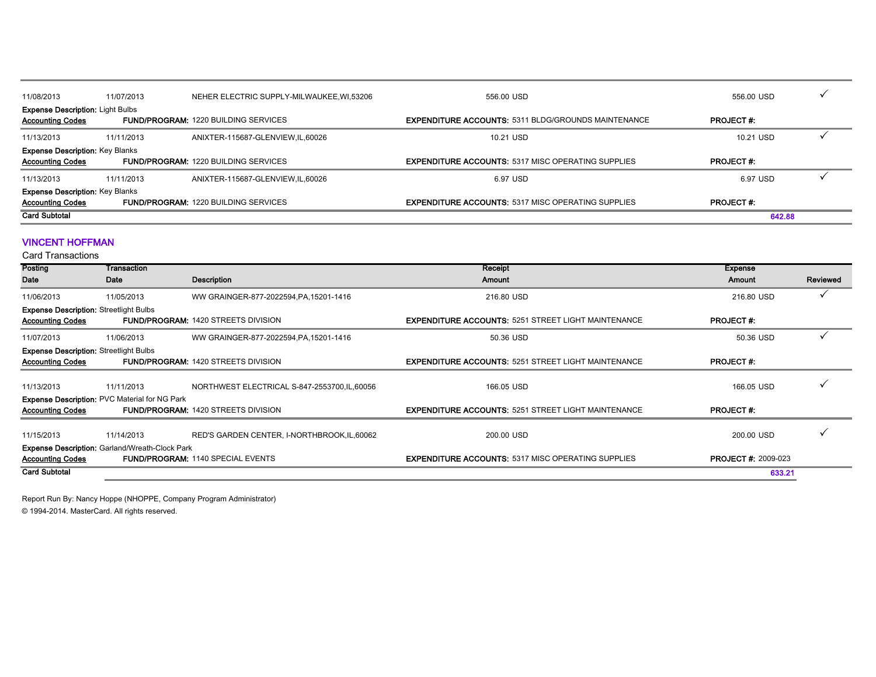| 11/08/2013                              | 11/07/2013 | NEHER ELECTRIC SUPPLY-MILWAUKEE, WI,53206   | 556.00 USD                                                 | 556.00 USD       |  |
|-----------------------------------------|------------|---------------------------------------------|------------------------------------------------------------|------------------|--|
| <b>Expense Description: Light Bulbs</b> |            |                                             |                                                            |                  |  |
| <b>Accounting Codes</b>                 |            | <b>FUND/PROGRAM: 1220 BUILDING SERVICES</b> | <b>EXPENDITURE ACCOUNTS: 5311 BLDG/GROUNDS MAINTENANCE</b> | <b>PROJECT#:</b> |  |
| 11/13/2013                              | 11/11/2013 | ANIXTER-115687-GLENVIEW.IL.60026            | 10.21 USD                                                  | 10.21 USD        |  |
| <b>Expense Description: Key Blanks</b>  |            |                                             |                                                            |                  |  |
| <b>Accounting Codes</b>                 |            | <b>FUND/PROGRAM: 1220 BUILDING SERVICES</b> | <b>EXPENDITURE ACCOUNTS: 5317 MISC OPERATING SUPPLIES</b>  | <b>PROJECT#:</b> |  |
| 11/13/2013                              | 11/11/2013 | ANIXTER-115687-GLENVIEW.IL.60026            | 6.97 USD                                                   | 6.97 USD         |  |
| <b>Expense Description: Key Blanks</b>  |            |                                             |                                                            |                  |  |
| <b>Accounting Codes</b>                 |            | <b>FUND/PROGRAM: 1220 BUILDING SERVICES</b> | <b>EXPENDITURE ACCOUNTS: 5317 MISC OPERATING SUPPLIES</b>  | <b>PROJECT#:</b> |  |
| <b>Card Subtotal</b>                    |            |                                             |                                                            | 642.88           |  |

#### VINCENT HOFFMAN

Card Transactions

| Posting                                       | Transaction                                           |                                               | Receipt                                                    | <b>Expense</b>             |          |
|-----------------------------------------------|-------------------------------------------------------|-----------------------------------------------|------------------------------------------------------------|----------------------------|----------|
| Date                                          | Date                                                  | <b>Description</b>                            | Amount                                                     | <b>Amount</b>              | Reviewed |
| 11/06/2013                                    | 11/05/2013                                            | WW GRAINGER-877-2022594, PA, 15201-1416       | 216,80 USD                                                 | 216.80 USD                 |          |
| <b>Expense Description: Streetlight Bulbs</b> |                                                       |                                               |                                                            |                            |          |
| <b>Accounting Codes</b>                       |                                                       | <b>FUND/PROGRAM: 1420 STREETS DIVISION</b>    | <b>EXPENDITURE ACCOUNTS: 5251 STREET LIGHT MAINTENANCE</b> | <b>PROJECT#:</b>           |          |
| 11/07/2013                                    | 11/06/2013                                            | WW GRAINGER-877-2022594, PA, 15201-1416       | 50.36 USD                                                  | 50.36 USD                  |          |
| <b>Expense Description: Streetlight Bulbs</b> |                                                       |                                               |                                                            |                            |          |
| <b>Accounting Codes</b>                       |                                                       | <b>FUND/PROGRAM: 1420 STREETS DIVISION</b>    | <b>EXPENDITURE ACCOUNTS: 5251 STREET LIGHT MAINTENANCE</b> | <b>PROJECT#:</b>           |          |
| 11/13/2013                                    | 11/11/2013                                            | NORTHWEST ELECTRICAL S-847-2553700, IL, 60056 | 166.05 USD                                                 | 166.05 USD                 |          |
|                                               |                                                       |                                               |                                                            |                            |          |
|                                               | <b>Expense Description: PVC Material for NG Park</b>  |                                               |                                                            |                            |          |
| <b>Accounting Codes</b>                       |                                                       | <b>FUND/PROGRAM: 1420 STREETS DIVISION</b>    | <b>EXPENDITURE ACCOUNTS: 5251 STREET LIGHT MAINTENANCE</b> | <b>PROJECT#:</b>           |          |
| 11/15/2013                                    | 11/14/2013                                            | RED'S GARDEN CENTER, I-NORTHBROOK, IL, 60062  | 200.00 USD                                                 | 200.00 USD                 |          |
|                                               | <b>Expense Description: Garland/Wreath-Clock Park</b> |                                               |                                                            |                            |          |
| <b>Accounting Codes</b>                       |                                                       | <b>FUND/PROGRAM: 1140 SPECIAL EVENTS</b>      | <b>EXPENDITURE ACCOUNTS: 5317 MISC OPERATING SUPPLIES</b>  | <b>PROJECT #: 2009-023</b> |          |
|                                               |                                                       |                                               |                                                            |                            |          |
| <b>Card Subtotal</b>                          |                                                       |                                               |                                                            | 633.21                     |          |
|                                               |                                                       |                                               |                                                            |                            |          |

Report Run By: Nancy Hoppe (NHOPPE, Company Program Administrator)

© 1994-2014. MasterCard. All rights reserved.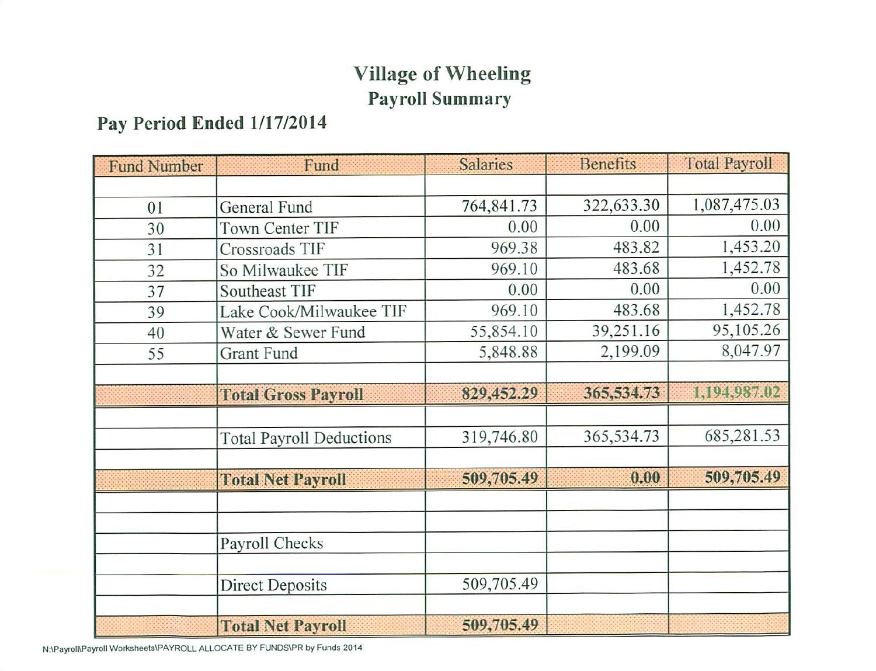## **Village of Wheeling Payroll Summary**

### Pay Period Ended 1/17/2014

| <b>Fund Number</b> | Fund                            | <b>Salaries</b> | <b>Benefits</b> | <b>Total Payroll</b> |
|--------------------|---------------------------------|-----------------|-----------------|----------------------|
|                    |                                 |                 |                 |                      |
| 01                 | General Fund                    | 764,841.73      | 322,633.30      | 1,087,475.03         |
| 30                 | <b>Town Center TIF</b>          | 0.00            | 0.00            | 0.00                 |
| 31                 | Crossroads TIF                  | 969.38          | 483.82          | 1,453.20             |
| 32                 | So Milwaukee TIF                | 969.10          | 483.68          | 1,452.78             |
| 37                 | Southeast TIF                   | 0.00            | 0.00            | 0.00                 |
| 39                 | Lake Cook/Milwaukee TIF         | 969.10          | 483.68          | 1,452.78             |
| 40                 | Water & Sewer Fund              | 55,854.10       | 39,251.16       | 95,105.26            |
| 55                 | <b>Grant Fund</b>               | 5,848.88        | 2,199.09        | 8,047.97             |
|                    |                                 |                 |                 |                      |
|                    | <b>Total Gross Payroll</b>      | 829,452.29      | 365,534.73      | 1,194,987.02         |
|                    |                                 |                 |                 |                      |
|                    | <b>Total Payroll Deductions</b> | 319,746.80      | 365,534.73      | 685,281.53           |
|                    |                                 |                 |                 |                      |
|                    | <b>Total Net Payroll</b>        | 509,705.49      | 0.00            | 509,705.49           |
|                    |                                 |                 |                 |                      |
|                    |                                 |                 |                 |                      |
|                    | Payroll Checks                  |                 |                 |                      |
|                    |                                 |                 |                 |                      |
|                    | <b>Direct Deposits</b>          | 509,705.49      |                 |                      |
|                    |                                 |                 |                 |                      |
|                    | <b>Total Net Payroll</b>        | 509,705.49      |                 |                      |

N:\Payroll\Payroll Worksheets\PAYROLL ALLOCATE BY FUNDS\PR by Funds 2014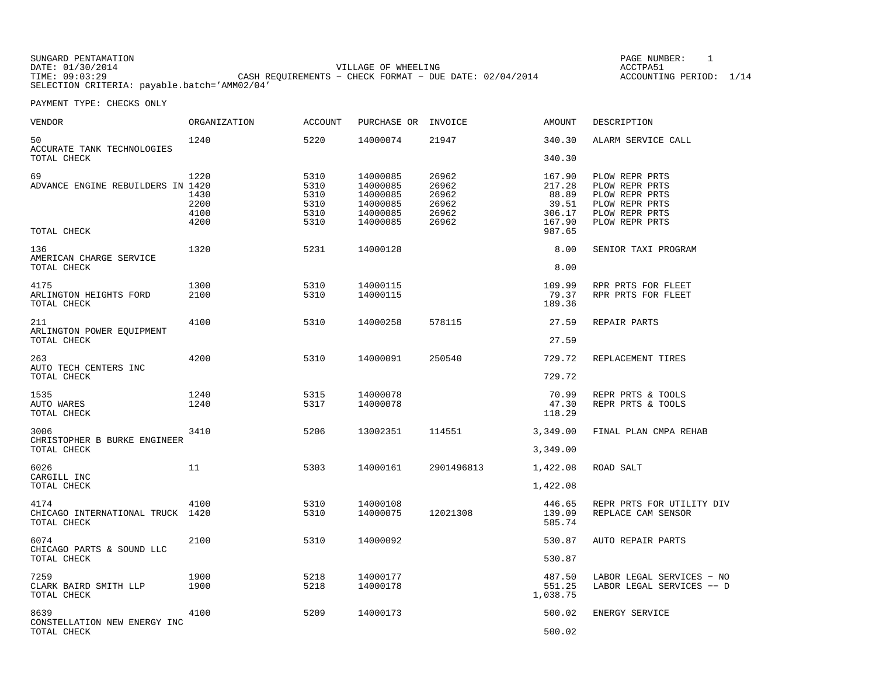| SUNGARD PENTAMATION |                                                           | PAGE NUMBER:      |
|---------------------|-----------------------------------------------------------|-------------------|
| DATE: 01/30/2014    | VILLAGE OF WHEELING                                       | ACCTPA51          |
| TIME: 09:03:29      | CASH REOUIREMENTS - CHECK FORMAT - DUE DATE: $02/04/2014$ | ACCOUNTING PERIOD |
|                     | SELECTION CRITERIA: payable.batch='AMM02/04'              |                   |

 $IMBER: 1$ −<br>ING PERIOD: 1/14:

| VENDOR                                                  | ORGANIZATION                         | <b>ACCOUNT</b>                               | PURCHASE OR INVOICE                                                  |                                                    | <b>AMOUNT</b>                                          | DESCRIPTION                                                                                              |
|---------------------------------------------------------|--------------------------------------|----------------------------------------------|----------------------------------------------------------------------|----------------------------------------------------|--------------------------------------------------------|----------------------------------------------------------------------------------------------------------|
| 50<br>ACCURATE TANK TECHNOLOGIES                        | 1240                                 | 5220                                         | 14000074                                                             | 21947                                              | 340.30                                                 | ALARM SERVICE CALL                                                                                       |
| TOTAL CHECK                                             |                                      |                                              |                                                                      |                                                    | 340.30                                                 |                                                                                                          |
| 69<br>ADVANCE ENGINE REBUILDERS IN 1420                 | 1220<br>1430<br>2200<br>4100<br>4200 | 5310<br>5310<br>5310<br>5310<br>5310<br>5310 | 14000085<br>14000085<br>14000085<br>14000085<br>14000085<br>14000085 | 26962<br>26962<br>26962<br>26962<br>26962<br>26962 | 167.90<br>217.28<br>88.89<br>39.51<br>306.17<br>167.90 | PLOW REPR PRTS<br>PLOW REPR PRTS<br>PLOW REPR PRTS<br>PLOW REPR PRTS<br>PLOW REPR PRTS<br>PLOW REPR PRTS |
| TOTAL CHECK                                             |                                      |                                              |                                                                      |                                                    | 987.65                                                 |                                                                                                          |
| 136<br>AMERICAN CHARGE SERVICE<br>TOTAL CHECK           | 1320                                 | 5231                                         | 14000128                                                             |                                                    | 8.00<br>8.00                                           | SENIOR TAXI PROGRAM                                                                                      |
|                                                         |                                      |                                              |                                                                      |                                                    |                                                        |                                                                                                          |
| 4175<br>ARLINGTON HEIGHTS FORD<br>TOTAL CHECK           | 1300<br>2100                         | 5310<br>5310                                 | 14000115<br>14000115                                                 |                                                    | 109.99<br>79.37<br>189.36                              | RPR PRTS FOR FLEET<br>RPR PRTS FOR FLEET                                                                 |
| 211<br>ARLINGTON POWER EQUIPMENT                        | 4100                                 | 5310                                         | 14000258                                                             | 578115                                             | 27.59                                                  | REPAIR PARTS                                                                                             |
| TOTAL CHECK                                             |                                      |                                              |                                                                      |                                                    | 27.59                                                  |                                                                                                          |
| 263<br>AUTO TECH CENTERS INC<br>TOTAL CHECK             | 4200                                 | 5310                                         | 14000091                                                             | 250540                                             | 729.72<br>729.72                                       | REPLACEMENT TIRES                                                                                        |
| 1535<br>AUTO WARES<br>TOTAL CHECK                       | 1240<br>1240                         | 5315<br>5317                                 | 14000078<br>14000078                                                 |                                                    | 70.99<br>47.30<br>118.29                               | REPR PRTS & TOOLS<br>REPR PRTS & TOOLS                                                                   |
| 3006<br>CHRISTOPHER B BURKE ENGINEER                    | 3410                                 | 5206                                         | 13002351                                                             | 114551                                             | 3,349.00                                               | FINAL PLAN CMPA REHAB                                                                                    |
| TOTAL CHECK                                             |                                      |                                              |                                                                      |                                                    | 3,349.00                                               |                                                                                                          |
| 6026<br>CARGILL INC                                     | 11                                   | 5303                                         | 14000161                                                             | 2901496813                                         | 1,422.08                                               | ROAD SALT                                                                                                |
| TOTAL CHECK                                             |                                      |                                              |                                                                      |                                                    | 1,422.08                                               |                                                                                                          |
| 4174<br>CHICAGO INTERNATIONAL TRUCK 1420<br>TOTAL CHECK | 4100                                 | 5310<br>5310                                 | 14000108<br>14000075                                                 | 12021308                                           | 446.65<br>139.09<br>585.74                             | REPR PRTS FOR UTILITY DIV<br>REPLACE CAM SENSOR                                                          |
| 6074                                                    | 2100                                 | 5310                                         | 14000092                                                             |                                                    | 530.87                                                 | AUTO REPAIR PARTS                                                                                        |
| CHICAGO PARTS & SOUND LLC<br>TOTAL CHECK                |                                      |                                              |                                                                      |                                                    | 530.87                                                 |                                                                                                          |
| 7259<br>CLARK BAIRD SMITH LLP<br>TOTAL CHECK            | 1900<br>1900                         | 5218<br>5218                                 | 14000177<br>14000178                                                 |                                                    | 487.50<br>551.25<br>1,038.75                           | LABOR LEGAL SERVICES - NO<br>LABOR LEGAL SERVICES -- D                                                   |
| 8639                                                    | 4100                                 | 5209                                         | 14000173                                                             |                                                    | 500.02                                                 | ENERGY SERVICE                                                                                           |
| CONSTELLATION NEW ENERGY INC<br>TOTAL CHECK             |                                      |                                              |                                                                      |                                                    | 500.02                                                 |                                                                                                          |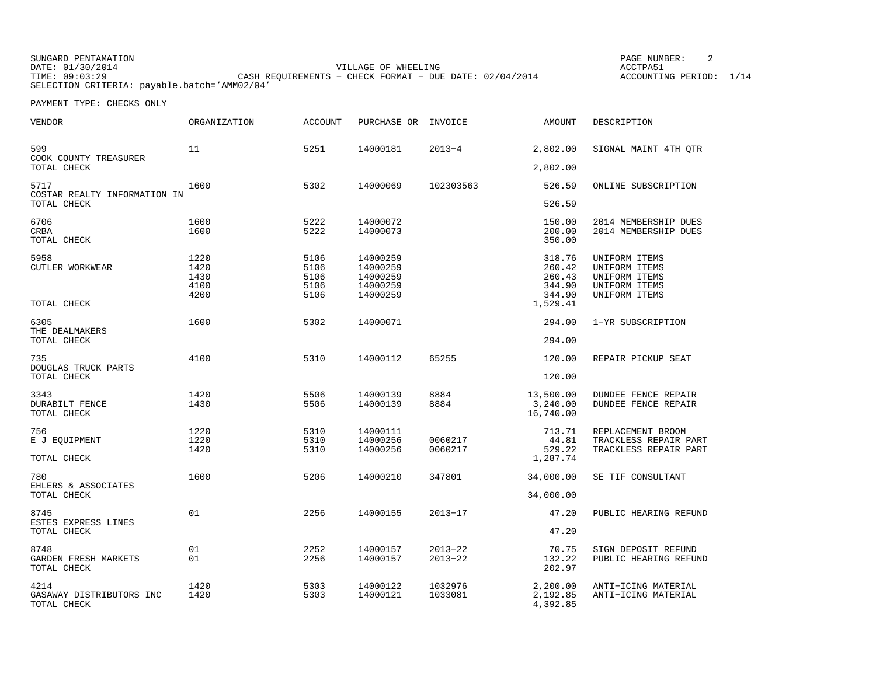SUNGARD PENTAMATION DATE: 01/30/2014 VILLAGE OF WHEELING ACCTPA51 THE CASH REQUIREMENTS − CHECK FORMAT − DUE DATE: 02/04/2014 ACCOUNTING PERIOD: 1/14 SELECTION CRITERIA: payable.batch='AMM02/04'

PAGE NUMBER: 2

| <b>VENDOR</b>                                   | <b>ORGANIZATION</b>                  | <b>ACCOUNT</b>                       | PURCHASE OR INVOICE                                      |                            | AMOUNT                                                     | DESCRIPTION                                                                       |
|-------------------------------------------------|--------------------------------------|--------------------------------------|----------------------------------------------------------|----------------------------|------------------------------------------------------------|-----------------------------------------------------------------------------------|
| 599<br>COOK COUNTY TREASURER                    | 11                                   | 5251                                 | 14000181                                                 | $2013 - 4$                 | 2,802.00                                                   | SIGNAL MAINT 4TH OTR                                                              |
| TOTAL CHECK                                     |                                      |                                      |                                                          |                            | 2,802.00                                                   |                                                                                   |
| 5717<br>COSTAR REALTY INFORMATION IN            | 1600                                 | 5302                                 | 14000069                                                 | 102303563                  | 526.59                                                     | ONLINE SUBSCRIPTION                                                               |
| TOTAL CHECK                                     |                                      |                                      |                                                          |                            | 526.59                                                     |                                                                                   |
| 6706<br><b>CRBA</b><br>TOTAL CHECK              | 1600<br>1600                         | 5222<br>5222                         | 14000072<br>14000073                                     |                            | 150.00<br>200.00<br>350.00                                 | 2014 MEMBERSHIP DUES<br>2014 MEMBERSHIP DUES                                      |
| 5958<br>CUTLER WORKWEAR<br>TOTAL CHECK          | 1220<br>1420<br>1430<br>4100<br>4200 | 5106<br>5106<br>5106<br>5106<br>5106 | 14000259<br>14000259<br>14000259<br>14000259<br>14000259 |                            | 318.76<br>260.42<br>260.43<br>344.90<br>344.90<br>1,529.41 | UNIFORM ITEMS<br>UNIFORM ITEMS<br>UNIFORM ITEMS<br>UNIFORM ITEMS<br>UNIFORM ITEMS |
| 6305                                            | 1600                                 | 5302                                 | 14000071                                                 |                            | 294.00                                                     | 1-YR SUBSCRIPTION                                                                 |
| THE DEALMAKERS<br>TOTAL CHECK                   |                                      |                                      |                                                          |                            | 294.00                                                     |                                                                                   |
| 735<br>DOUGLAS TRUCK PARTS<br>TOTAL CHECK       | 4100                                 | 5310                                 | 14000112                                                 | 65255                      | 120.00<br>120.00                                           | REPAIR PICKUP SEAT                                                                |
| 3343<br><b>DURABILT FENCE</b><br>TOTAL CHECK    | 1420<br>1430                         | 5506<br>5506                         | 14000139<br>14000139                                     | 8884<br>8884               | 13,500.00<br>3,240.00<br>16,740.00                         | <b>DUNDEE FENCE REPAIR</b><br><b>DUNDEE FENCE REPAIR</b>                          |
| 756<br>E J EQUIPMENT<br>TOTAL CHECK             | 1220<br>1220<br>1420                 | 5310<br>5310<br>5310                 | 14000111<br>14000256<br>14000256                         | 0060217<br>0060217         | 713.71<br>44.81<br>529.22<br>1,287.74                      | REPLACEMENT BROOM<br>TRACKLESS REPAIR PART<br>TRACKLESS REPAIR PART               |
| 780<br>EHLERS & ASSOCIATES<br>TOTAL CHECK       | 1600                                 | 5206                                 | 14000210                                                 | 347801                     | 34,000.00<br>34,000.00                                     | SE TIF CONSULTANT                                                                 |
| 8745<br>ESTES EXPRESS LINES<br>TOTAL CHECK      | 01                                   | 2256                                 | 14000155                                                 | $2013 - 17$                | 47.20<br>47.20                                             | PUBLIC HEARING REFUND                                                             |
| 8748<br>GARDEN FRESH MARKETS<br>TOTAL CHECK     | 01<br>01                             | 2252<br>2256                         | 14000157<br>14000157                                     | $2013 - 22$<br>$2013 - 22$ | 70.75<br>132.22<br>202.97                                  | SIGN DEPOSIT REFUND<br>PUBLIC HEARING REFUND                                      |
| 4214<br>GASAWAY DISTRIBUTORS INC<br>TOTAL CHECK | 1420<br>1420                         | 5303<br>5303                         | 14000122<br>14000121                                     | 1032976<br>1033081         | 2,200.00<br>2,192.85<br>4,392.85                           | ANTI-ICING MATERIAL<br>ANTI-ICING MATERIAL                                        |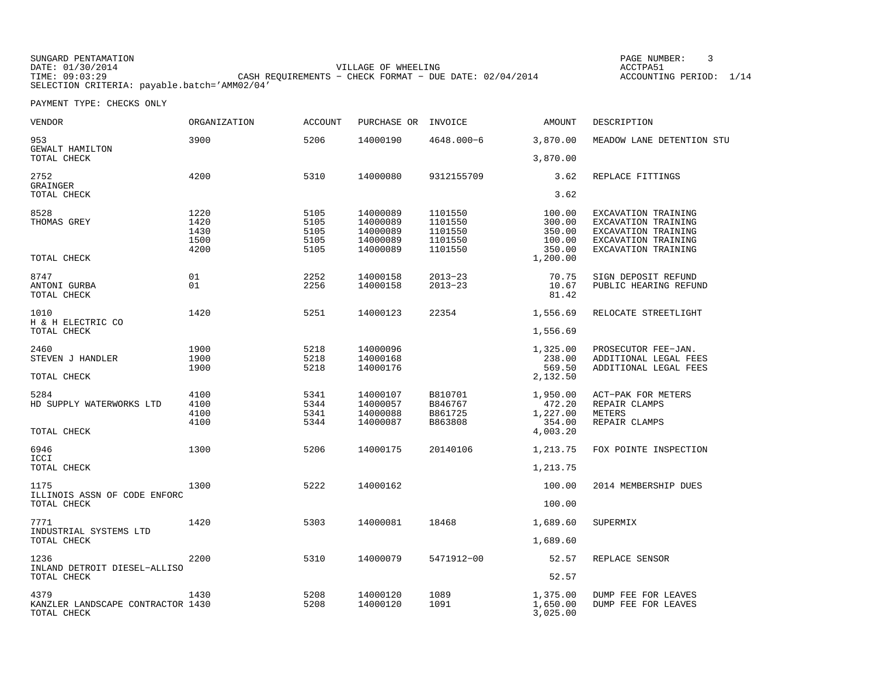SUNGARD PENTAMATION PAGE NUMBER: 3 DATE:  $01/30/2014$  ACCTPA51 TIME: 09:03:29 CASH REQUIREMENTS − CHECK FORMAT − DUE DATE: 02/04/2014 ACCOUNTING PERIOD: 1/14 SELECTION CRITERIA: payable.batch='AMM02/04'

| VENDOR                                                   | <b>ORGANIZATION</b>                  | <b>ACCOUNT</b>                       | PURCHASE OR                                              | INVOICE                                             | AMOUNT                                                     | DESCRIPTION                                                                                                     |
|----------------------------------------------------------|--------------------------------------|--------------------------------------|----------------------------------------------------------|-----------------------------------------------------|------------------------------------------------------------|-----------------------------------------------------------------------------------------------------------------|
| 953<br>GEWALT HAMILTON                                   | 3900                                 | 5206                                 | 14000190                                                 | $4648.000 - 6$                                      | 3,870.00                                                   | MEADOW LANE DETENTION STU                                                                                       |
| TOTAL CHECK                                              |                                      |                                      |                                                          |                                                     | 3,870.00                                                   |                                                                                                                 |
| 2752<br>GRAINGER<br>TOTAL CHECK                          | 4200                                 | 5310                                 | 14000080                                                 | 9312155709                                          | 3.62<br>3.62                                               | REPLACE FITTINGS                                                                                                |
| 8528<br>THOMAS GREY<br>TOTAL CHECK                       | 1220<br>1420<br>1430<br>1500<br>4200 | 5105<br>5105<br>5105<br>5105<br>5105 | 14000089<br>14000089<br>14000089<br>14000089<br>14000089 | 1101550<br>1101550<br>1101550<br>1101550<br>1101550 | 100.00<br>300.00<br>350.00<br>100.00<br>350.00<br>1,200.00 | EXCAVATION TRAINING<br>EXCAVATION TRAINING<br>EXCAVATION TRAINING<br>EXCAVATION TRAINING<br>EXCAVATION TRAINING |
| 8747<br>ANTONI GURBA<br>TOTAL CHECK                      | 01<br>01                             | 2252<br>2256                         | 14000158<br>14000158                                     | $2013 - 23$<br>$2013 - 23$                          | 70.75<br>10.67<br>81.42                                    | SIGN DEPOSIT REFUND<br>PUBLIC HEARING REFUND                                                                    |
| 1010<br>H & H ELECTRIC CO                                | 1420                                 | 5251                                 | 14000123                                                 | 22354                                               | 1,556.69                                                   | RELOCATE STREETLIGHT                                                                                            |
| TOTAL CHECK                                              |                                      |                                      |                                                          |                                                     | 1,556.69                                                   |                                                                                                                 |
| 2460<br>STEVEN J HANDLER                                 | 1900<br>1900<br>1900                 | 5218<br>5218<br>5218                 | 14000096<br>14000168<br>14000176                         |                                                     | 1,325.00<br>238.00<br>569.50                               | PROSECUTOR FEE-JAN.<br>ADDITIONAL LEGAL FEES<br>ADDITIONAL LEGAL FEES                                           |
| TOTAL CHECK                                              |                                      |                                      |                                                          |                                                     | 2,132.50                                                   |                                                                                                                 |
| 5284<br>HD SUPPLY WATERWORKS LTD<br>TOTAL CHECK          | 4100<br>4100<br>4100<br>4100         | 5341<br>5344<br>5341<br>5344         | 14000107<br>14000057<br>14000088<br>14000087             | B810701<br>B846767<br>B861725<br>B863808            | 1,950.00<br>472.20<br>1,227.00<br>354.00<br>4,003.20       | ACT-PAK FOR METERS<br>REPAIR CLAMPS<br>METERS<br>REPAIR CLAMPS                                                  |
| 6946<br>ICCI<br>TOTAL CHECK                              | 1300                                 | 5206                                 | 14000175                                                 | 20140106                                            | 1,213.75<br>1,213.75                                       | FOX POINTE INSPECTION                                                                                           |
|                                                          |                                      |                                      |                                                          |                                                     |                                                            |                                                                                                                 |
| 1175<br>ILLINOIS ASSN OF CODE ENFORC<br>TOTAL CHECK      | 1300                                 | 5222                                 | 14000162                                                 |                                                     | 100.00<br>100.00                                           | 2014 MEMBERSHIP DUES                                                                                            |
| 7771<br>INDUSTRIAL SYSTEMS LTD                           | 1420                                 | 5303                                 | 14000081                                                 | 18468                                               | 1,689.60                                                   | SUPERMIX                                                                                                        |
| TOTAL CHECK                                              |                                      |                                      |                                                          |                                                     | 1,689.60                                                   |                                                                                                                 |
| 1236<br>INLAND DETROIT DIESEL-ALLISO                     | 2200                                 | 5310                                 | 14000079                                                 | 5471912-00                                          | 52.57                                                      | REPLACE SENSOR                                                                                                  |
| TOTAL CHECK                                              |                                      |                                      |                                                          |                                                     | 52.57                                                      |                                                                                                                 |
| 4379<br>KANZLER LANDSCAPE CONTRACTOR 1430<br>TOTAL CHECK | 1430                                 | 5208<br>5208                         | 14000120<br>14000120                                     | 1089<br>1091                                        | 1,375.00<br>1,650.00<br>3,025.00                           | DUMP FEE FOR LEAVES<br>DUMP FEE FOR LEAVES                                                                      |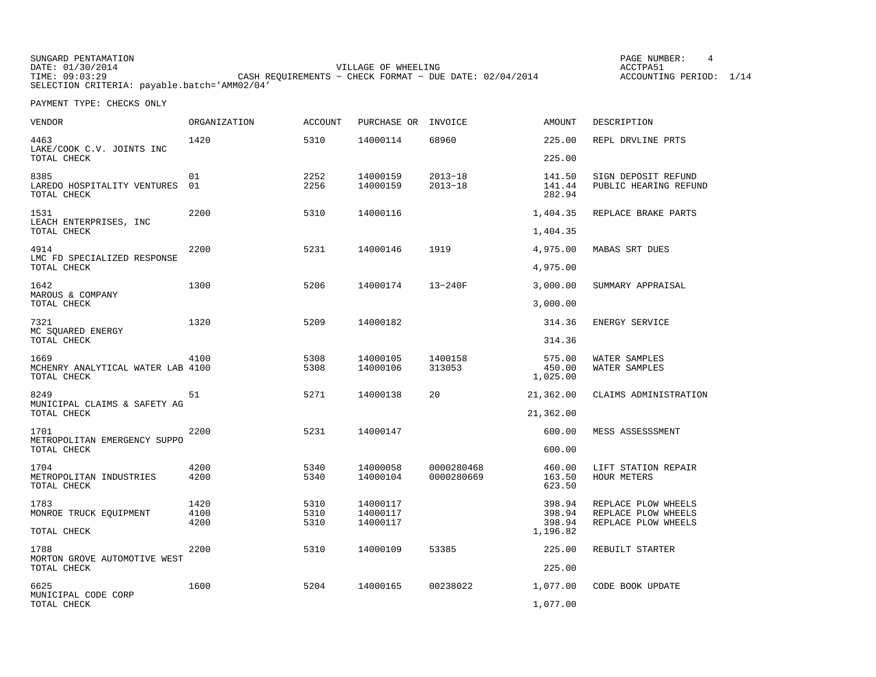SUNGARD PENTAMATION DATE: 01/30/2014 VILLAGE OF WHEELING ACCTPA51 THE CASH REQUIREMENTS − CHECK FORMAT − DUE DATE: 02/04/2014 ACCOUNTING PERIOD: 1/14 SELECTION CRITERIA: payable.batch='AMM02/04'

PAGE NUMBER: 4

| <b>VENDOR</b>                                            | <b>ORGANIZATION</b> | <b>ACCOUNT</b> | PURCHASE OR          | INVOICE                    | <b>AMOUNT</b>                | DESCRIPTION                                  |
|----------------------------------------------------------|---------------------|----------------|----------------------|----------------------------|------------------------------|----------------------------------------------|
| 4463<br>LAKE/COOK C.V. JOINTS INC                        | 1420                | 5310           | 14000114             | 68960                      | 225.00                       | REPL DRVLINE PRTS                            |
| TOTAL CHECK                                              |                     |                |                      |                            | 225.00                       |                                              |
| 8385<br>LAREDO HOSPITALITY VENTURES<br>TOTAL CHECK       | 01<br>01            | 2252<br>2256   | 14000159<br>14000159 | $2013 - 18$<br>$2013 - 18$ | 141.50<br>141.44<br>282.94   | SIGN DEPOSIT REFUND<br>PUBLIC HEARING REFUND |
| 1531<br>LEACH ENTERPRISES, INC                           | 2200                | 5310           | 14000116             |                            | 1,404.35                     | REPLACE BRAKE PARTS                          |
| TOTAL CHECK                                              |                     |                |                      |                            | 1,404.35                     |                                              |
| 4914                                                     | 2200                | 5231           | 14000146             | 1919                       | 4,975.00                     | MABAS SRT DUES                               |
| LMC FD SPECIALIZED RESPONSE<br>TOTAL CHECK               |                     |                |                      |                            | 4,975.00                     |                                              |
| 1642<br>MAROUS & COMPANY                                 | 1300                | 5206           | 14000174             | $13 - 240F$                | 3,000.00                     | SUMMARY APPRAISAL                            |
| TOTAL CHECK                                              |                     |                |                      |                            | 3,000.00                     |                                              |
| 7321<br>MC SQUARED ENERGY                                | 1320                | 5209           | 14000182             |                            | 314.36                       | ENERGY SERVICE                               |
| TOTAL CHECK                                              |                     |                |                      |                            | 314.36                       |                                              |
| 1669<br>MCHENRY ANALYTICAL WATER LAB 4100<br>TOTAL CHECK | 4100                | 5308<br>5308   | 14000105<br>14000106 | 1400158<br>313053          | 575.00<br>450.00<br>1,025.00 | WATER SAMPLES<br>WATER SAMPLES               |
| 8249<br>MUNICIPAL CLAIMS & SAFETY AG<br>TOTAL CHECK      | 51                  | 5271           | 14000138             | 20                         | 21,362.00<br>21,362.00       | CLAIMS ADMINISTRATION                        |
| 1701                                                     | 2200                | 5231           | 14000147             |                            | 600.00                       | MESS ASSESSSMENT                             |
| METROPOLITAN EMERGENCY SUPPO<br>TOTAL CHECK              |                     |                |                      |                            | 600.00                       |                                              |
| 1704<br>METROPOLITAN INDUSTRIES<br>TOTAL CHECK           | 4200<br>4200        | 5340<br>5340   | 14000058<br>14000104 | 0000280468<br>0000280669   | 460.00<br>163.50<br>623.50   | LIFT STATION REPAIR<br><b>HOUR METERS</b>    |
| 1783                                                     | 1420                | 5310           | 14000117             |                            | 398.94                       | REPLACE PLOW WHEELS                          |
| MONROE TRUCK EQUIPMENT                                   | 4100<br>4200        | 5310<br>5310   | 14000117<br>14000117 |                            | 398.94<br>398.94             | REPLACE PLOW WHEELS<br>REPLACE PLOW WHEELS   |
| TOTAL CHECK                                              |                     |                |                      |                            | 1,196.82                     |                                              |
| 1788<br>MORTON GROVE AUTOMOTIVE WEST                     | 2200                | 5310           | 14000109             | 53385                      | 225.00                       | REBUILT STARTER                              |
| TOTAL CHECK                                              |                     |                |                      |                            | 225.00                       |                                              |
| 6625<br>MUNICIPAL CODE CORP                              | 1600                | 5204           | 14000165             | 00238022                   | 1,077.00                     | CODE BOOK UPDATE                             |
| TOTAL CHECK                                              |                     |                |                      |                            | 1,077.00                     |                                              |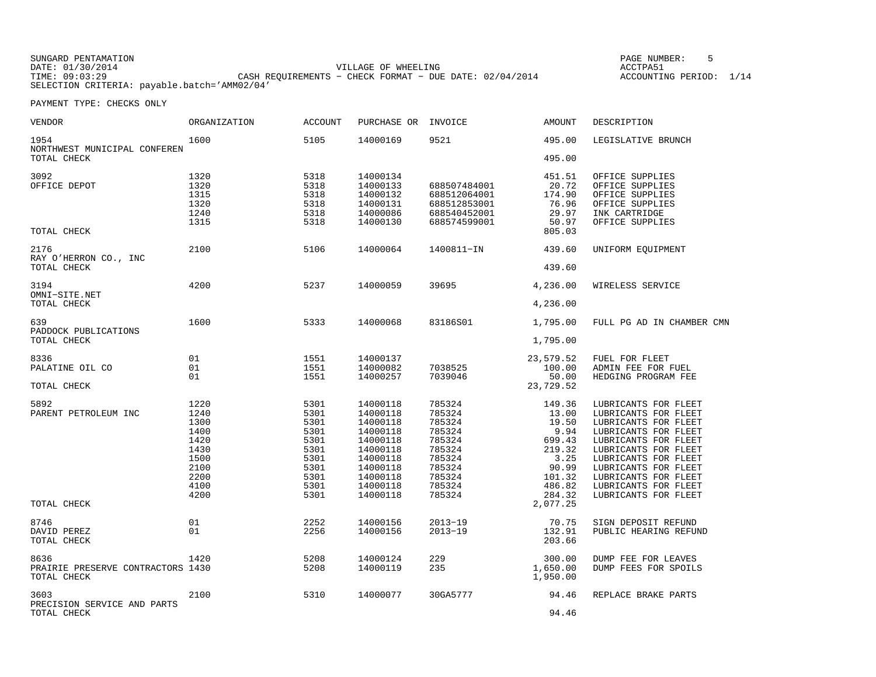| SUNGARD PENTAMATION |                                                           | PAGE NUMBER:      |
|---------------------|-----------------------------------------------------------|-------------------|
| DATE: 01/30/2014    | VILLAGE OF WHEELING                                       | ACCTPA51          |
| TIME: 09:03:29      | CASH REOUIREMENTS - CHECK FORMAT - DUE DATE: $02/04/2014$ | ACCOUNTING PERIOD |
|                     | SELECTION CRITERIA: payable.batch='AMM02/04'              |                   |

 $IBER: 5$ .<br>ING PERIOD: 1/14

| VENDOR                                     | ORGANIZATION | <b>ACCOUNT</b> | PURCHASE OR | INVOICE      | AMOUNT    | DESCRIPTION               |
|--------------------------------------------|--------------|----------------|-------------|--------------|-----------|---------------------------|
| 1954<br>NORTHWEST MUNICIPAL CONFEREN       | 1600         | 5105           | 14000169    | 9521         | 495.00    | LEGISLATIVE BRUNCH        |
| TOTAL CHECK                                |              |                |             |              | 495.00    |                           |
| 3092                                       | 1320         | 5318           | 14000134    |              | 451.51    | OFFICE SUPPLIES           |
| OFFICE DEPOT                               | 1320         | 5318           | 14000133    | 688507484001 | 20.72     | OFFICE SUPPLIES           |
|                                            | 1315         | 5318           | 14000132    | 688512064001 | 174.90    | OFFICE SUPPLIES           |
|                                            | 1320         | 5318           | 14000131    | 688512853001 | 76.96     | OFFICE SUPPLIES           |
|                                            | 1240         | 5318           | 14000086    | 688540452001 | 29.97     | INK CARTRIDGE             |
|                                            |              |                |             |              |           |                           |
|                                            | 1315         | 5318           | 14000130    | 688574599001 | 50.97     | OFFICE SUPPLIES           |
| TOTAL CHECK                                |              |                |             |              | 805.03    |                           |
| 2176                                       | 2100         | 5106           | 14000064    | 1400811-IN   | 439.60    | UNIFORM EQUIPMENT         |
| RAY O'HERRON CO., INC                      |              |                |             |              |           |                           |
| TOTAL CHECK                                |              |                |             |              | 439.60    |                           |
| 3194                                       | 4200         | 5237           | 14000059    | 39695        | 4,236.00  | WIRELESS SERVICE          |
| OMNI-SITE.NET                              |              |                |             |              |           |                           |
| TOTAL CHECK                                |              |                |             |              | 4,236.00  |                           |
| 639                                        | 1600         | 5333           | 14000068    | 83186S01     | 1,795.00  | FULL PG AD IN CHAMBER CMN |
| PADDOCK PUBLICATIONS                       |              |                |             |              |           |                           |
| TOTAL CHECK                                |              |                |             |              | 1,795.00  |                           |
| 8336                                       | 01           | 1551           | 14000137    |              | 23,579.52 | FUEL FOR FLEET            |
| PALATINE OIL CO                            | 01           | 1551           | 14000082    | 7038525      | 100.00    | ADMIN FEE FOR FUEL        |
|                                            | 01           | 1551           | 14000257    | 7039046      | 50.00     | HEDGING PROGRAM FEE       |
| TOTAL CHECK                                |              |                |             |              | 23,729.52 |                           |
|                                            |              |                |             |              |           |                           |
| 5892                                       | 1220         | 5301           | 14000118    | 785324       | 149.36    | LUBRICANTS FOR FLEET      |
| PARENT PETROLEUM INC                       | 1240         | 5301           | 14000118    | 785324       | 13.00     | LUBRICANTS FOR FLEET      |
|                                            | 1300         | 5301           | 14000118    | 785324       | 19.50     | LUBRICANTS FOR FLEET      |
|                                            | 1400         | 5301           | 14000118    | 785324       | 9.94      | LUBRICANTS FOR FLEET      |
|                                            | 1420         | 5301           | 14000118    | 785324       | 699.43    | LUBRICANTS FOR FLEET      |
|                                            | 1430         | 5301           | 14000118    | 785324       | 219.32    | LUBRICANTS FOR FLEET      |
|                                            | 1500         | 5301           | 14000118    | 785324       | 3.25      | LUBRICANTS FOR FLEET      |
|                                            | 2100         | 5301           | 14000118    | 785324       | 90.99     | LUBRICANTS FOR FLEET      |
|                                            | 2200         | 5301           | 14000118    |              | 101.32    | LUBRICANTS FOR FLEET      |
|                                            |              |                |             | 785324       |           |                           |
|                                            | 4100         | 5301           | 14000118    | 785324       | 486.82    | LUBRICANTS FOR FLEET      |
|                                            | 4200         | 5301           | 14000118    | 785324       | 284.32    | LUBRICANTS FOR FLEET      |
| TOTAL CHECK                                |              |                |             |              | 2,077.25  |                           |
| 8746                                       | 01           | 2252           | 14000156    | $2013 - 19$  | 70.75     | SIGN DEPOSIT REFUND       |
| DAVID PEREZ                                | 01           | 2256           | 14000156    | $2013 - 19$  | 132.91    | PUBLIC HEARING REFUND     |
| TOTAL CHECK                                |              |                |             |              | 203.66    |                           |
| 8636                                       | 1420         | 5208           | 14000124    | 229          | 300.00    | DUMP FEE FOR LEAVES       |
| PRAIRIE PRESERVE CONTRACTORS 1430          |              | 5208           | 14000119    | 235          | 1,650.00  | DUMP FEES FOR SPOILS      |
| TOTAL CHECK                                |              |                |             |              | 1,950.00  |                           |
|                                            |              |                |             |              |           |                           |
| 3603                                       | 2100         | 5310           | 14000077    | 30GA5777     | 94.46     | REPLACE BRAKE PARTS       |
| PRECISION SERVICE AND PARTS<br>TOTAL CHECK |              |                |             |              | 94.46     |                           |
|                                            |              |                |             |              |           |                           |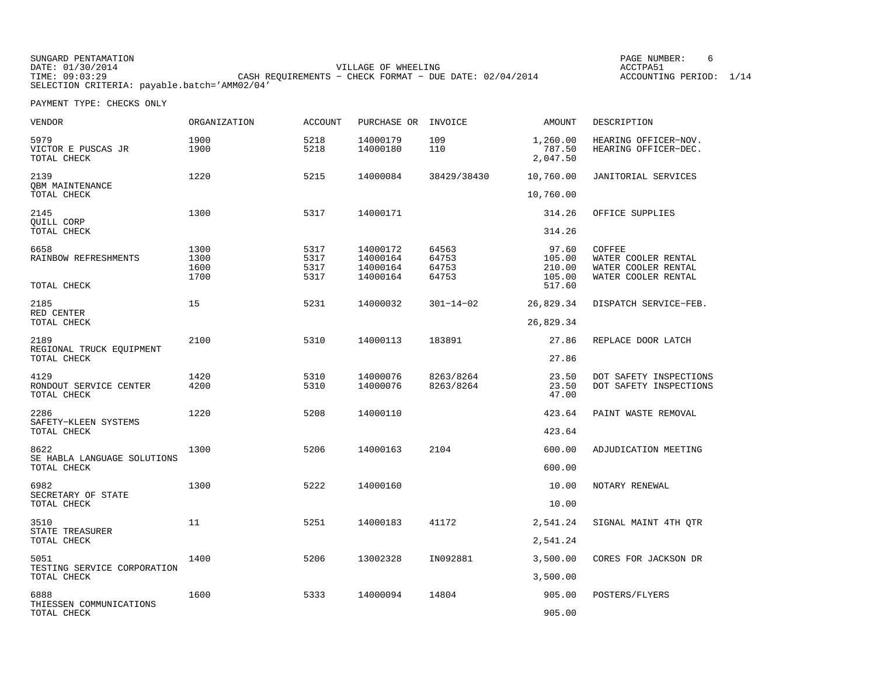SUNGARD PENTAMATION DATE: 01/30/2014 VILLAGE OF WHEELING ACCTPA51 THE CASH REQUIREMENTS − CHECK FORMAT − DUE DATE: 02/04/2014 ACCOUNTING PERIOD: 1/14 SELECTION CRITERIA: payable.batch='AMM02/04'

PAGE NUMBER: 6

| <b>VENDOR</b>                                      | ORGANIZATION                 | <b>ACCOUNT</b>               | PURCHASE OR INVOICE                          |                                  | AMOUNT                                        | DESCRIPTION                                                                 |
|----------------------------------------------------|------------------------------|------------------------------|----------------------------------------------|----------------------------------|-----------------------------------------------|-----------------------------------------------------------------------------|
| 5979<br>VICTOR E PUSCAS JR<br>TOTAL CHECK          | 1900<br>1900                 | 5218<br>5218                 | 14000179<br>14000180                         | 109<br>110                       | 1,260.00<br>787.50<br>2,047.50                | HEARING OFFICER-NOV.<br>HEARING OFFICER-DEC.                                |
| 2139                                               | 1220                         | 5215                         | 14000084                                     | 38429/38430                      | 10,760.00                                     | JANITORIAL SERVICES                                                         |
| OBM MAINTENANCE<br>TOTAL CHECK                     |                              |                              |                                              |                                  | 10,760.00                                     |                                                                             |
| 2145<br>QUILL CORP                                 | 1300                         | 5317                         | 14000171                                     |                                  | 314.26                                        | OFFICE SUPPLIES                                                             |
| TOTAL CHECK                                        |                              |                              |                                              |                                  | 314.26                                        |                                                                             |
| 6658<br>RAINBOW REFRESHMENTS<br>TOTAL CHECK        | 1300<br>1300<br>1600<br>1700 | 5317<br>5317<br>5317<br>5317 | 14000172<br>14000164<br>14000164<br>14000164 | 64563<br>64753<br>64753<br>64753 | 97.60<br>105.00<br>210.00<br>105.00<br>517.60 | COFFEE<br>WATER COOLER RENTAL<br>WATER COOLER RENTAL<br>WATER COOLER RENTAL |
| 2185<br>RED CENTER<br>TOTAL CHECK                  | 15                           | 5231                         | 14000032                                     | $301 - 14 - 02$                  | 26,829.34                                     | DISPATCH SERVICE-FEB.                                                       |
|                                                    |                              |                              |                                              |                                  | 26,829.34                                     |                                                                             |
| 2189                                               | 2100                         | 5310                         | 14000113                                     | 183891                           | 27.86                                         | REPLACE DOOR LATCH                                                          |
| REGIONAL TRUCK EQUIPMENT<br>TOTAL CHECK            |                              |                              |                                              |                                  | 27.86                                         |                                                                             |
| 4129<br>RONDOUT SERVICE CENTER<br>TOTAL CHECK      | 1420<br>4200                 | 5310<br>5310                 | 14000076<br>14000076                         | 8263/8264<br>8263/8264           | 23.50<br>23.50<br>47.00                       | DOT SAFETY INSPECTIONS<br>DOT SAFETY INSPECTIONS                            |
| 2286<br>SAFETY-KLEEN SYSTEMS<br>TOTAL CHECK        | 1220                         | 5208                         | 14000110                                     |                                  | 423.64                                        | PAINT WASTE REMOVAL                                                         |
|                                                    |                              |                              |                                              |                                  | 423.64                                        |                                                                             |
| 8622<br>SE HABLA LANGUAGE SOLUTIONS<br>TOTAL CHECK | 1300                         | 5206                         | 14000163                                     | 2104                             | 600.00                                        | ADJUDICATION MEETING                                                        |
|                                                    |                              |                              |                                              |                                  | 600.00                                        |                                                                             |
| 6982                                               | 1300                         | 5222                         | 14000160                                     |                                  | 10.00                                         | NOTARY RENEWAL                                                              |
| SECRETARY OF STATE<br>TOTAL CHECK                  |                              |                              |                                              |                                  | 10.00                                         |                                                                             |
| 3510<br>STATE TREASURER<br>TOTAL CHECK             | 11                           | 5251                         | 14000183                                     | 41172                            | 2,541.24                                      | SIGNAL MAINT 4TH QTR                                                        |
|                                                    |                              |                              |                                              |                                  | 2,541.24                                      |                                                                             |
| 5051<br>TESTING SERVICE CORPORATION<br>TOTAL CHECK | 1400                         | 5206                         | 13002328                                     | IN092881                         | 3,500.00                                      | CORES FOR JACKSON DR                                                        |
|                                                    |                              |                              |                                              |                                  | 3,500.00                                      |                                                                             |
| 6888<br>THIESSEN COMMUNICATIONS<br>TOTAL CHECK     | 1600                         | 5333                         | 14000094                                     | 14804                            | 905.00                                        | POSTERS/FLYERS                                                              |
|                                                    |                              |                              |                                              |                                  | 905.00                                        |                                                                             |